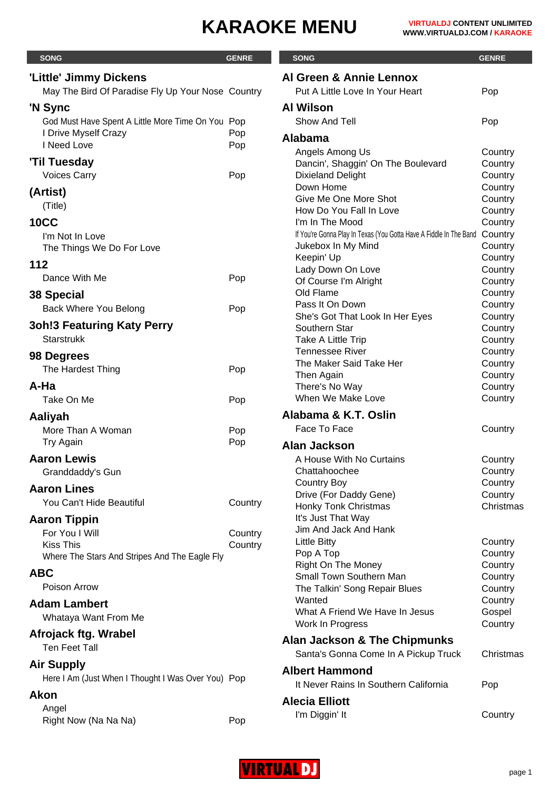| <b>SONG</b>                                        | <b>GENRE</b> | <b>SONG</b>                                                        | <b>GENRE</b>       |
|----------------------------------------------------|--------------|--------------------------------------------------------------------|--------------------|
|                                                    |              | Al Green & Annie Lennox                                            |                    |
| 'Little' Jimmy Dickens                             |              | Put A Little Love In Your Heart                                    |                    |
| May The Bird Of Paradise Fly Up Your Nose Country  |              |                                                                    | Pop                |
| 'N Sync                                            |              | <b>Al Wilson</b>                                                   |                    |
| God Must Have Spent A Little More Time On You Pop  |              | Show And Tell                                                      | Pop                |
| I Drive Myself Crazy                               | Pop          | <b>Alabama</b>                                                     |                    |
| I Need Love                                        | Pop          | Angels Among Us                                                    | Country            |
| <b>'Til Tuesday</b>                                |              | Dancin', Shaggin' On The Boulevard                                 | Country            |
| <b>Voices Carry</b>                                | Pop          | <b>Dixieland Delight</b>                                           | Country            |
| (Artist)                                           |              | Down Home                                                          | Country            |
| (Title)                                            |              | Give Me One More Shot                                              | Country            |
| <b>10CC</b>                                        |              | How Do You Fall In Love<br>I'm In The Mood                         | Country            |
|                                                    |              | If You're Gonna Play In Texas (You Gotta Have A Fiddle In The Band | Country<br>Country |
| I'm Not In Love<br>The Things We Do For Love       |              | Jukebox In My Mind                                                 | Country            |
|                                                    |              | Keepin' Up                                                         | Country            |
| 112                                                |              | Lady Down On Love                                                  | Country            |
| Dance With Me                                      | Pop          | Of Course I'm Alright                                              | Country            |
| 38 Special                                         |              | Old Flame                                                          | Country            |
| Back Where You Belong                              | Pop          | Pass It On Down                                                    | Country            |
| <b>3oh!3 Featuring Katy Perry</b>                  |              | She's Got That Look In Her Eyes                                    | Country            |
| <b>Starstrukk</b>                                  |              | Southern Star<br>Take A Little Trip                                | Country            |
|                                                    |              | <b>Tennessee River</b>                                             | Country<br>Country |
| 98 Degrees                                         |              | The Maker Said Take Her                                            | Country            |
| The Hardest Thing                                  | Pop          | Then Again                                                         | Country            |
| A-Ha                                               |              | There's No Way                                                     | Country            |
| Take On Me                                         | Pop          | When We Make Love                                                  | Country            |
| Aaliyah                                            |              | Alabama & K.T. Oslin                                               |                    |
| More Than A Woman                                  | Pop          | Face To Face                                                       | Country            |
| Try Again                                          | Pop          |                                                                    |                    |
|                                                    |              | <b>Alan Jackson</b>                                                |                    |
| <b>Aaron Lewis</b>                                 |              | A House With No Curtains                                           | Country            |
| Granddaddy's Gun                                   |              | Chattahoochee<br><b>Country Boy</b>                                | Country<br>Country |
| <b>Aaron Lines</b>                                 |              | Drive (For Daddy Gene)                                             | Country            |
| You Can't Hide Beautiful                           | Country      | <b>Honky Tonk Christmas</b>                                        | Christmas          |
| <b>Aaron Tippin</b>                                |              | It's Just That Way                                                 |                    |
| For You I Will                                     | Country      | Jim And Jack And Hank                                              |                    |
| <b>Kiss This</b>                                   | Country      | <b>Little Bitty</b>                                                | Country            |
| Where The Stars And Stripes And The Eagle Fly      |              | Pop A Top                                                          | Country            |
| <b>ABC</b>                                         |              | <b>Right On The Money</b>                                          | Country            |
| Poison Arrow                                       |              | <b>Small Town Southern Man</b><br>The Talkin' Song Repair Blues    | Country<br>Country |
|                                                    |              | Wanted                                                             | Country            |
| <b>Adam Lambert</b>                                |              | What A Friend We Have In Jesus                                     | Gospel             |
| Whataya Want From Me                               |              | Work In Progress                                                   | Country            |
| Afrojack ftg. Wrabel                               |              |                                                                    |                    |
| <b>Ten Feet Tall</b>                               |              | Alan Jackson & The Chipmunks                                       |                    |
| <b>Air Supply</b>                                  |              | Santa's Gonna Come In A Pickup Truck                               | Christmas          |
| Here I Am (Just When I Thought I Was Over You) Pop |              | <b>Albert Hammond</b>                                              |                    |
|                                                    |              | It Never Rains In Southern California                              | Pop                |
| Akon                                               |              | <b>Alecia Elliott</b>                                              |                    |
| Angel                                              |              | I'm Diggin' It                                                     | Country            |
| Right Now (Na Na Na)                               | Pop          |                                                                    |                    |

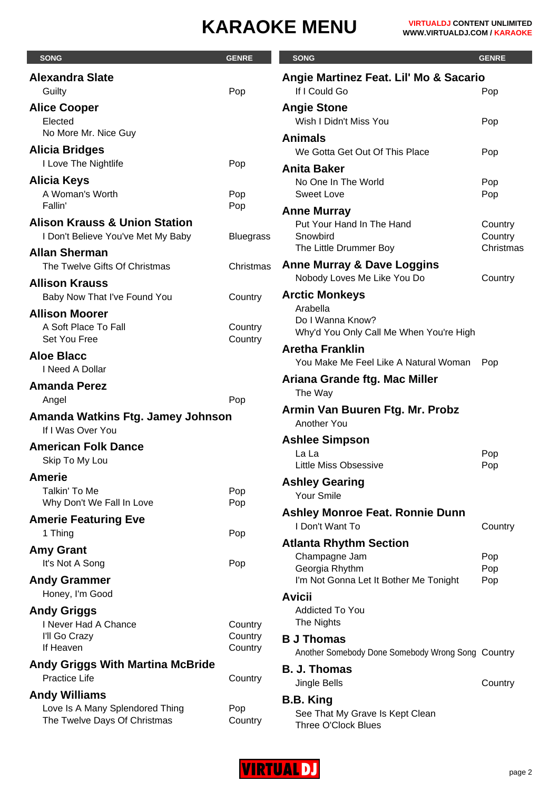| <b>SONG</b>                                                                    | <b>GENRE</b>       | <b>SONG</b>                                                 | <b>GENRE</b>       |
|--------------------------------------------------------------------------------|--------------------|-------------------------------------------------------------|--------------------|
| <b>Alexandra Slate</b>                                                         |                    | Angie Martinez Feat. Lil' Mo & Sacario                      |                    |
| Guilty                                                                         | Pop                | If I Could Go                                               | Pop                |
| <b>Alice Cooper</b><br>Elected                                                 |                    | <b>Angie Stone</b><br>Wish I Didn't Miss You                | Pop                |
| No More Mr. Nice Guy                                                           |                    | <b>Animals</b>                                              |                    |
| <b>Alicia Bridges</b><br>I Love The Nightlife                                  |                    | We Gotta Get Out Of This Place                              | Pop                |
|                                                                                | Pop                | <b>Anita Baker</b>                                          |                    |
| <b>Alicia Keys</b><br>A Woman's Worth                                          | Pop                | No One In The World<br><b>Sweet Love</b>                    | Pop<br>Pop         |
| Fallin'                                                                        | Pop                | <b>Anne Murray</b>                                          |                    |
| <b>Alison Krauss &amp; Union Station</b><br>I Don't Believe You've Met My Baby | <b>Bluegrass</b>   | Put Your Hand In The Hand<br>Snowbird                       | Country<br>Country |
| <b>Allan Sherman</b>                                                           |                    | The Little Drummer Boy                                      | Christmas          |
| The Twelve Gifts Of Christmas                                                  | Christmas          | <b>Anne Murray &amp; Dave Loggins</b>                       |                    |
| <b>Allison Krauss</b>                                                          |                    | Nobody Loves Me Like You Do                                 | Country            |
| Baby Now That I've Found You                                                   | Country            | <b>Arctic Monkeys</b>                                       |                    |
| <b>Allison Moorer</b>                                                          |                    | Arabella                                                    |                    |
| A Soft Place To Fall<br>Set You Free                                           | Country<br>Country | Do I Wanna Know?<br>Why'd You Only Call Me When You're High |                    |
| <b>Aloe Blacc</b>                                                              |                    | <b>Aretha Franklin</b>                                      |                    |
| I Need A Dollar                                                                |                    | You Make Me Feel Like A Natural Woman                       | Pop                |
| <b>Amanda Perez</b>                                                            |                    | Ariana Grande ftg. Mac Miller                               |                    |
| Angel                                                                          | Pop                | The Way                                                     |                    |
| Amanda Watkins Ftg. Jamey Johnson<br>If I Was Over You                         |                    | Armin Van Buuren Ftg. Mr. Probz<br>Another You              |                    |
| <b>American Folk Dance</b>                                                     |                    | <b>Ashlee Simpson</b>                                       |                    |
| Skip To My Lou                                                                 |                    | La La                                                       | Pop                |
|                                                                                |                    | Little Miss Obsessive                                       | Pop                |
| <b>Amerie</b><br>Talkin' To Me<br>Why Don't We Fall In Love                    | Pop                | <b>Ashley Gearing</b><br>Your Smile                         |                    |
|                                                                                | Pop                | <b>Ashley Monroe Feat. Ronnie Dunn</b>                      |                    |
| <b>Amerie Featuring Eve</b><br>1 Thing                                         | Pop                | I Don't Want To                                             | Country            |
|                                                                                |                    | <b>Atlanta Rhythm Section</b>                               |                    |
| <b>Amy Grant</b><br>It's Not A Song                                            | Pop                | Champagne Jam                                               | Pop                |
|                                                                                |                    | Georgia Rhythm                                              | Pop                |
| <b>Andy Grammer</b><br>Honey, I'm Good                                         |                    | I'm Not Gonna Let It Bother Me Tonight                      | Pop                |
|                                                                                |                    | <b>Avicii</b>                                               |                    |
| <b>Andy Griggs</b><br>I Never Had A Chance                                     |                    | <b>Addicted To You</b><br>The Nights                        |                    |
| I'll Go Crazy                                                                  | Country<br>Country | <b>B J Thomas</b>                                           |                    |
| If Heaven                                                                      | Country            | Another Somebody Done Somebody Wrong Song Country           |                    |
| <b>Andy Griggs With Martina McBride</b>                                        |                    |                                                             |                    |
| <b>Practice Life</b>                                                           | Country            | <b>B. J. Thomas</b><br>Jingle Bells                         | Country            |
| <b>Andy Williams</b>                                                           |                    |                                                             |                    |
| Love Is A Many Splendored Thing                                                | Pop                | <b>B.B. King</b><br>See That My Grave Is Kept Clean         |                    |
| The Twelve Days Of Christmas                                                   | Country            | Three O'Clock Blues                                         |                    |

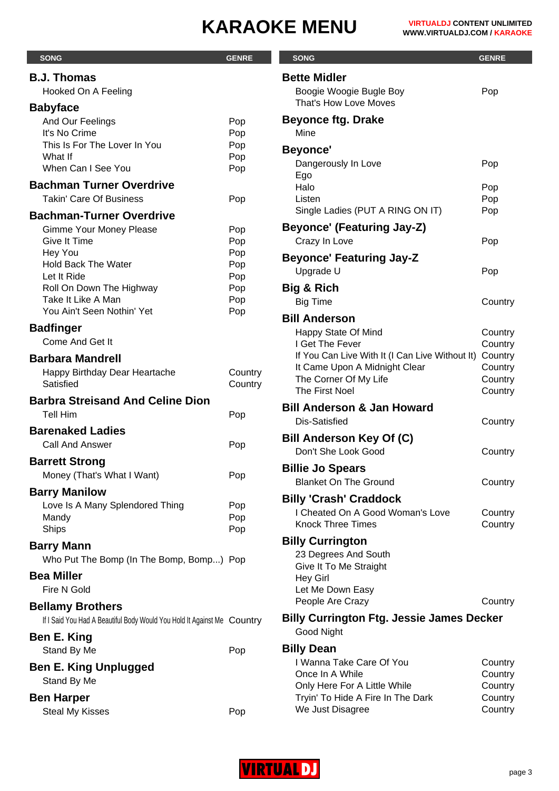| <b>SONG</b>                                                                                        | <b>GENRE</b>       | <b>SONG</b>                                                                      | <b>GENRE</b>       |
|----------------------------------------------------------------------------------------------------|--------------------|----------------------------------------------------------------------------------|--------------------|
| <b>B.J. Thomas</b>                                                                                 |                    | <b>Bette Midler</b>                                                              |                    |
| Hooked On A Feeling                                                                                |                    | Boogie Woogie Bugle Boy                                                          | Pop                |
| <b>Babyface</b>                                                                                    |                    | That's How Love Moves                                                            |                    |
| And Our Feelings<br>It's No Crime                                                                  | Pop<br>Pop         | <b>Beyonce ftg. Drake</b><br>Mine                                                |                    |
| This Is For The Lover In You                                                                       | Pop                |                                                                                  |                    |
| What If                                                                                            | Pop                | <b>Beyonce'</b><br>Dangerously In Love                                           | Pop                |
| When Can I See You                                                                                 | Pop                | Ego                                                                              |                    |
| <b>Bachman Turner Overdrive</b>                                                                    |                    | Halo                                                                             | Pop                |
| <b>Takin' Care Of Business</b>                                                                     | Pop                | Listen<br>Single Ladies (PUT A RING ON IT)                                       | Pop<br>Pop         |
| <b>Bachman-Turner Overdrive</b>                                                                    |                    | <b>Beyonce' (Featuring Jay-Z)</b>                                                |                    |
| Gimme Your Money Please<br><b>Give It Time</b>                                                     | Pop<br>Pop         | Crazy In Love                                                                    | Pop                |
| Hey You                                                                                            | Pop                | <b>Beyonce' Featuring Jay-Z</b>                                                  |                    |
| <b>Hold Back The Water</b>                                                                         | Pop                | Upgrade U                                                                        | Pop                |
| Let It Ride<br>Roll On Down The Highway                                                            | Pop<br>Pop         | <b>Big &amp; Rich</b>                                                            |                    |
| Take It Like A Man                                                                                 | Pop                | <b>Big Time</b>                                                                  | Country            |
| You Ain't Seen Nothin' Yet                                                                         | Pop                | <b>Bill Anderson</b>                                                             |                    |
| <b>Badfinger</b>                                                                                   |                    | Happy State Of Mind                                                              | Country            |
| Come And Get It                                                                                    |                    | I Get The Fever                                                                  | Country            |
| <b>Barbara Mandrell</b>                                                                            |                    | If You Can Live With It (I Can Live Without It)<br>It Came Upon A Midnight Clear | Country<br>Country |
| Happy Birthday Dear Heartache<br>Satisfied                                                         | Country<br>Country | The Corner Of My Life                                                            | Country            |
| <b>Barbra Streisand And Celine Dion</b>                                                            |                    | The First Noel                                                                   | Country            |
| <b>Tell Him</b>                                                                                    | Pop                | <b>Bill Anderson &amp; Jan Howard</b>                                            |                    |
| <b>Barenaked Ladies</b>                                                                            |                    | Dis-Satisfied                                                                    | Country            |
| <b>Call And Answer</b>                                                                             | Pop                | <b>Bill Anderson Key Of (C)</b>                                                  |                    |
| <b>Barrett Strong</b>                                                                              |                    | Don't She Look Good                                                              | Country            |
| Money (That's What I Want)                                                                         | Pop                | <b>Billie Jo Spears</b>                                                          |                    |
| <b>Barry Manilow</b>                                                                               |                    | <b>Blanket On The Ground</b>                                                     | Country            |
| Love Is A Many Splendored Thing                                                                    | Pop                | <b>Billy 'Crash' Craddock</b><br>I Cheated On A Good Woman's Love                |                    |
| Mandy                                                                                              | Pop                | <b>Knock Three Times</b>                                                         | Country<br>Country |
| Ships                                                                                              | Pop                | <b>Billy Currington</b>                                                          |                    |
| <b>Barry Mann</b>                                                                                  |                    | 23 Degrees And South                                                             |                    |
| Who Put The Bomp (In The Bomp, Bomp) Pop                                                           |                    | Give It To Me Straight                                                           |                    |
| <b>Bea Miller</b><br>Fire N Gold                                                                   |                    | <b>Hey Girl</b><br>Let Me Down Easy                                              |                    |
|                                                                                                    |                    | People Are Crazy                                                                 | Country            |
| <b>Bellamy Brothers</b><br>If I Said You Had A Beautiful Body Would You Hold It Against Me Country |                    | <b>Billy Currington Ftg. Jessie James Decker</b>                                 |                    |
| Ben E. King                                                                                        |                    | Good Night                                                                       |                    |
| Stand By Me                                                                                        | Pop                | <b>Billy Dean</b>                                                                |                    |
| <b>Ben E. King Unplugged</b>                                                                       |                    | I Wanna Take Care Of You                                                         | Country            |
| Stand By Me                                                                                        |                    | Once In A While                                                                  | Country            |
| <b>Ben Harper</b>                                                                                  |                    | Only Here For A Little While<br>Tryin' To Hide A Fire In The Dark                | Country<br>Country |
| <b>Steal My Kisses</b>                                                                             | Pop                | We Just Disagree                                                                 | Country            |
|                                                                                                    |                    |                                                                                  |                    |

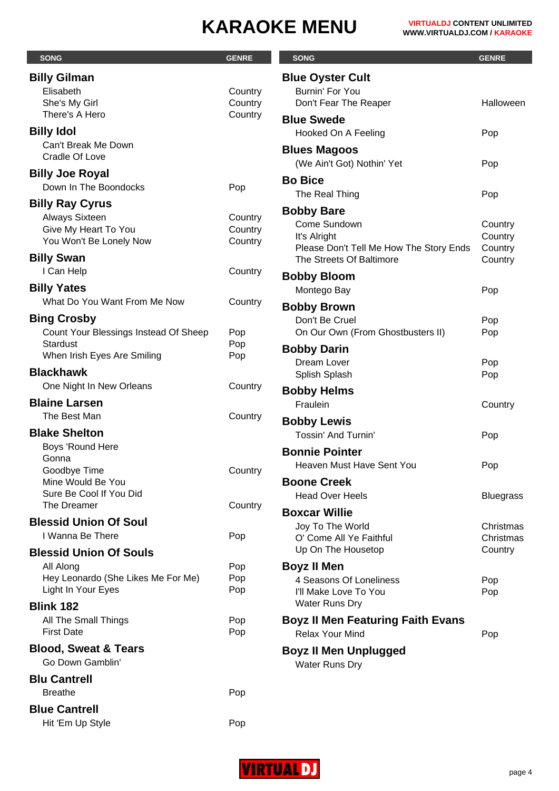| <b>SONG</b>                                     | <b>GENRE</b>       | <b>SONG</b>                                   | <b>GENRE</b>         |
|-------------------------------------------------|--------------------|-----------------------------------------------|----------------------|
| <b>Billy Gilman</b>                             |                    | <b>Blue Oyster Cult</b>                       |                      |
| Elisabeth                                       | Country            | Burnin' For You                               |                      |
| She's My Girl                                   | Country            | Don't Fear The Reaper                         | Halloween            |
| There's A Hero                                  | Country            | <b>Blue Swede</b>                             |                      |
| <b>Billy Idol</b>                               |                    | Hooked On A Feeling                           | Pop                  |
| Can't Break Me Down                             |                    | <b>Blues Magoos</b>                           |                      |
| <b>Cradle Of Love</b>                           |                    | (We Ain't Got) Nothin' Yet                    | Pop                  |
| <b>Billy Joe Royal</b>                          |                    | <b>Bo Bice</b>                                |                      |
| Down In The Boondocks                           | Pop                | The Real Thing                                | Pop                  |
| <b>Billy Ray Cyrus</b>                          |                    | <b>Bobby Bare</b>                             |                      |
| <b>Always Sixteen</b>                           | Country            | Come Sundown                                  | Country              |
| Give My Heart To You<br>You Won't Be Lonely Now | Country<br>Country | It's Alright                                  | Country              |
|                                                 |                    | Please Don't Tell Me How The Story Ends       | Country              |
| <b>Billy Swan</b>                               |                    | The Streets Of Baltimore                      | Country              |
| I Can Help                                      | Country            | <b>Bobby Bloom</b>                            |                      |
| <b>Billy Yates</b>                              |                    | Montego Bay                                   | Pop                  |
| What Do You Want From Me Now                    | Country            | <b>Bobby Brown</b>                            |                      |
| <b>Bing Crosby</b>                              |                    | Don't Be Cruel                                | Pop                  |
| Count Your Blessings Instead Of Sheep           | Pop                | On Our Own (From Ghostbusters II)             | Pop                  |
| <b>Stardust</b><br>When Irish Eyes Are Smiling  | Pop<br>Pop         | <b>Bobby Darin</b>                            |                      |
| <b>Blackhawk</b>                                |                    | Dream Lover                                   | Pop                  |
| One Night In New Orleans                        | Country            | Splish Splash                                 | Pop                  |
| <b>Blaine Larsen</b>                            |                    | <b>Bobby Helms</b>                            |                      |
| The Best Man                                    | Country            | Fraulein                                      | Country              |
| <b>Blake Shelton</b>                            |                    | <b>Bobby Lewis</b>                            |                      |
| Boys 'Round Here                                |                    | <b>Tossin' And Turnin'</b>                    | Pop                  |
| Gonna                                           |                    | <b>Bonnie Pointer</b>                         |                      |
| Goodbye Time                                    | Country            | Heaven Must Have Sent You                     | Pop                  |
| Mine Would Be You                               |                    | <b>Boone Creek</b>                            |                      |
| Sure Be Cool If You Did<br>The Dreamer          | Country            | <b>Head Over Heels</b>                        | <b>Bluegrass</b>     |
|                                                 |                    | <b>Boxcar Willie</b>                          |                      |
| <b>Blessid Union Of Soul</b>                    |                    | Joy To The World                              | Christmas            |
| I Wanna Be There                                | Pop                | O' Come All Ye Faithful<br>Up On The Housetop | Christmas<br>Country |
| <b>Blessid Union Of Souls</b>                   |                    |                                               |                      |
| All Along<br>Hey Leonardo (She Likes Me For Me) | Pop<br>Pop         | <b>Boyz II Men</b><br>4 Seasons Of Loneliness |                      |
| Light In Your Eyes                              | Pop                | I'll Make Love To You                         | Pop<br>Pop           |
| <b>Blink 182</b>                                |                    | Water Runs Dry                                |                      |
| All The Small Things                            | Pop                | <b>Boyz II Men Featuring Faith Evans</b>      |                      |
| <b>First Date</b>                               | Pop                | <b>Relax Your Mind</b>                        | Pop                  |
| <b>Blood, Sweat &amp; Tears</b>                 |                    | <b>Boyz II Men Unplugged</b>                  |                      |
| Go Down Gamblin'                                |                    | Water Runs Dry                                |                      |
| <b>Blu Cantrell</b>                             |                    |                                               |                      |
| <b>Breathe</b>                                  | Pop                |                                               |                      |
| <b>Blue Cantrell</b>                            |                    |                                               |                      |
| Hit 'Em Up Style                                | Pop                |                                               |                      |

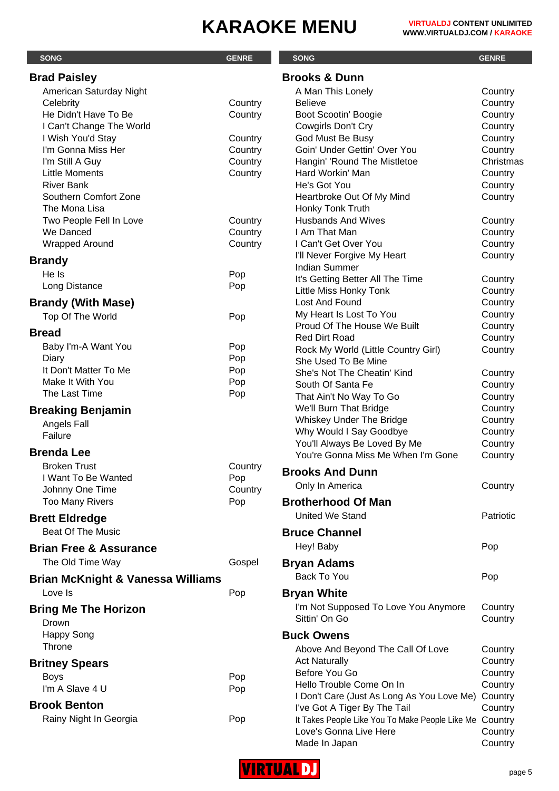|                                              |                    | <b>SONG</b>                                                                             |                      |
|----------------------------------------------|--------------------|-----------------------------------------------------------------------------------------|----------------------|
| <b>SONG</b>                                  | <b>GENRE</b>       |                                                                                         | <b>GENRE</b>         |
| <b>Brad Paisley</b>                          |                    | <b>Brooks &amp; Dunn</b>                                                                |                      |
| American Saturday Night                      |                    | A Man This Lonely                                                                       | Country              |
| Celebrity                                    | Country            | <b>Believe</b>                                                                          | Country              |
| He Didn't Have To Be                         | Country            | Boot Scootin' Boogie                                                                    | Country              |
| I Can't Change The World                     |                    | Cowgirls Don't Cry                                                                      | Country              |
| I Wish You'd Stay<br>I'm Gonna Miss Her      | Country            | God Must Be Busy<br>Goin' Under Gettin' Over You                                        | Country              |
| I'm Still A Guy                              | Country<br>Country | Hangin' 'Round The Mistletoe                                                            | Country<br>Christmas |
| <b>Little Moments</b>                        | Country            | Hard Workin' Man                                                                        | Country              |
| <b>River Bank</b>                            |                    | He's Got You                                                                            | Country              |
| Southern Comfort Zone                        |                    | Heartbroke Out Of My Mind                                                               | Country              |
| The Mona Lisa                                |                    | Honky Tonk Truth                                                                        |                      |
| Two People Fell In Love                      | Country            | <b>Husbands And Wives</b>                                                               | Country              |
| We Danced                                    | Country            | I Am That Man                                                                           | Country              |
| Wrapped Around                               | Country            | I Can't Get Over You                                                                    | Country              |
| <b>Brandy</b>                                |                    | I'll Never Forgive My Heart                                                             | Country              |
| He Is                                        | Pop                | <b>Indian Summer</b>                                                                    |                      |
| Long Distance                                | Pop                | It's Getting Better All The Time                                                        | Country              |
|                                              |                    | Little Miss Honky Tonk                                                                  | Country              |
| <b>Brandy (With Mase)</b>                    |                    | Lost And Found                                                                          | Country              |
| Top Of The World                             | Pop                | My Heart Is Lost To You<br>Proud Of The House We Built                                  | Country              |
| <b>Bread</b>                                 |                    | <b>Red Dirt Road</b>                                                                    | Country<br>Country   |
| Baby I'm-A Want You                          | Pop                | Rock My World (Little Country Girl)                                                     | Country              |
| Diary                                        | Pop                | She Used To Be Mine                                                                     |                      |
| It Don't Matter To Me                        | Pop                | She's Not The Cheatin' Kind                                                             | Country              |
| Make It With You                             | Pop                | South Of Santa Fe                                                                       | Country              |
| The Last Time                                | Pop                | That Ain't No Way To Go                                                                 | Country              |
| <b>Breaking Benjamin</b>                     |                    | We'll Burn That Bridge                                                                  | Country              |
| Angels Fall                                  |                    | Whiskey Under The Bridge                                                                | Country              |
| Failure                                      |                    | Why Would I Say Goodbye                                                                 | Country              |
| <b>Brenda Lee</b>                            |                    | You'll Always Be Loved By Me                                                            | Country              |
|                                              |                    | You're Gonna Miss Me When I'm Gone                                                      | Country              |
| <b>Broken Trust</b><br>I Want To Be Wanted   | Country<br>Pop     | <b>Brooks And Dunn</b>                                                                  |                      |
| Johnny One Time                              | Country            | Only In America                                                                         | Country              |
| <b>Too Many Rivers</b>                       | Pop                | <b>Brotherhood Of Man</b>                                                               |                      |
|                                              |                    | <b>United We Stand</b>                                                                  | Patriotic            |
| <b>Brett Eldredge</b>                        |                    |                                                                                         |                      |
| <b>Beat Of The Music</b>                     |                    | <b>Bruce Channel</b>                                                                    |                      |
| <b>Brian Free &amp; Assurance</b>            |                    | Hey! Baby                                                                               | Pop                  |
| The Old Time Way                             | Gospel             | <b>Bryan Adams</b>                                                                      |                      |
| <b>Brian McKnight &amp; Vanessa Williams</b> |                    | Back To You                                                                             | Pop                  |
| Love Is                                      | Pop                | <b>Bryan White</b>                                                                      |                      |
|                                              |                    | I'm Not Supposed To Love You Anymore                                                    | Country              |
| <b>Bring Me The Horizon</b><br>Drown         |                    | Sittin' On Go                                                                           | Country              |
| <b>Happy Song</b>                            |                    | <b>Buck Owens</b>                                                                       |                      |
| Throne                                       |                    | Above And Beyond The Call Of Love                                                       | Country              |
| <b>Britney Spears</b>                        |                    | <b>Act Naturally</b>                                                                    | Country              |
| <b>Boys</b>                                  | Pop                | Before You Go                                                                           | Country              |
| I'm A Slave 4 U                              | Pop                | Hello Trouble Come On In                                                                | Country              |
| <b>Brook Benton</b>                          |                    | I Don't Care (Just As Long As You Love Me)                                              | Country              |
| Rainy Night In Georgia                       | Pop                | I've Got A Tiger By The Tail<br>It Takes People Like You To Make People Like Me Country | Country              |
|                                              |                    | Love's Gonna Live Here                                                                  | Country              |



Made In Japan **Country**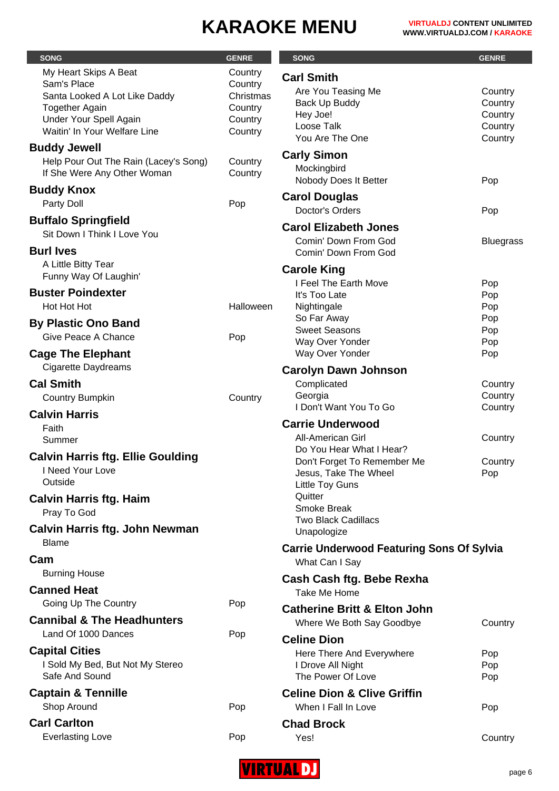| <b>SONG</b>                                                                                                                                              | <b>GENRE</b>                                                     | <b>SONG</b>                                                                                           | <b>GENRE</b>                                        |
|----------------------------------------------------------------------------------------------------------------------------------------------------------|------------------------------------------------------------------|-------------------------------------------------------------------------------------------------------|-----------------------------------------------------|
| My Heart Skips A Beat<br>Sam's Place<br>Santa Looked A Lot Like Daddy<br><b>Together Again</b><br>Under Your Spell Again<br>Waitin' In Your Welfare Line | Country<br>Country<br>Christmas<br>Country<br>Country<br>Country | <b>Carl Smith</b><br>Are You Teasing Me<br>Back Up Buddy<br>Hey Joe!<br>Loose Talk<br>You Are The One | Country<br>Country<br>Country<br>Country<br>Country |
| <b>Buddy Jewell</b><br>Help Pour Out The Rain (Lacey's Song)<br>If She Were Any Other Woman                                                              | Country<br>Country                                               | <b>Carly Simon</b><br>Mockingbird<br>Nobody Does It Better                                            | Pop                                                 |
| <b>Buddy Knox</b><br>Party Doll                                                                                                                          | Pop                                                              | <b>Carol Douglas</b><br>Doctor's Orders                                                               | Pop                                                 |
| <b>Buffalo Springfield</b><br>Sit Down I Think I Love You<br><b>Burl Ives</b>                                                                            |                                                                  | <b>Carol Elizabeth Jones</b><br>Comin' Down From God<br>Comin' Down From God                          | <b>Bluegrass</b>                                    |
| A Little Bitty Tear<br>Funny Way Of Laughin'                                                                                                             |                                                                  | <b>Carole King</b><br>I Feel The Earth Move                                                           | Pop                                                 |
| <b>Buster Poindexter</b><br>Hot Hot Hot                                                                                                                  | Halloween                                                        | It's Too Late<br>Nightingale                                                                          | Pop<br>Pop                                          |
| <b>By Plastic Ono Band</b><br>Give Peace A Chance                                                                                                        | Pop                                                              | So Far Away<br><b>Sweet Seasons</b><br>Way Over Yonder                                                | Pop<br>Pop<br>Pop                                   |
| <b>Cage The Elephant</b><br><b>Cigarette Daydreams</b>                                                                                                   |                                                                  | Way Over Yonder<br><b>Carolyn Dawn Johnson</b>                                                        | Pop                                                 |
| <b>Cal Smith</b><br><b>Country Bumpkin</b>                                                                                                               | Country                                                          | Complicated<br>Georgia<br>I Don't Want You To Go                                                      | Country<br>Country<br>Country                       |
| <b>Calvin Harris</b><br>Faith<br>Summer                                                                                                                  |                                                                  | <b>Carrie Underwood</b><br><b>All-American Girl</b>                                                   | Country                                             |
| <b>Calvin Harris ftg. Ellie Goulding</b><br>I Need Your Love<br>Outside                                                                                  |                                                                  | Do You Hear What I Hear?<br>Don't Forget To Remember Me<br>Jesus, Take The Wheel<br>Little Toy Guns   | Country<br>Pop                                      |
| <b>Calvin Harris ftg. Haim</b><br>Pray To God                                                                                                            |                                                                  | Quitter<br><b>Smoke Break</b><br><b>Two Black Cadillacs</b>                                           |                                                     |
| <b>Calvin Harris ftg. John Newman</b><br><b>Blame</b>                                                                                                    |                                                                  | Unapologize<br><b>Carrie Underwood Featuring Sons Of Sylvia</b>                                       |                                                     |
| Cam<br><b>Burning House</b>                                                                                                                              |                                                                  | What Can I Say<br>Cash Cash ftg. Bebe Rexha                                                           |                                                     |
| <b>Canned Heat</b><br>Going Up The Country                                                                                                               | Pop                                                              | Take Me Home<br><b>Catherine Britt &amp; Elton John</b>                                               |                                                     |
| <b>Cannibal &amp; The Headhunters</b><br>Land Of 1000 Dances                                                                                             | Pop                                                              | Where We Both Say Goodbye                                                                             | Country                                             |
| <b>Capital Cities</b><br>I Sold My Bed, But Not My Stereo<br>Safe And Sound                                                                              |                                                                  | <b>Celine Dion</b><br>Here There And Everywhere<br>I Drove All Night<br>The Power Of Love             | Pop<br>Pop<br>Pop                                   |
| <b>Captain &amp; Tennille</b><br>Shop Around                                                                                                             | Pop                                                              | <b>Celine Dion &amp; Clive Griffin</b><br>When I Fall In Love                                         | Pop                                                 |
| <b>Carl Carlton</b>                                                                                                                                      |                                                                  | <b>Chad Brock</b>                                                                                     |                                                     |
| <b>Everlasting Love</b>                                                                                                                                  | Pop                                                              | Yes!                                                                                                  | Country                                             |

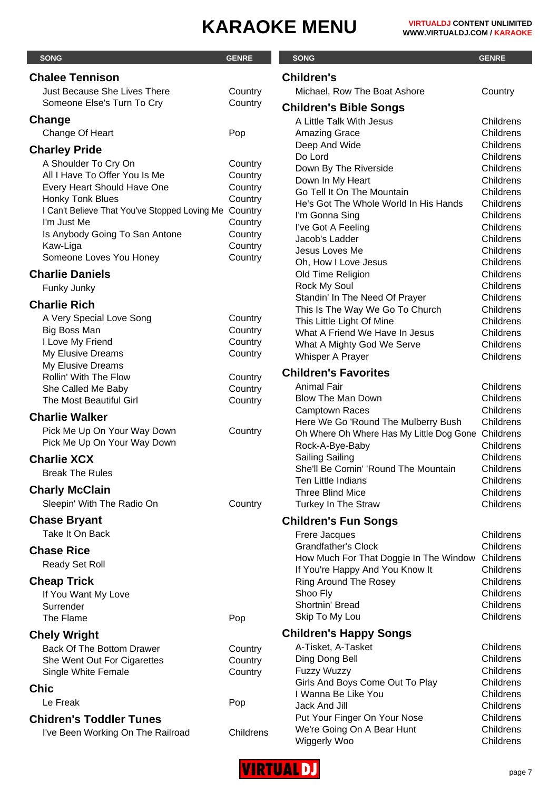| <b>SONG</b>                                                       | <b>GENRE</b>       | <b>SONG</b>                                                           | <b>GENRE</b>           |
|-------------------------------------------------------------------|--------------------|-----------------------------------------------------------------------|------------------------|
| <b>Chalee Tennison</b>                                            |                    | <b>Children's</b>                                                     |                        |
| <b>Just Because She Lives There</b>                               | Country            | Michael, Row The Boat Ashore                                          | Country                |
| Someone Else's Turn To Cry                                        | Country            |                                                                       |                        |
|                                                                   |                    | <b>Children's Bible Songs</b>                                         |                        |
| Change                                                            |                    | A Little Talk With Jesus                                              | Childrens              |
| Change Of Heart                                                   | Pop                | <b>Amazing Grace</b>                                                  | Childrens<br>Childrens |
| <b>Charley Pride</b>                                              |                    | Deep And Wide<br>Do Lord                                              | Childrens              |
| A Shoulder To Cry On                                              | Country            | Down By The Riverside                                                 | Childrens              |
| All I Have To Offer You Is Me                                     | Country            | Down In My Heart                                                      | Childrens              |
| Every Heart Should Have One                                       | Country            | Go Tell It On The Mountain                                            | Childrens              |
| Honky Tonk Blues<br>I Can't Believe That You've Stopped Loving Me | Country<br>Country | He's Got The Whole World In His Hands                                 | Childrens              |
| I'm Just Me                                                       | Country            | I'm Gonna Sing                                                        | Childrens              |
| Is Anybody Going To San Antone                                    | Country            | I've Got A Feeling                                                    | Childrens              |
| Kaw-Liga                                                          | Country            | Jacob's Ladder                                                        | Childrens              |
| Someone Loves You Honey                                           | Country            | Jesus Loves Me<br>Oh, How I Love Jesus                                | Childrens<br>Childrens |
| <b>Charlie Daniels</b>                                            |                    | Old Time Religion                                                     | Childrens              |
| Funky Junky                                                       |                    | <b>Rock My Soul</b>                                                   | Childrens              |
|                                                                   |                    | Standin' In The Need Of Prayer                                        | Childrens              |
| <b>Charlie Rich</b>                                               |                    | This Is The Way We Go To Church                                       | Childrens              |
| A Very Special Love Song                                          | Country            | This Little Light Of Mine                                             | Childrens              |
| <b>Big Boss Man</b>                                               | Country            | What A Friend We Have In Jesus                                        | Childrens              |
| I Love My Friend<br>My Elusive Dreams                             | Country<br>Country | What A Mighty God We Serve                                            | Childrens              |
| My Elusive Dreams                                                 |                    | Whisper A Prayer                                                      | Childrens              |
| Rollin' With The Flow                                             | Country            | <b>Children's Favorites</b>                                           |                        |
| She Called Me Baby                                                | Country            | <b>Animal Fair</b>                                                    | Childrens              |
| The Most Beautiful Girl                                           | Country            | <b>Blow The Man Down</b>                                              | Childrens              |
| <b>Charlie Walker</b>                                             |                    | <b>Camptown Races</b>                                                 | Childrens              |
| Pick Me Up On Your Way Down                                       | Country            | Here We Go 'Round The Mulberry Bush                                   | Childrens              |
| Pick Me Up On Your Way Down                                       |                    | Oh Where Oh Where Has My Little Dog Gone Childrens<br>Rock-A-Bye-Baby | Childrens              |
| <b>Charlie XCX</b>                                                |                    | <b>Sailing Sailing</b>                                                | Childrens              |
| <b>Break The Rules</b>                                            |                    | She'll Be Comin' 'Round The Mountain                                  | Childrens              |
|                                                                   |                    | <b>Ten Little Indians</b>                                             | Childrens              |
| <b>Charly McClain</b>                                             |                    | <b>Three Blind Mice</b>                                               | Childrens              |
| Sleepin' With The Radio On                                        | Country            | Turkey In The Straw                                                   | Childrens              |
| <b>Chase Bryant</b>                                               |                    | <b>Children's Fun Songs</b>                                           |                        |
| Take It On Back                                                   |                    | Frere Jacques                                                         | Childrens              |
| <b>Chase Rice</b>                                                 |                    | <b>Grandfather's Clock</b>                                            | Childrens              |
| Ready Set Roll                                                    |                    | How Much For That Doggie In The Window                                | Childrens              |
|                                                                   |                    | If You're Happy And You Know It                                       | Childrens              |
| <b>Cheap Trick</b>                                                |                    | Ring Around The Rosey                                                 | Childrens              |
| If You Want My Love<br>Surrender                                  |                    | Shoo Fly<br>Shortnin' Bread                                           | Childrens<br>Childrens |
| The Flame                                                         | Pop                | Skip To My Lou                                                        | Childrens              |
|                                                                   |                    |                                                                       |                        |
| <b>Chely Wright</b>                                               |                    | <b>Children's Happy Songs</b>                                         |                        |
| <b>Back Of The Bottom Drawer</b>                                  | Country            | A-Tisket, A-Tasket                                                    | Childrens<br>Childrens |
| She Went Out For Cigarettes                                       | Country            | Ding Dong Bell<br><b>Fuzzy Wuzzy</b>                                  | Childrens              |
| Single White Female                                               | Country            | Girls And Boys Come Out To Play                                       | Childrens              |
| <b>Chic</b>                                                       |                    | I Wanna Be Like You                                                   | Childrens              |
| Le Freak                                                          | Pop                | Jack And Jill                                                         | Childrens              |
| <b>Chidren's Toddler Tunes</b>                                    |                    | Put Your Finger On Your Nose                                          | Childrens              |
| I've Been Working On The Railroad                                 | Childrens          | We're Going On A Bear Hunt                                            | Childrens              |
|                                                                   |                    | Wiggerly Woo                                                          | Childrens              |

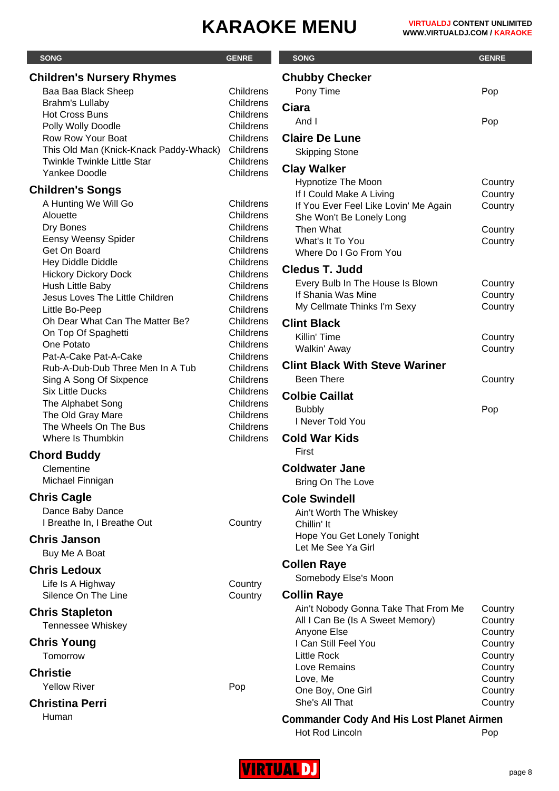| <b>SONG</b>                            | <b>GENRE</b>           | <b>SONG</b>                                           | <b>GENRE</b>       |
|----------------------------------------|------------------------|-------------------------------------------------------|--------------------|
| <b>Children's Nursery Rhymes</b>       |                        | <b>Chubby Checker</b>                                 |                    |
| Baa Baa Black Sheep                    | Childrens              | Pony Time                                             | Pop                |
| Brahm's Lullaby                        | Childrens              | <b>Ciara</b>                                          |                    |
| <b>Hot Cross Buns</b>                  | Childrens              |                                                       |                    |
| Polly Wolly Doodle                     | Childrens              | And I                                                 | Pop                |
| Row Row Your Boat                      | Childrens              | <b>Claire De Lune</b>                                 |                    |
| This Old Man (Knick-Knack Paddy-Whack) | Childrens              | <b>Skipping Stone</b>                                 |                    |
| <b>Twinkle Twinkle Little Star</b>     | Childrens              | <b>Clay Walker</b>                                    |                    |
| Yankee Doodle                          | Childrens              |                                                       |                    |
| <b>Children's Songs</b>                |                        | <b>Hypnotize The Moon</b><br>If I Could Make A Living | Country<br>Country |
| A Hunting We Will Go                   | Childrens              | If You Ever Feel Like Lovin' Me Again                 | Country            |
| Alouette                               | Childrens              | She Won't Be Lonely Long                              |                    |
| Dry Bones                              | Childrens              | Then What                                             | Country            |
| <b>Eensy Weensy Spider</b>             | Childrens              | What's It To You                                      | Country            |
| Get On Board                           | Childrens              | Where Do I Go From You                                |                    |
| Hey Diddle Diddle                      | Childrens              | <b>Cledus T. Judd</b>                                 |                    |
| <b>Hickory Dickory Dock</b>            | Childrens              |                                                       |                    |
| Hush Little Baby                       | Childrens              | Every Bulb In The House Is Blown                      | Country            |
| Jesus Loves The Little Children        | Childrens              | If Shania Was Mine<br>My Cellmate Thinks I'm Sexy     | Country            |
| Little Bo-Peep                         | Childrens              |                                                       | Country            |
| Oh Dear What Can The Matter Be?        | Childrens              | <b>Clint Black</b>                                    |                    |
| On Top Of Spaghetti                    | Childrens              | Killin' Time                                          | Country            |
| One Potato<br>Pat-A-Cake Pat-A-Cake    | Childrens              | Walkin' Away                                          | Country            |
| Rub-A-Dub-Dub Three Men In A Tub       | Childrens<br>Childrens | <b>Clint Black With Steve Wariner</b>                 |                    |
| Sing A Song Of Sixpence                | Childrens              | <b>Been There</b>                                     | Country            |
| <b>Six Little Ducks</b>                | Childrens              |                                                       |                    |
| The Alphabet Song                      | Childrens              | <b>Colbie Caillat</b>                                 |                    |
| The Old Gray Mare                      | Childrens              | <b>Bubbly</b>                                         | Pop                |
| The Wheels On The Bus                  | Childrens              | I Never Told You                                      |                    |
| Where Is Thumbkin                      | Childrens              | <b>Cold War Kids</b>                                  |                    |
|                                        |                        | First                                                 |                    |
| <b>Chord Buddy</b>                     |                        |                                                       |                    |
| Clementine                             |                        | <b>Coldwater Jane</b>                                 |                    |
| Michael Finnigan                       |                        | Bring On The Love                                     |                    |
| <b>Chris Cagle</b>                     |                        | <b>Cole Swindell</b>                                  |                    |
| Dance Baby Dance                       |                        | Ain't Worth The Whiskey                               |                    |
| I Breathe In, I Breathe Out            | Country                | Chillin' It                                           |                    |
| <b>Chris Janson</b>                    |                        | Hope You Get Lonely Tonight                           |                    |
| Buy Me A Boat                          |                        | Let Me See Ya Girl                                    |                    |
|                                        |                        | <b>Collen Raye</b>                                    |                    |
| <b>Chris Ledoux</b>                    |                        | Somebody Else's Moon                                  |                    |
| Life Is A Highway                      | Country                |                                                       |                    |
| Silence On The Line                    | Country                | <b>Collin Raye</b>                                    |                    |
| <b>Chris Stapleton</b>                 |                        | Ain't Nobody Gonna Take That From Me                  | Country            |
| Tennessee Whiskey                      |                        | All I Can Be (Is A Sweet Memory)                      | Country            |
|                                        |                        | Anyone Else                                           | Country            |
| <b>Chris Young</b>                     |                        | I Can Still Feel You                                  | Country            |
| Tomorrow                               |                        | <b>Little Rock</b>                                    | Country            |
| <b>Christie</b>                        |                        | Love Remains                                          | Country            |
| <b>Yellow River</b>                    | Pop                    | Love, Me<br>One Boy, One Girl                         | Country            |
| <b>Christina Perri</b>                 |                        | She's All That                                        | Country<br>Country |
|                                        |                        |                                                       |                    |
| Human                                  |                        | <b>Commander Cody And His Lost Planet Airmen</b>      |                    |
|                                        |                        | Hot Rod Lincoln                                       | Pop                |

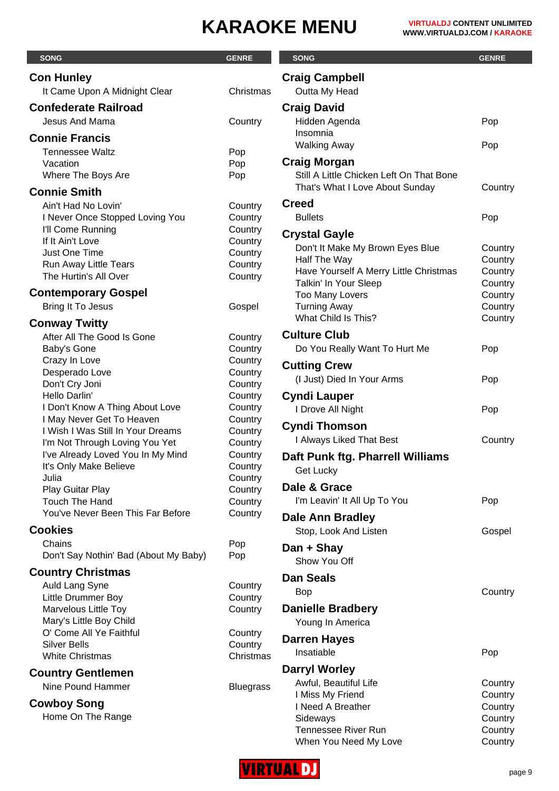| <b>SONG</b>                                                 | <b>GENRE</b>       | <b>SONG</b>                                                     | <b>GENRE</b>       |
|-------------------------------------------------------------|--------------------|-----------------------------------------------------------------|--------------------|
| <b>Con Hunley</b>                                           |                    | <b>Craig Campbell</b>                                           |                    |
| It Came Upon A Midnight Clear                               | Christmas          | Outta My Head                                                   |                    |
| <b>Confederate Railroad</b>                                 |                    | <b>Craig David</b>                                              |                    |
| Jesus And Mama                                              | Country            | Hidden Agenda                                                   | Pop                |
| <b>Connie Francis</b>                                       |                    | Insomnia                                                        |                    |
| <b>Tennessee Waltz</b>                                      | Pop                | <b>Walking Away</b>                                             | Pop                |
| Vacation                                                    | Pop                | <b>Craig Morgan</b>                                             |                    |
| Where The Boys Are                                          | Pop                | Still A Little Chicken Left On That Bone                        |                    |
| <b>Connie Smith</b>                                         |                    | That's What I Love About Sunday                                 | Country            |
| Ain't Had No Lovin'                                         | Country            | <b>Creed</b>                                                    |                    |
| I Never Once Stopped Loving You                             | Country            | <b>Bullets</b>                                                  | Pop                |
| I'll Come Running<br>If It Ain't Love                       | Country<br>Country | <b>Crystal Gayle</b>                                            |                    |
| Just One Time                                               | Country            | Don't It Make My Brown Eyes Blue                                | Country            |
| Run Away Little Tears                                       | Country            | Half The Way                                                    | Country            |
| The Hurtin's All Over                                       | Country            | Have Yourself A Merry Little Christmas<br>Talkin' In Your Sleep | Country<br>Country |
| <b>Contemporary Gospel</b>                                  |                    | Too Many Lovers                                                 | Country            |
| Bring It To Jesus                                           | Gospel             | <b>Turning Away</b>                                             | Country            |
| <b>Conway Twitty</b>                                        |                    | What Child Is This?                                             | Country            |
| After All The Good Is Gone                                  | Country            | <b>Culture Club</b>                                             |                    |
| Baby's Gone                                                 | Country            | Do You Really Want To Hurt Me                                   | Pop                |
| Crazy In Love                                               | Country            | <b>Cutting Crew</b>                                             |                    |
| Desperado Love                                              | Country            | (I Just) Died In Your Arms                                      | Pop                |
| Don't Cry Joni<br>Hello Darlin'                             | Country<br>Country | <b>Cyndi Lauper</b>                                             |                    |
| I Don't Know A Thing About Love                             | Country            | I Drove All Night                                               | Pop                |
| I May Never Get To Heaven                                   | Country            |                                                                 |                    |
| I Wish I Was Still In Your Dreams                           | Country            | <b>Cyndi Thomson</b>                                            |                    |
| I'm Not Through Loving You Yet                              | Country            | I Always Liked That Best                                        | Country            |
| I've Already Loved You In My Mind<br>It's Only Make Believe | Country<br>Country | Daft Punk ftg. Pharrell Williams                                |                    |
| Julia                                                       | Country            | Get Lucky                                                       |                    |
| Play Guitar Play                                            | Country            | Dale & Grace                                                    |                    |
| <b>Touch The Hand</b>                                       | Country            | I'm Leavin' It All Up To You                                    | Pop                |
| You've Never Been This Far Before                           | Country            | Dale Ann Bradley                                                |                    |
| <b>Cookies</b>                                              |                    | Stop, Look And Listen                                           | Gospel             |
| Chains                                                      | Pop                | Dan + Shay                                                      |                    |
| Don't Say Nothin' Bad (About My Baby)                       | Pop                | Show You Off                                                    |                    |
| <b>Country Christmas</b>                                    |                    | <b>Dan Seals</b>                                                |                    |
| Auld Lang Syne                                              | Country            | <b>Bop</b>                                                      | Country            |
| Little Drummer Boy<br>Marvelous Little Toy                  | Country<br>Country | <b>Danielle Bradbery</b>                                        |                    |
| Mary's Little Boy Child                                     |                    | Young In America                                                |                    |
| O' Come All Ye Faithful                                     | Country            |                                                                 |                    |
| <b>Silver Bells</b>                                         | Country            | <b>Darren Hayes</b><br>Insatiable                               | Pop                |
| <b>White Christmas</b>                                      | Christmas          |                                                                 |                    |
| <b>Country Gentlemen</b>                                    |                    | <b>Darryl Worley</b>                                            |                    |
| Nine Pound Hammer                                           | <b>Bluegrass</b>   | Awful, Beautiful Life<br>I Miss My Friend                       | Country<br>Country |
| <b>Cowboy Song</b>                                          |                    | I Need A Breather                                               | Country            |
| Home On The Range                                           |                    | Sideways                                                        | Country            |
|                                                             |                    | Tennessee River Run                                             | Country            |



When You Need My Love **Country**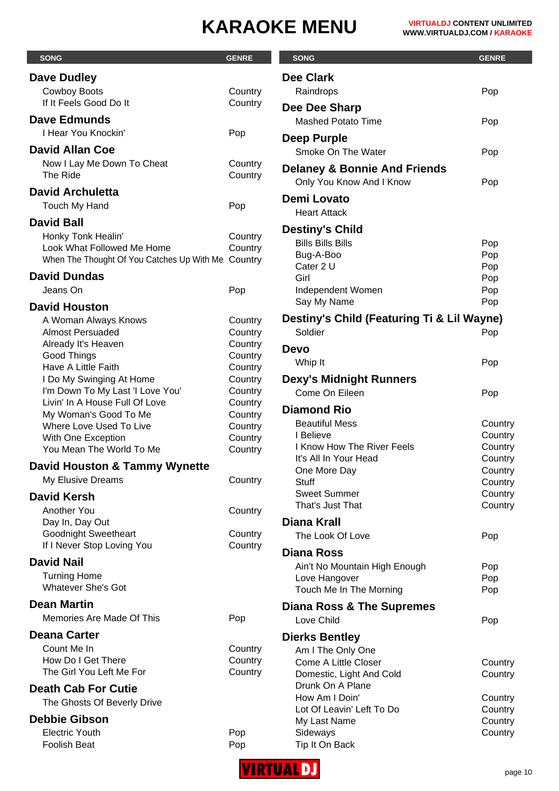| <b>SONG</b>                                             | <b>GENRE</b>       | <b>SONG</b>                                                         | <b>GENRE</b>       |
|---------------------------------------------------------|--------------------|---------------------------------------------------------------------|--------------------|
| <b>Dave Dudley</b>                                      |                    | <b>Dee Clark</b>                                                    |                    |
| <b>Cowboy Boots</b>                                     | Country            | Raindrops                                                           | Pop                |
| If It Feels Good Do It                                  | Country            | Dee Dee Sharp                                                       |                    |
| <b>Dave Edmunds</b>                                     |                    | <b>Mashed Potato Time</b>                                           | Pop                |
| I Hear You Knockin'                                     | Pop                |                                                                     |                    |
| <b>David Allan Coe</b>                                  |                    | Deep Purple                                                         |                    |
|                                                         |                    | Smoke On The Water                                                  | Pop                |
| Now I Lay Me Down To Cheat<br>The Ride                  | Country<br>Country | <b>Delaney &amp; Bonnie And Friends</b><br>Only You Know And I Know | Pop                |
| <b>David Archuletta</b>                                 |                    |                                                                     |                    |
| Touch My Hand                                           | Pop                | <b>Demi Lovato</b><br><b>Heart Attack</b>                           |                    |
| <b>David Ball</b>                                       |                    |                                                                     |                    |
| Honky Tonk Healin'                                      | Country            | <b>Destiny's Child</b>                                              |                    |
| Look What Followed Me Home                              | Country            | <b>Bills Bills Bills</b>                                            | Pop                |
| When The Thought Of You Catches Up With Me Country      |                    | Bug-A-Boo<br>Cater 2 U                                              | Pop                |
| <b>David Dundas</b>                                     |                    | Girl                                                                | Pop<br>Pop         |
| Jeans On                                                | Pop                | Independent Women                                                   | Pop                |
| <b>David Houston</b>                                    |                    | Say My Name                                                         | Pop                |
| A Woman Always Knows                                    | Country            | Destiny's Child (Featuring Ti & Lil Wayne)                          |                    |
| <b>Almost Persuaded</b>                                 | Country            | Soldier                                                             | Pop                |
| Already It's Heaven                                     | Country            |                                                                     |                    |
| Good Things                                             | Country            | <b>Devo</b>                                                         |                    |
| <b>Have A Little Faith</b>                              | Country            | Whip It                                                             | Pop                |
| I Do My Swinging At Home                                | Country            | <b>Dexy's Midnight Runners</b>                                      |                    |
| I'm Down To My Last 'I Love You'                        | Country            | Come On Eileen                                                      | Pop                |
| Livin' In A House Full Of Love<br>My Woman's Good To Me | Country<br>Country | <b>Diamond Rio</b>                                                  |                    |
| Where Love Used To Live                                 | Country            | <b>Beautiful Mess</b>                                               | Country            |
| With One Exception                                      | Country            | I Believe                                                           | Country            |
| You Mean The World To Me                                | Country            | I Know How The River Feels                                          | Country            |
| <b>David Houston &amp; Tammy Wynette</b>                |                    | It's All In Your Head                                               | Country            |
| My Elusive Dreams                                       | Country            | One More Day<br><b>Stuff</b>                                        | Country<br>Country |
| <b>David Kersh</b>                                      |                    | <b>Sweet Summer</b>                                                 | Country            |
| Another You                                             |                    | That's Just That                                                    | Country            |
| Day In, Day Out                                         | Country            | <b>Diana Krall</b>                                                  |                    |
| <b>Goodnight Sweetheart</b>                             | Country            | The Look Of Love                                                    | Pop                |
| If I Never Stop Loving You                              | Country            |                                                                     |                    |
| <b>David Nail</b>                                       |                    | <b>Diana Ross</b>                                                   |                    |
| <b>Turning Home</b>                                     |                    | Ain't No Mountain High Enough<br>Love Hangover                      | Pop                |
| <b>Whatever She's Got</b>                               |                    | Touch Me In The Morning                                             | Pop<br>Pop         |
| <b>Dean Martin</b>                                      |                    |                                                                     |                    |
| Memories Are Made Of This                               | Pop                | Diana Ross & The Supremes                                           |                    |
|                                                         |                    | Love Child                                                          | Pop                |
| <b>Deana Carter</b>                                     |                    | <b>Dierks Bentley</b>                                               |                    |
| Count Me In<br>How Do I Get There                       | Country<br>Country | Am I The Only One                                                   |                    |
| The Girl You Left Me For                                | Country            | Come A Little Closer                                                | Country            |
|                                                         |                    | Domestic, Light And Cold<br>Drunk On A Plane                        | Country            |
| <b>Death Cab For Cutie</b>                              |                    | How Am I Doin'                                                      | Country            |
| The Ghosts Of Beverly Drive                             |                    | Lot Of Leavin' Left To Do                                           | Country            |
| <b>Debbie Gibson</b>                                    |                    | My Last Name                                                        | Country            |
| <b>Electric Youth</b>                                   | Pop                | Sideways                                                            | Country            |
| Foolish Beat                                            | Pop                | Tip It On Back                                                      |                    |

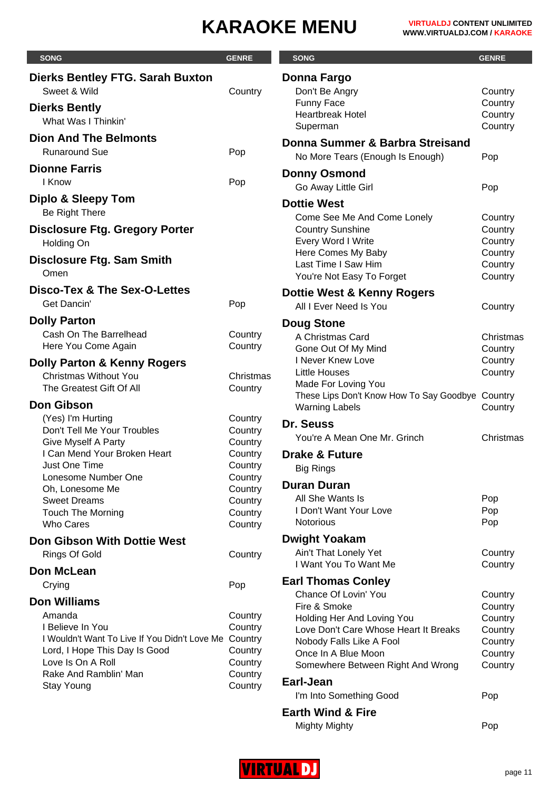| <b>SONG</b>                                   | <b>GENRE</b>       | <b>SONG</b>                                                               | <b>GENRE</b>       |
|-----------------------------------------------|--------------------|---------------------------------------------------------------------------|--------------------|
| <b>Dierks Bentley FTG. Sarah Buxton</b>       |                    | Donna Fargo                                                               |                    |
| Sweet & Wild                                  | Country            | Don't Be Angry                                                            | Country            |
| <b>Dierks Bently</b>                          |                    | Funny Face                                                                | Country            |
| What Was I Thinkin'                           |                    | <b>Heartbreak Hotel</b>                                                   | Country            |
|                                               |                    | Superman                                                                  | Country            |
| <b>Dion And The Belmonts</b>                  |                    | Donna Summer & Barbra Streisand                                           |                    |
| <b>Runaround Sue</b>                          | Pop                | No More Tears (Enough Is Enough)                                          | Pop                |
| <b>Dionne Farris</b>                          |                    | <b>Donny Osmond</b>                                                       |                    |
| I Know                                        | Pop                | Go Away Little Girl                                                       | Pop                |
| Diplo & Sleepy Tom                            |                    | <b>Dottie West</b>                                                        |                    |
| Be Right There                                |                    |                                                                           |                    |
| <b>Disclosure Ftg. Gregory Porter</b>         |                    | Come See Me And Come Lonely<br><b>Country Sunshine</b>                    | Country<br>Country |
| Holding On                                    |                    | Every Word I Write                                                        | Country            |
|                                               |                    | Here Comes My Baby                                                        | Country            |
| <b>Disclosure Ftg. Sam Smith</b>              |                    | Last Time I Saw Him                                                       | Country            |
| Omen                                          |                    | You're Not Easy To Forget                                                 | Country            |
| <b>Disco-Tex &amp; The Sex-O-Lettes</b>       |                    | Dottie West & Kenny Rogers                                                |                    |
| Get Dancin'                                   | Pop                | All I Ever Need Is You                                                    | Country            |
| <b>Dolly Parton</b>                           |                    | <b>Doug Stone</b>                                                         |                    |
| Cash On The Barrelhead                        | Country            | A Christmas Card                                                          | Christmas          |
| Here You Come Again                           | Country            | Gone Out Of My Mind                                                       | Country            |
| <b>Dolly Parton &amp; Kenny Rogers</b>        |                    | I Never Knew Love                                                         | Country            |
| <b>Christmas Without You</b>                  | Christmas          | <b>Little Houses</b>                                                      | Country            |
| The Greatest Gift Of All                      | Country            | Made For Loving You                                                       |                    |
| <b>Don Gibson</b>                             |                    | These Lips Don't Know How To Say Goodbye Country<br><b>Warning Labels</b> | Country            |
| (Yes) I'm Hurting                             | Country            |                                                                           |                    |
| Don't Tell Me Your Troubles                   | Country            | Dr. Seuss                                                                 |                    |
| Give Myself A Party                           | Country            | You're A Mean One Mr. Grinch                                              | Christmas          |
| I Can Mend Your Broken Heart                  | Country            | <b>Drake &amp; Future</b>                                                 |                    |
| Just One Time                                 | Country            | <b>Big Rings</b>                                                          |                    |
| Lonesome Number One<br>Oh, Lonesome Me        | Country<br>Country | <b>Duran Duran</b>                                                        |                    |
| <b>Sweet Dreams</b>                           | Country            | All She Wants Is                                                          | Pop                |
| <b>Touch The Morning</b>                      | Country            | I Don't Want Your Love                                                    | Pop                |
| <b>Who Cares</b>                              | Country            | <b>Notorious</b>                                                          | Pop                |
| <b>Don Gibson With Dottie West</b>            |                    | <b>Dwight Yoakam</b>                                                      |                    |
| Rings Of Gold                                 | Country            | Ain't That Lonely Yet                                                     | Country            |
| Don McLean                                    |                    | I Want You To Want Me                                                     | Country            |
| Crying                                        | Pop                | <b>Earl Thomas Conley</b>                                                 |                    |
|                                               |                    | Chance Of Lovin' You                                                      | Country            |
| <b>Don Williams</b>                           |                    | Fire & Smoke                                                              | Country            |
| Amanda<br>I Believe In You                    | Country            | Holding Her And Loving You                                                | Country            |
| I Wouldn't Want To Live If You Didn't Love Me | Country<br>Country | Love Don't Care Whose Heart It Breaks                                     | Country            |
| Lord, I Hope This Day Is Good                 | Country            | Nobody Falls Like A Fool<br>Once In A Blue Moon                           | Country<br>Country |
| Love Is On A Roll                             | Country            | Somewhere Between Right And Wrong                                         | Country            |
| Rake And Ramblin' Man                         | Country            |                                                                           |                    |
| <b>Stay Young</b>                             | Country            | Earl-Jean                                                                 |                    |
|                                               |                    | I'm Into Something Good                                                   | Pop                |
|                                               |                    | <b>Earth Wind &amp; Fire</b>                                              |                    |

| .                    |     |
|----------------------|-----|
| <b>Mighty Mighty</b> | Pop |

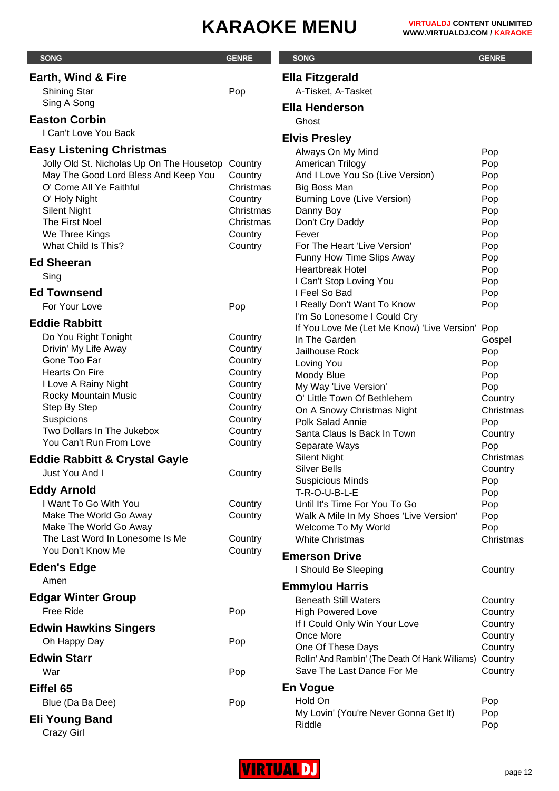| <b>SONG</b>                                                                       | <b>GENRE</b>         | <b>SONG</b>                                             | <b>GENRE</b>         |
|-----------------------------------------------------------------------------------|----------------------|---------------------------------------------------------|----------------------|
| <b>Earth, Wind &amp; Fire</b>                                                     |                      | <b>Ella Fitzgerald</b>                                  |                      |
| <b>Shining Star</b>                                                               | Pop                  | A-Tisket, A-Tasket                                      |                      |
| Sing A Song                                                                       |                      | <b>Ella Henderson</b>                                   |                      |
| <b>Easton Corbin</b>                                                              |                      | Ghost                                                   |                      |
| I Can't Love You Back                                                             |                      |                                                         |                      |
|                                                                                   |                      | <b>Elvis Presley</b>                                    |                      |
| <b>Easy Listening Christmas</b>                                                   |                      | Always On My Mind                                       | Pop                  |
| Jolly Old St. Nicholas Up On The Housetop<br>May The Good Lord Bless And Keep You | Country              | American Trilogy                                        | Pop                  |
| O' Come All Ye Faithful                                                           | Country<br>Christmas | And I Love You So (Live Version)<br>Big Boss Man        | Pop<br>Pop           |
| O' Holy Night                                                                     | Country              | Burning Love (Live Version)                             | Pop                  |
| <b>Silent Night</b>                                                               | Christmas            | Danny Boy                                               | Pop                  |
| The First Noel                                                                    | Christmas            | Don't Cry Daddy                                         | Pop                  |
| We Three Kings                                                                    | Country              | Fever                                                   | Pop                  |
| What Child Is This?                                                               | Country              | For The Heart 'Live Version'                            | Pop                  |
| <b>Ed Sheeran</b>                                                                 |                      | Funny How Time Slips Away                               | Pop                  |
| Sing                                                                              |                      | <b>Heartbreak Hotel</b>                                 | Pop                  |
| <b>Ed Townsend</b>                                                                |                      | I Can't Stop Loving You<br>I Feel So Bad                | Pop<br>Pop           |
| For Your Love                                                                     | Pop                  | I Really Don't Want To Know                             | Pop                  |
|                                                                                   |                      | I'm So Lonesome I Could Cry                             |                      |
| <b>Eddie Rabbitt</b>                                                              |                      | If You Love Me (Let Me Know) 'Live Version' Pop         |                      |
| Do You Right Tonight                                                              | Country              | In The Garden                                           | Gospel               |
| Drivin' My Life Away                                                              | Country              | Jailhouse Rock                                          | Pop                  |
| Gone Too Far<br>Hearts On Fire                                                    | Country<br>Country   | Loving You                                              | Pop                  |
| I Love A Rainy Night                                                              | Country              | Moody Blue                                              | Pop                  |
| Rocky Mountain Music                                                              | Country              | My Way 'Live Version'<br>O' Little Town Of Bethlehem    | Pop                  |
| Step By Step                                                                      | Country              | On A Snowy Christmas Night                              | Country<br>Christmas |
| Suspicions                                                                        | Country              | Polk Salad Annie                                        | Pop                  |
| Two Dollars In The Jukebox                                                        | Country              | Santa Claus Is Back In Town                             | Country              |
| You Can't Run From Love                                                           | Country              | Separate Ways                                           | Pop                  |
| <b>Eddie Rabbitt &amp; Crystal Gayle</b>                                          |                      | <b>Silent Night</b>                                     | Christmas            |
| Just You And I                                                                    | Country              | <b>Silver Bells</b>                                     | Country              |
| <b>Eddy Arnold</b>                                                                |                      | <b>Suspicious Minds</b>                                 | Pop                  |
| I Want To Go With You                                                             | Country              | T-R-O-U-B-L-E<br>Until It's Time For You To Go          | Pop<br>Pop           |
| Make The World Go Away                                                            | Country              | Walk A Mile In My Shoes 'Live Version'                  | Pop                  |
| Make The World Go Away                                                            |                      | Welcome To My World                                     | Pop                  |
| The Last Word In Lonesome Is Me                                                   | Country              | <b>White Christmas</b>                                  | Christmas            |
| You Don't Know Me                                                                 | Country              | <b>Emerson Drive</b>                                    |                      |
| <b>Eden's Edge</b>                                                                |                      | I Should Be Sleeping                                    | Country              |
| Amen                                                                              |                      |                                                         |                      |
| <b>Edgar Winter Group</b>                                                         |                      | <b>Emmylou Harris</b>                                   |                      |
| <b>Free Ride</b>                                                                  | Pop                  | <b>Beneath Still Waters</b><br><b>High Powered Love</b> | Country<br>Country   |
|                                                                                   |                      | If I Could Only Win Your Love                           | Country              |
| <b>Edwin Hawkins Singers</b>                                                      |                      | Once More                                               | Country              |
| Oh Happy Day                                                                      | Pop                  | One Of These Days                                       | Country              |
| <b>Edwin Starr</b>                                                                |                      | Rollin' And Ramblin' (The Death Of Hank Williams)       | Country              |
| War                                                                               | Pop                  | Save The Last Dance For Me                              | Country              |
| Eiffel 65                                                                         |                      | <b>En Vogue</b>                                         |                      |
| Blue (Da Ba Dee)                                                                  | Pop                  | Hold On                                                 | Pop                  |
| <b>Eli Young Band</b>                                                             |                      | My Lovin' (You're Never Gonna Get It)                   | Pop                  |
| <b>Crazy Girl</b>                                                                 |                      | Riddle                                                  | Pop                  |

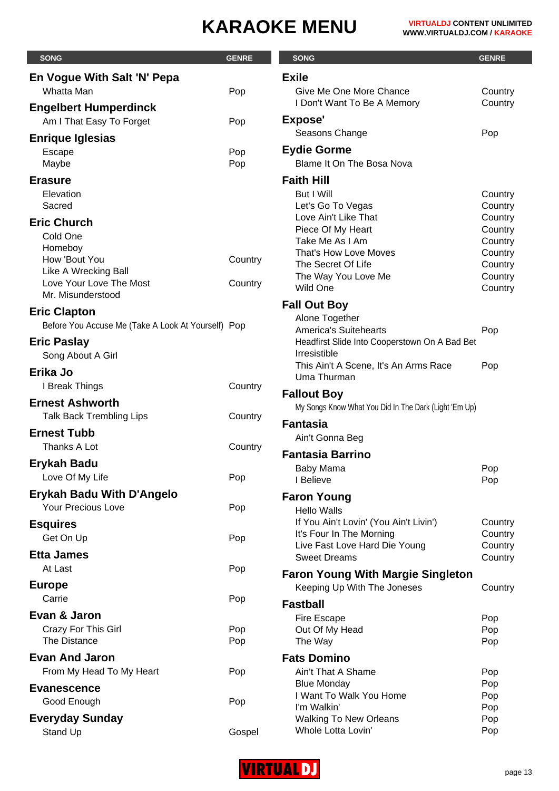| <b>SONG</b>                                        | <b>GENRE</b> | <b>SONG</b>                                                        | <b>GENRE</b>       |
|----------------------------------------------------|--------------|--------------------------------------------------------------------|--------------------|
| En Vogue With Salt 'N' Pepa                        |              | <b>Exile</b>                                                       |                    |
| Whatta Man                                         | Pop          | Give Me One More Chance                                            | Country            |
| <b>Engelbert Humperdinck</b>                       |              | I Don't Want To Be A Memory                                        | Country            |
| Am I That Easy To Forget                           | Pop          | <b>Expose'</b>                                                     |                    |
| <b>Enrique Iglesias</b>                            |              | Seasons Change                                                     | Pop                |
| Escape                                             | Pop          | <b>Eydie Gorme</b>                                                 |                    |
| Maybe                                              | Pop          | Blame It On The Bosa Nova                                          |                    |
| <b>Erasure</b>                                     |              | <b>Faith Hill</b>                                                  |                    |
| Elevation                                          |              | But I Will                                                         | Country            |
| Sacred                                             |              | Let's Go To Vegas<br>Love Ain't Like That                          | Country<br>Country |
| <b>Eric Church</b>                                 |              | Piece Of My Heart                                                  | Country            |
| Cold One<br>Homeboy                                |              | Take Me As I Am                                                    | Country            |
| How 'Bout You                                      | Country      | That's How Love Moves<br>The Secret Of Life                        | Country            |
| Like A Wrecking Ball                               |              | The Way You Love Me                                                | Country<br>Country |
| Love Your Love The Most                            | Country      | Wild One                                                           | Country            |
| Mr. Misunderstood                                  |              | <b>Fall Out Boy</b>                                                |                    |
| <b>Eric Clapton</b>                                |              | Alone Together                                                     |                    |
| Before You Accuse Me (Take A Look At Yourself) Pop |              | <b>America's Suitehearts</b>                                       | Pop                |
| <b>Eric Paslay</b>                                 |              | Headfirst Slide Into Cooperstown On A Bad Bet<br>Irresistible      |                    |
| Song About A Girl                                  |              | This Ain't A Scene, It's An Arms Race                              | Pop                |
| Erika Jo                                           |              | Uma Thurman                                                        |                    |
| I Break Things                                     | Country      | <b>Fallout Boy</b>                                                 |                    |
| <b>Ernest Ashworth</b>                             |              | My Songs Know What You Did In The Dark (Light 'Em Up)              |                    |
| Talk Back Trembling Lips                           | Country      | <b>Fantasia</b>                                                    |                    |
| <b>Ernest Tubb</b>                                 |              | Ain't Gonna Beg                                                    |                    |
| Thanks A Lot                                       | Country      | <b>Fantasia Barrino</b>                                            |                    |
| <b>Ervkah Badu</b>                                 |              | Baby Mama                                                          | Pop                |
| Love Of My Life                                    | Pop          | I Believe                                                          | Pop                |
| <b>Erykah Badu With D'Angelo</b>                   |              | <b>Faron Young</b>                                                 |                    |
| <b>Your Precious Love</b>                          | Pop          | <b>Hello Walls</b>                                                 |                    |
| <b>Esquires</b>                                    |              | If You Ain't Lovin' (You Ain't Livin')<br>It's Four In The Morning | Country<br>Country |
| Get On Up                                          | Pop          | Live Fast Love Hard Die Young                                      | Country            |
| <b>Etta James</b>                                  |              | <b>Sweet Dreams</b>                                                | Country            |
| At Last                                            | Pop          | <b>Faron Young With Margie Singleton</b>                           |                    |
| <b>Europe</b>                                      |              | Keeping Up With The Joneses                                        | Country            |
| Carrie                                             | Pop          | <b>Fastball</b>                                                    |                    |
| Evan & Jaron                                       |              | Fire Escape                                                        | Pop                |
| <b>Crazy For This Girl</b><br><b>The Distance</b>  | Pop<br>Pop   | Out Of My Head<br>The Way                                          | Pop<br>Pop         |
| <b>Evan And Jaron</b>                              |              | <b>Fats Domino</b>                                                 |                    |
| From My Head To My Heart                           | Pop          | Ain't That A Shame                                                 | Pop                |
|                                                    |              | <b>Blue Monday</b>                                                 | Pop                |
| <b>Evanescence</b><br>Good Enough                  | Pop          | I Want To Walk You Home                                            | Pop                |
|                                                    |              | I'm Walkin'                                                        | Pop                |
| <b>Everyday Sunday</b><br>Stand Up                 | Gospel       | <b>Walking To New Orleans</b><br>Whole Lotta Lovin'                | Pop<br>Pop         |

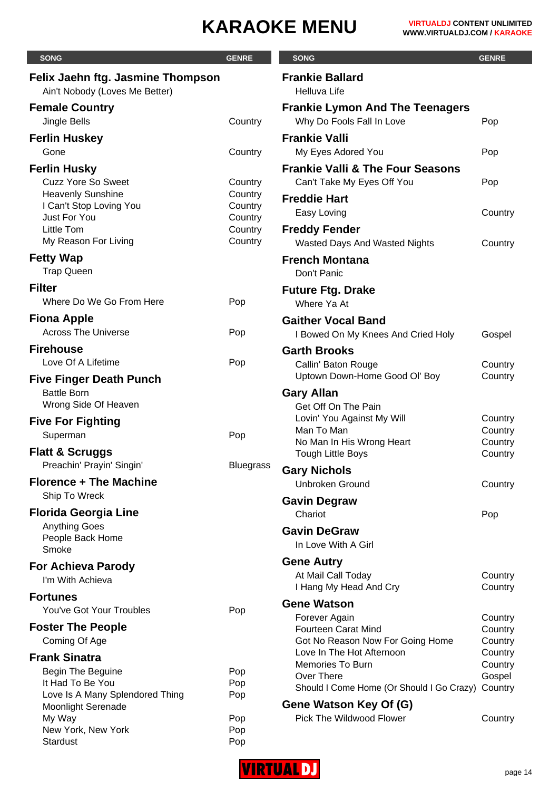| <b>SONG</b>                                                                                             | <b>GENRE</b>                  | <b>SONG</b>                                                                                       | <b>GENRE</b>                             |
|---------------------------------------------------------------------------------------------------------|-------------------------------|---------------------------------------------------------------------------------------------------|------------------------------------------|
| Felix Jaehn ftg. Jasmine Thompson<br>Ain't Nobody (Loves Me Better)                                     |                               | <b>Frankie Ballard</b><br>Helluva Life                                                            |                                          |
| <b>Female Country</b><br>Jingle Bells                                                                   | Country                       | <b>Frankie Lymon And The Teenagers</b><br>Why Do Fools Fall In Love                               | Pop                                      |
| <b>Ferlin Huskey</b><br>Gone                                                                            | Country                       | <b>Frankie Valli</b><br>My Eyes Adored You                                                        | Pop                                      |
| <b>Ferlin Husky</b><br><b>Cuzz Yore So Sweet</b><br><b>Heavenly Sunshine</b><br>I Can't Stop Loving You | Country<br>Country<br>Country | <b>Frankie Valli &amp; The Four Seasons</b><br>Can't Take My Eyes Off You<br><b>Freddie Hart</b>  | Pop                                      |
| Just For You<br>Little Tom<br>My Reason For Living                                                      | Country<br>Country<br>Country | Easy Loving<br><b>Freddy Fender</b><br>Wasted Days And Wasted Nights                              | Country<br>Country                       |
| <b>Fetty Wap</b><br><b>Trap Queen</b>                                                                   |                               | <b>French Montana</b><br>Don't Panic                                                              |                                          |
| <b>Filter</b><br>Where Do We Go From Here                                                               | Pop                           | <b>Future Ftg. Drake</b><br>Where Ya At                                                           |                                          |
| <b>Fiona Apple</b><br><b>Across The Universe</b>                                                        | Pop                           | <b>Gaither Vocal Band</b><br>I Bowed On My Knees And Cried Holy                                   | Gospel                                   |
| <b>Firehouse</b><br>Love Of A Lifetime                                                                  | Pop                           | <b>Garth Brooks</b><br>Callin' Baton Rouge<br>Uptown Down-Home Good Ol' Boy                       | Country<br>Country                       |
| <b>Five Finger Death Punch</b><br><b>Battle Born</b><br>Wrong Side Of Heaven                            |                               | <b>Gary Allan</b><br>Get Off On The Pain                                                          |                                          |
| <b>Five For Fighting</b><br>Superman<br><b>Flatt &amp; Scruggs</b>                                      | Pop                           | Lovin' You Against My Will<br>Man To Man<br>No Man In His Wrong Heart<br><b>Tough Little Boys</b> | Country<br>Country<br>Country<br>Country |
| Preachin' Prayin' Singin'<br><b>Florence + The Machine</b>                                              | <b>Bluegrass</b>              | <b>Gary Nichols</b><br><b>Unbroken Ground</b>                                                     | Country                                  |
| Ship To Wreck<br><b>Florida Georgia Line</b>                                                            |                               | <b>Gavin Degraw</b><br>Chariot                                                                    | Pop                                      |
| <b>Anything Goes</b><br>People Back Home<br>Smoke                                                       |                               | <b>Gavin DeGraw</b><br>In Love With A Girl                                                        |                                          |
| <b>For Achieva Parody</b><br>I'm With Achieva                                                           |                               | <b>Gene Autry</b><br>At Mail Call Today<br>I Hang My Head And Cry                                 | Country<br>Country                       |
| <b>Fortunes</b><br>You've Got Your Troubles                                                             | Pop                           | <b>Gene Watson</b><br>Forever Again                                                               | Country                                  |
| <b>Foster The People</b><br>Coming Of Age                                                               |                               | <b>Fourteen Carat Mind</b><br>Got No Reason Now For Going Home<br>Love In The Hot Afternoon       | Country<br>Country<br>Country            |
| <b>Frank Sinatra</b><br>Begin The Beguine<br>It Had To Be You<br>Love Is A Many Splendored Thing        | Pop<br>Pop<br>Pop             | <b>Memories To Burn</b><br>Over There<br>Should I Come Home (Or Should I Go Crazy)                | Country<br>Gospel<br>Country             |
| <b>Moonlight Serenade</b><br>My Way<br>New York, New York<br><b>Stardust</b>                            | Pop<br>Pop<br>Pop             | Gene Watson Key Of (G)<br>Pick The Wildwood Flower                                                | Country                                  |

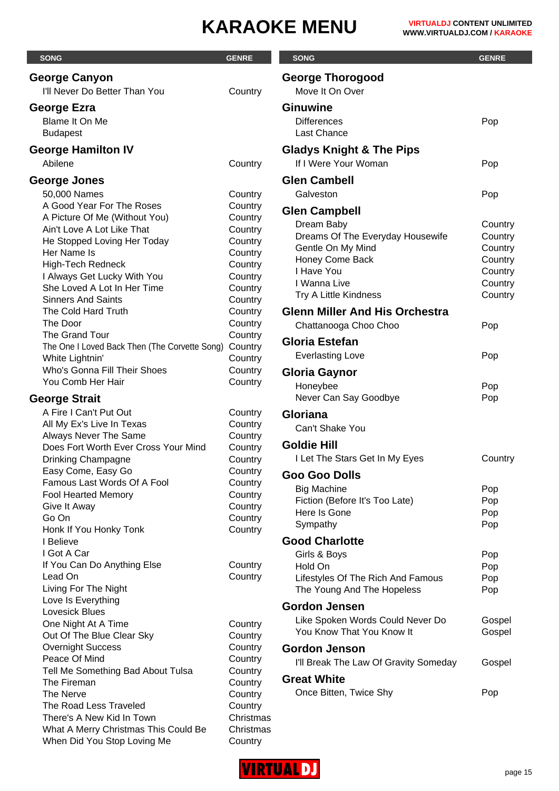| <b>SONG</b>                                                          | <b>GENRE</b>       | <b>SONG</b>                           | <b>GENRE</b>       |
|----------------------------------------------------------------------|--------------------|---------------------------------------|--------------------|
| <b>George Canyon</b>                                                 |                    | <b>George Thorogood</b>               |                    |
| I'll Never Do Better Than You                                        | Country            | Move It On Over                       |                    |
| George Ezra                                                          |                    | <b>Ginuwine</b>                       |                    |
| Blame It On Me                                                       |                    | <b>Differences</b>                    | Pop                |
| <b>Budapest</b>                                                      |                    | Last Chance                           |                    |
| <b>George Hamilton IV</b>                                            |                    | <b>Gladys Knight &amp; The Pips</b>   |                    |
| Abilene                                                              | Country            | If I Were Your Woman                  | Pop                |
| <b>George Jones</b>                                                  |                    | <b>Glen Cambell</b>                   |                    |
| 50,000 Names                                                         | Country            | Galveston                             | Pop                |
| A Good Year For The Roses                                            | Country            |                                       |                    |
| A Picture Of Me (Without You)                                        | Country            | <b>Glen Campbell</b>                  |                    |
| Ain't Love A Lot Like That                                           | Country            | Dream Baby                            | Country            |
| He Stopped Loving Her Today                                          | Country            | Dreams Of The Everyday Housewife      | Country            |
| Her Name Is                                                          | Country            | Gentle On My Mind                     | Country            |
| High-Tech Redneck                                                    | Country            | Honey Come Back                       | Country            |
| I Always Get Lucky With You                                          | Country            | I Have You<br>I Wanna Live            | Country            |
| She Loved A Lot In Her Time                                          | Country            | Try A Little Kindness                 | Country<br>Country |
| <b>Sinners And Saints</b>                                            | Country            |                                       |                    |
| The Cold Hard Truth                                                  | Country            | <b>Glenn Miller And His Orchestra</b> |                    |
| The Door                                                             | Country            | Chattanooga Choo Choo                 | Pop                |
| The Grand Tour                                                       | Country            | <b>Gloria Estefan</b>                 |                    |
| The One I Loved Back Then (The Corvette Song)<br>White Lightnin'     | Country<br>Country | <b>Everlasting Love</b>               | Pop                |
| Who's Gonna Fill Their Shoes                                         | Country            |                                       |                    |
| You Comb Her Hair                                                    | Country            | Gloria Gaynor                         |                    |
|                                                                      |                    | Honeybee                              | Pop                |
| <b>George Strait</b>                                                 |                    | Never Can Say Goodbye                 | Pop                |
| A Fire I Can't Put Out                                               | Country            | <b>Gloriana</b>                       |                    |
| All My Ex's Live In Texas                                            | Country            | Can't Shake You                       |                    |
| <b>Always Never The Same</b><br>Does Fort Worth Ever Cross Your Mind | Country<br>Country | <b>Goldie Hill</b>                    |                    |
| <b>Drinking Champagne</b>                                            | Country            | I Let The Stars Get In My Eyes        | Country            |
| Easy Come, Easy Go                                                   | Country            |                                       |                    |
| Famous Last Words Of A Fool                                          | Country            | <b>Goo Goo Dolls</b>                  |                    |
| <b>Fool Hearted Memory</b>                                           | Country            | <b>Big Machine</b>                    | Pop                |
| Give It Away                                                         | Country            | Fiction (Before It's Too Late)        | Pop                |
| Go On                                                                | Country            | Here Is Gone                          | Pop                |
| Honk If You Honky Tonk                                               | Country            | Sympathy                              | Pop                |
| I Believe                                                            |                    | <b>Good Charlotte</b>                 |                    |
| I Got A Car                                                          |                    | Girls & Boys                          | Pop                |
| If You Can Do Anything Else                                          | Country            | Hold On                               | Pop                |
| Lead On                                                              | Country            | Lifestyles Of The Rich And Famous     | Pop                |
| Living For The Night                                                 |                    | The Young And The Hopeless            | Pop                |
| Love Is Everything<br><b>Lovesick Blues</b>                          |                    | <b>Gordon Jensen</b>                  |                    |
| One Night At A Time                                                  | Country            | Like Spoken Words Could Never Do      | Gospel             |
| Out Of The Blue Clear Sky                                            | Country            | You Know That You Know It             | Gospel             |
| <b>Overnight Success</b>                                             | Country            | <b>Gordon Jenson</b>                  |                    |
| Peace Of Mind                                                        | Country            |                                       |                    |
| Tell Me Something Bad About Tulsa                                    | Country            | I'll Break The Law Of Gravity Someday | Gospel             |
| The Fireman                                                          | Country            | <b>Great White</b>                    |                    |
| The Nerve                                                            | Country            | Once Bitten, Twice Shy                | Pop                |
| The Road Less Traveled                                               | Country            |                                       |                    |
| There's A New Kid In Town                                            | Christmas          |                                       |                    |
| What A Merry Christmas This Could Be                                 | Christmas          |                                       |                    |
| When Did You Stop Loving Me                                          | Country            |                                       |                    |

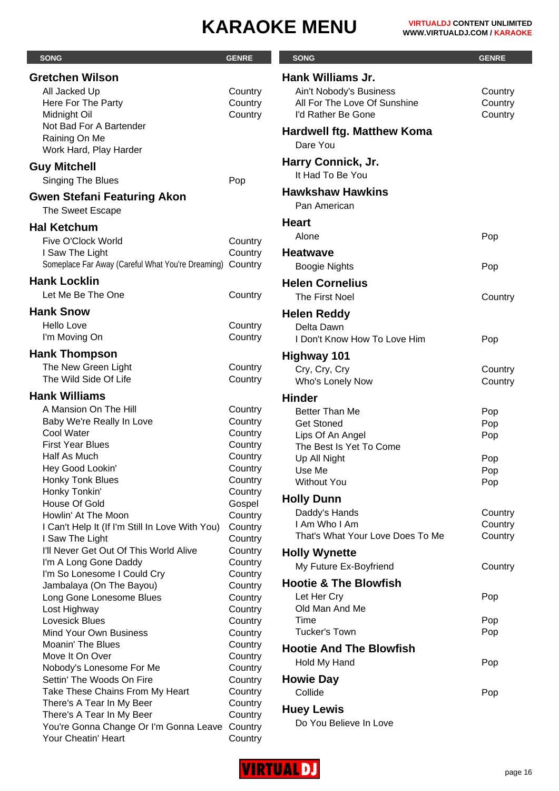×.

| <b>SONG</b>                                                                                | <b>GENRE</b>                  | <b>SONG</b>                                                                   | <b>GENRE</b>                  |
|--------------------------------------------------------------------------------------------|-------------------------------|-------------------------------------------------------------------------------|-------------------------------|
| <b>Gretchen Wilson</b>                                                                     |                               | <b>Hank Williams Jr.</b>                                                      |                               |
| All Jacked Up<br>Here For The Party<br>Midnight Oil                                        | Country<br>Country<br>Country | Ain't Nobody's Business<br>All For The Love Of Sunshine<br>I'd Rather Be Gone | Country<br>Country<br>Country |
| Not Bad For A Bartender<br>Raining On Me<br>Work Hard, Play Harder                         |                               | <b>Hardwell ftg. Matthew Koma</b><br>Dare You                                 |                               |
| <b>Guy Mitchell</b><br>Singing The Blues                                                   | Pop                           | Harry Connick, Jr.<br>It Had To Be You                                        |                               |
| <b>Gwen Stefani Featuring Akon</b><br>The Sweet Escape                                     |                               | <b>Hawkshaw Hawkins</b><br>Pan American                                       |                               |
| <b>Hal Ketchum</b>                                                                         |                               | <b>Heart</b>                                                                  |                               |
|                                                                                            |                               | Alone                                                                         | Pop                           |
| Five O'Clock World<br>I Saw The Light<br>Someplace Far Away (Careful What You're Dreaming) | Country<br>Country<br>Country | <b>Heatwave</b><br><b>Boogie Nights</b>                                       | Pop                           |
| <b>Hank Locklin</b>                                                                        |                               | <b>Helen Cornelius</b>                                                        |                               |
| Let Me Be The One                                                                          | Country                       | The First Noel                                                                |                               |
|                                                                                            |                               |                                                                               | Country                       |
| <b>Hank Snow</b>                                                                           |                               | <b>Helen Reddy</b>                                                            |                               |
| Hello Love<br>I'm Moving On                                                                | Country<br>Country            | Delta Dawn<br>I Don't Know How To Love Him                                    | Pop                           |
| <b>Hank Thompson</b>                                                                       |                               | <b>Highway 101</b>                                                            |                               |
| The New Green Light<br>The Wild Side Of Life                                               | Country<br>Country            | Cry, Cry, Cry<br>Who's Lonely Now                                             | Country<br>Country            |
| <b>Hank Williams</b>                                                                       |                               | <b>Hinder</b>                                                                 |                               |
| A Mansion On The Hill                                                                      | Country                       | Better Than Me                                                                | Pop                           |
| Baby We're Really In Love                                                                  | Country                       | <b>Get Stoned</b>                                                             | Pop                           |
| Cool Water                                                                                 | Country                       | Lips Of An Angel                                                              | Pop                           |
| <b>First Year Blues</b>                                                                    | Country                       | The Best Is Yet To Come                                                       |                               |
| Half As Much                                                                               | Country                       | Up All Night                                                                  | Pop                           |
| Hey Good Lookin'<br>Honky Tonk Blues                                                       | Country<br>Country            | Use Me                                                                        | Pop                           |
| Honky Tonkin'                                                                              | Country                       | <b>Without You</b>                                                            | Pop                           |
| House Of Gold                                                                              | Gospel                        | <b>Holly Dunn</b>                                                             |                               |
| Howlin' At The Moon                                                                        | Country                       | Daddy's Hands                                                                 | Country                       |
| I Can't Help It (If I'm Still In Love With You)                                            | Country                       | I Am Who I Am                                                                 | Country                       |
| I Saw The Light                                                                            | Country                       | That's What Your Love Does To Me                                              | Country                       |
| I'll Never Get Out Of This World Alive                                                     | Country                       | <b>Holly Wynette</b>                                                          |                               |
| I'm A Long Gone Daddy                                                                      | Country                       | My Future Ex-Boyfriend                                                        | Country                       |
| I'm So Lonesome I Could Cry<br>Jambalaya (On The Bayou)                                    | Country<br>Country            | <b>Hootie &amp; The Blowfish</b>                                              |                               |
| Long Gone Lonesome Blues                                                                   | Country                       | Let Her Cry                                                                   | Pop                           |
| Lost Highway                                                                               | Country                       | Old Man And Me                                                                |                               |
| Lovesick Blues                                                                             | Country                       | Time                                                                          | Pop                           |
| <b>Mind Your Own Business</b>                                                              | Country                       | <b>Tucker's Town</b>                                                          | Pop                           |
| <b>Moanin' The Blues</b>                                                                   | Country                       | <b>Hootie And The Blowfish</b>                                                |                               |
| Move It On Over                                                                            | Country                       | Hold My Hand                                                                  | Pop                           |
| Nobody's Lonesome For Me                                                                   | Country                       |                                                                               |                               |
| Settin' The Woods On Fire<br>Take These Chains From My Heart                               | Country<br>Country            | <b>Howie Day</b><br>Collide                                                   |                               |
| There's A Tear In My Beer                                                                  | Country                       |                                                                               | Pop                           |
| There's A Tear In My Beer                                                                  | Country                       | <b>Huey Lewis</b>                                                             |                               |
| You're Gonna Change Or I'm Gonna Leave                                                     | Country                       | Do You Believe In Love                                                        |                               |
| Your Cheatin' Heart                                                                        | Country                       |                                                                               |                               |

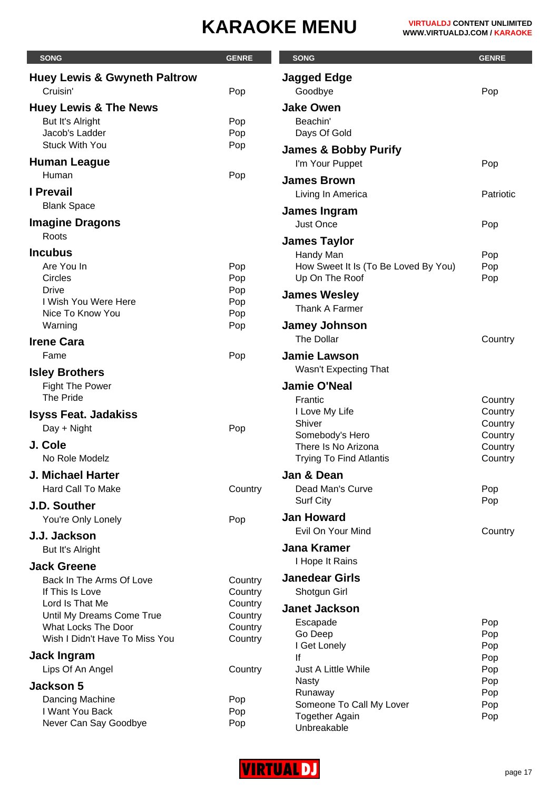| <b>SONG</b>                                             | <b>GENRE</b>       | <b>SONG</b>                                       | <b>GENRE</b>       |
|---------------------------------------------------------|--------------------|---------------------------------------------------|--------------------|
| <b>Huey Lewis &amp; Gwyneth Paltrow</b>                 |                    | <b>Jagged Edge</b>                                |                    |
| Cruisin'                                                | Pop                | Goodbye                                           | Pop                |
| <b>Huey Lewis &amp; The News</b>                        |                    | <b>Jake Owen</b>                                  |                    |
| But It's Alright                                        | Pop                | Beachin'                                          |                    |
| Jacob's Ladder                                          | Pop                | Days Of Gold                                      |                    |
| <b>Stuck With You</b>                                   | Pop                | <b>James &amp; Bobby Purify</b>                   |                    |
| <b>Human League</b>                                     |                    | I'm Your Puppet                                   | Pop                |
| Human                                                   | Pop                | <b>James Brown</b>                                |                    |
| <b>I</b> Prevail                                        |                    | Living In America                                 | Patriotic          |
| <b>Blank Space</b>                                      |                    |                                                   |                    |
| <b>Imagine Dragons</b>                                  |                    | James Ingram<br><b>Just Once</b>                  | Pop                |
| Roots                                                   |                    |                                                   |                    |
| <b>Incubus</b>                                          |                    | <b>James Taylor</b>                               |                    |
| Are You In                                              | Pop                | Handy Man<br>How Sweet It Is (To Be Loved By You) | Pop<br>Pop         |
| Circles                                                 | Pop                | Up On The Roof                                    | Pop                |
| <b>Drive</b>                                            | Pop                | <b>James Wesley</b>                               |                    |
| I Wish You Were Here                                    | Pop                | Thank A Farmer                                    |                    |
| Nice To Know You                                        | Pop                |                                                   |                    |
| Warning                                                 | Pop                | <b>Jamey Johnson</b><br>The Dollar                | Country            |
| <b>Irene Cara</b>                                       |                    |                                                   |                    |
| Fame                                                    | Pop                | <b>Jamie Lawson</b>                               |                    |
| <b>Isley Brothers</b>                                   |                    | Wasn't Expecting That                             |                    |
| <b>Fight The Power</b>                                  |                    | <b>Jamie O'Neal</b>                               |                    |
| The Pride                                               |                    | Frantic                                           | Country            |
| <b>Isyss Feat. Jadakiss</b>                             |                    | I Love My Life<br>Shiver                          | Country<br>Country |
| Day + Night                                             | Pop                | Somebody's Hero                                   | Country            |
| J. Cole                                                 |                    | There Is No Arizona                               | Country            |
| No Role Modelz                                          |                    | <b>Trying To Find Atlantis</b>                    | Country            |
| <b>J. Michael Harter</b>                                |                    | Jan & Dean                                        |                    |
| <b>Hard Call To Make</b>                                | Country            | Dead Man's Curve                                  | Pop                |
| J.D. Souther                                            |                    | <b>Surf City</b>                                  | Pop                |
| You're Only Lonely                                      | Pop                | <b>Jan Howard</b>                                 |                    |
| J.J. Jackson                                            |                    | Evil On Your Mind                                 | Country            |
| But It's Alright                                        |                    | <b>Jana Kramer</b>                                |                    |
| <b>Jack Greene</b>                                      |                    | I Hope It Rains                                   |                    |
| Back In The Arms Of Love                                | Country            | <b>Janedear Girls</b>                             |                    |
| If This Is Love                                         | Country            | Shotgun Girl                                      |                    |
| Lord Is That Me                                         | Country            | <b>Janet Jackson</b>                              |                    |
| Until My Dreams Come True<br><b>What Locks The Door</b> | Country            | Escapade                                          | Pop                |
| Wish I Didn't Have To Miss You                          | Country<br>Country | Go Deep                                           | Pop                |
|                                                         |                    | I Get Lonely                                      | Pop                |
| <b>Jack Ingram</b><br>Lips Of An Angel                  |                    | lf<br>Just A Little While                         | Pop                |
|                                                         | Country            | <b>Nasty</b>                                      | Pop<br>Pop         |
| <b>Jackson 5</b>                                        |                    | Runaway                                           | Pop                |
| Dancing Machine<br>I Want You Back                      | Pop<br>Pop         | Someone To Call My Lover                          | Pop                |
| Never Can Say Goodbye                                   | Pop                | <b>Together Again</b><br>Unbreakable              | Pop                |

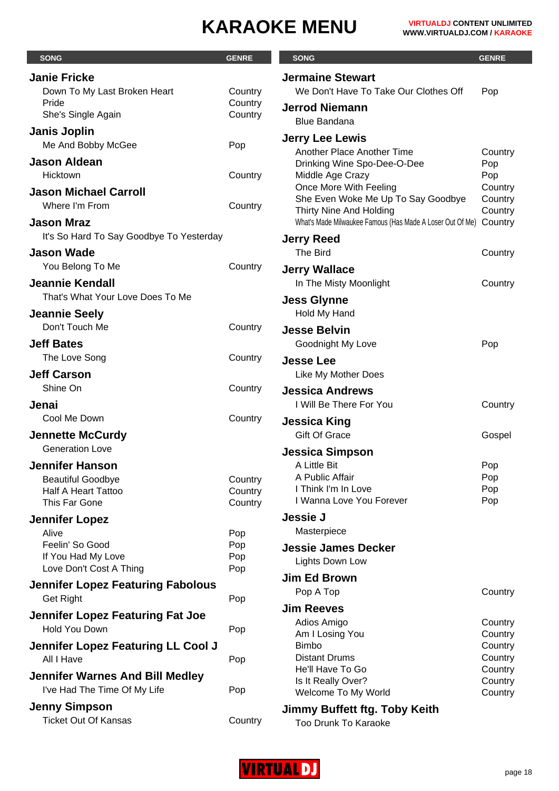| <b>SONG</b>                               | <b>GENRE</b> | <b>SONG</b>                                                                          | <b>GENRE</b>       |
|-------------------------------------------|--------------|--------------------------------------------------------------------------------------|--------------------|
| <b>Janie Fricke</b>                       |              | <b>Jermaine Stewart</b>                                                              |                    |
| Down To My Last Broken Heart              | Country      | We Don't Have To Take Our Clothes Off                                                | Pop                |
| Pride                                     | Country      | <b>Jerrod Niemann</b>                                                                |                    |
| She's Single Again                        | Country      | <b>Blue Bandana</b>                                                                  |                    |
| <b>Janis Joplin</b><br>Me And Bobby McGee | Pop          | <b>Jerry Lee Lewis</b>                                                               |                    |
|                                           |              | Another Place Another Time                                                           | Country            |
| <b>Jason Aldean</b><br>Hicktown           | Country      | Drinking Wine Spo-Dee-O-Dee<br>Middle Age Crazy                                      | Pop<br>Pop         |
| <b>Jason Michael Carroll</b>              |              | Once More With Feeling                                                               | Country            |
| Where I'm From                            | Country      | She Even Woke Me Up To Say Goodbye                                                   | Country            |
| <b>Jason Mraz</b>                         |              | Thirty Nine And Holding<br>What's Made Milwaukee Famous (Has Made A Loser Out Of Me) | Country<br>Country |
| It's So Hard To Say Goodbye To Yesterday  |              |                                                                                      |                    |
| <b>Jason Wade</b>                         |              | <b>Jerry Reed</b><br>The Bird                                                        | Country            |
| You Belong To Me                          | Country      |                                                                                      |                    |
| <b>Jeannie Kendall</b>                    |              | <b>Jerry Wallace</b><br>In The Misty Moonlight                                       | Country            |
| That's What Your Love Does To Me          |              |                                                                                      |                    |
| <b>Jeannie Seely</b>                      |              | <b>Jess Glynne</b><br>Hold My Hand                                                   |                    |
| Don't Touch Me                            | Country      | <b>Jesse Belvin</b>                                                                  |                    |
| <b>Jeff Bates</b>                         |              | Goodnight My Love                                                                    | Pop                |
| The Love Song                             | Country      | <b>Jesse Lee</b>                                                                     |                    |
| <b>Jeff Carson</b>                        |              | Like My Mother Does                                                                  |                    |
| Shine On                                  | Country      | <b>Jessica Andrews</b>                                                               |                    |
| Jenai                                     |              | I Will Be There For You                                                              | Country            |
| Cool Me Down                              | Country      | <b>Jessica King</b>                                                                  |                    |
| <b>Jennette McCurdy</b>                   |              | <b>Gift Of Grace</b>                                                                 | Gospel             |
| <b>Generation Love</b>                    |              | <b>Jessica Simpson</b>                                                               |                    |
| <b>Jennifer Hanson</b>                    |              | A Little Bit                                                                         | Pop                |
| <b>Beautiful Goodbye</b>                  | Country      | A Public Affair                                                                      | Pop                |
| <b>Half A Heart Tattoo</b>                | Country      | I Think I'm In Love                                                                  | Pop                |
| This Far Gone                             | Country      | I Wanna Love You Forever                                                             | Pop                |
| <b>Jennifer Lopez</b>                     |              | <b>Jessie J</b>                                                                      |                    |
| Alive                                     | Pop          | Masterpiece                                                                          |                    |
| Feelin' So Good<br>If You Had My Love     | Pop<br>Pop   | <b>Jessie James Decker</b>                                                           |                    |
| Love Don't Cost A Thing                   | Pop          | Lights Down Low                                                                      |                    |
| <b>Jennifer Lopez Featuring Fabolous</b>  |              | <b>Jim Ed Brown</b>                                                                  |                    |
| <b>Get Right</b>                          | Pop          | Pop A Top                                                                            | Country            |
| Jennifer Lopez Featuring Fat Joe          |              | <b>Jim Reeves</b>                                                                    |                    |
| Hold You Down                             | Pop          | Adios Amigo                                                                          | Country            |
| Jennifer Lopez Featuring LL Cool J        |              | Am I Losing You<br><b>Bimbo</b>                                                      | Country<br>Country |
| All I Have                                | Pop          | <b>Distant Drums</b>                                                                 | Country            |
| <b>Jennifer Warnes And Bill Medley</b>    |              | He'll Have To Go                                                                     | Country            |
| I've Had The Time Of My Life              | Pop          | Is It Really Over?<br>Welcome To My World                                            | Country<br>Country |
| <b>Jenny Simpson</b>                      |              | Jimmy Buffett ftg. Toby Keith                                                        |                    |
| <b>Ticket Out Of Kansas</b>               | Country      | Too Drunk To Karaoke                                                                 |                    |

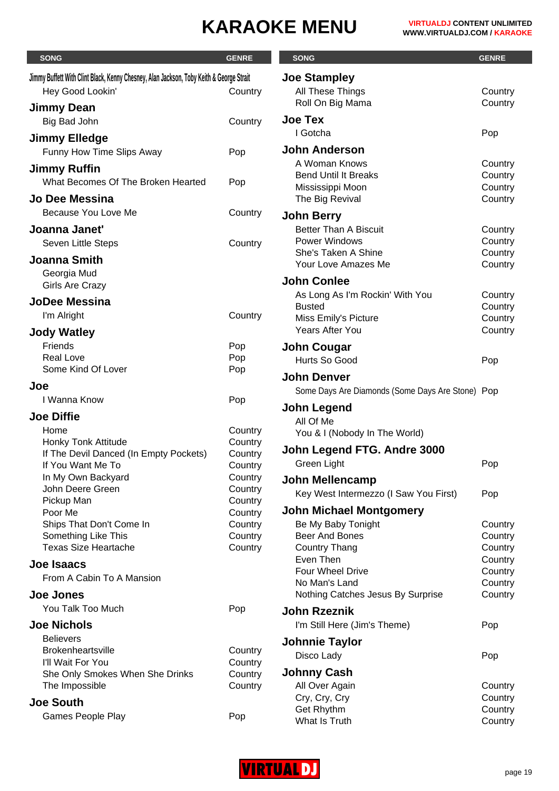| <b>SONG</b>                                                                             | <b>GENRE</b>       | <b>SONG</b>                                      | <b>GENRE</b>       |
|-----------------------------------------------------------------------------------------|--------------------|--------------------------------------------------|--------------------|
| Jimmy Buffett With Clint Black, Kenny Chesney, Alan Jackson, Toby Keith & George Strait |                    | <b>Joe Stampley</b>                              |                    |
| Hey Good Lookin'                                                                        | Country            | All These Things                                 | Country            |
| Jimmy Dean                                                                              |                    | Roll On Big Mama                                 | Country            |
| Big Bad John                                                                            | Country            | <b>Joe Tex</b>                                   |                    |
|                                                                                         |                    | I Gotcha                                         | Pop                |
| <b>Jimmy Elledge</b>                                                                    |                    | <b>John Anderson</b>                             |                    |
| Funny How Time Slips Away                                                               | Pop                | A Woman Knows                                    | Country            |
| <b>Jimmy Ruffin</b>                                                                     |                    | <b>Bend Until It Breaks</b>                      | Country            |
| What Becomes Of The Broken Hearted                                                      | Pop                | Mississippi Moon                                 | Country            |
| Jo Dee Messina                                                                          |                    | The Big Revival                                  | Country            |
| Because You Love Me                                                                     | Country            | <b>John Berry</b>                                |                    |
| Joanna Janet'                                                                           |                    | <b>Better Than A Biscuit</b>                     | Country            |
| Seven Little Steps                                                                      | Country            | Power Windows                                    | Country            |
| <b>Joanna Smith</b>                                                                     |                    | She's Taken A Shine                              | Country            |
| Georgia Mud                                                                             |                    | Your Love Amazes Me                              | Country            |
| <b>Girls Are Crazy</b>                                                                  |                    | <b>John Conlee</b>                               |                    |
| <b>JoDee Messina</b>                                                                    |                    | As Long As I'm Rockin' With You<br><b>Busted</b> | Country<br>Country |
| I'm Alright                                                                             | Country            | Miss Emily's Picture                             | Country            |
| <b>Jody Watley</b>                                                                      |                    | <b>Years After You</b>                           | Country            |
| Friends                                                                                 | Pop                | <b>John Cougar</b>                               |                    |
| <b>Real Love</b>                                                                        | Pop                | Hurts So Good                                    | Pop                |
| Some Kind Of Lover                                                                      | Pop                | <b>John Denver</b>                               |                    |
| Joe                                                                                     |                    | Some Days Are Diamonds (Some Days Are Stone) Pop |                    |
| I Wanna Know                                                                            | Pop                |                                                  |                    |
| <b>Joe Diffie</b>                                                                       |                    | John Legend                                      |                    |
| Home                                                                                    | Country            | All Of Me<br>You & I (Nobody In The World)       |                    |
| Honky Tonk Attitude                                                                     | Country            |                                                  |                    |
| If The Devil Danced (In Empty Pockets)                                                  | Country            | John Legend FTG. Andre 3000                      |                    |
| If You Want Me To                                                                       | Country            | Green Light                                      | Pop                |
| In My Own Backyard<br>John Deere Green                                                  | Country<br>Country | <b>John Mellencamp</b>                           |                    |
| Pickup Man                                                                              | Country            | Key West Intermezzo (I Saw You First)            | Pop                |
| Poor Me                                                                                 | Country            | <b>John Michael Montgomery</b>                   |                    |
| Ships That Don't Come In                                                                | Country            | Be My Baby Tonight                               | Country            |
| Something Like This                                                                     | Country            | Beer And Bones                                   | Country            |
| <b>Texas Size Heartache</b>                                                             | Country            | <b>Country Thang</b><br>Even Then                | Country<br>Country |
| Joe Isaacs                                                                              |                    | Four Wheel Drive                                 | Country            |
| From A Cabin To A Mansion                                                               |                    | No Man's Land                                    | Country            |
| <b>Joe Jones</b>                                                                        |                    | Nothing Catches Jesus By Surprise                | Country            |
| You Talk Too Much                                                                       | Pop                | <b>John Rzeznik</b>                              |                    |
| <b>Joe Nichols</b>                                                                      |                    | I'm Still Here (Jim's Theme)                     | Pop                |
| <b>Believers</b>                                                                        |                    | <b>Johnnie Taylor</b>                            |                    |
| <b>Brokenheartsville</b>                                                                | Country            | Disco Lady                                       | Pop                |
| I'll Wait For You<br>She Only Smokes When She Drinks                                    | Country            | <b>Johnny Cash</b>                               |                    |
| The Impossible                                                                          | Country<br>Country | All Over Again                                   | Country            |
| <b>Joe South</b>                                                                        |                    | Cry, Cry, Cry                                    | Country            |
| Games People Play                                                                       |                    | Get Rhythm                                       | Country            |
|                                                                                         | Pop                | What Is Truth                                    | Country            |

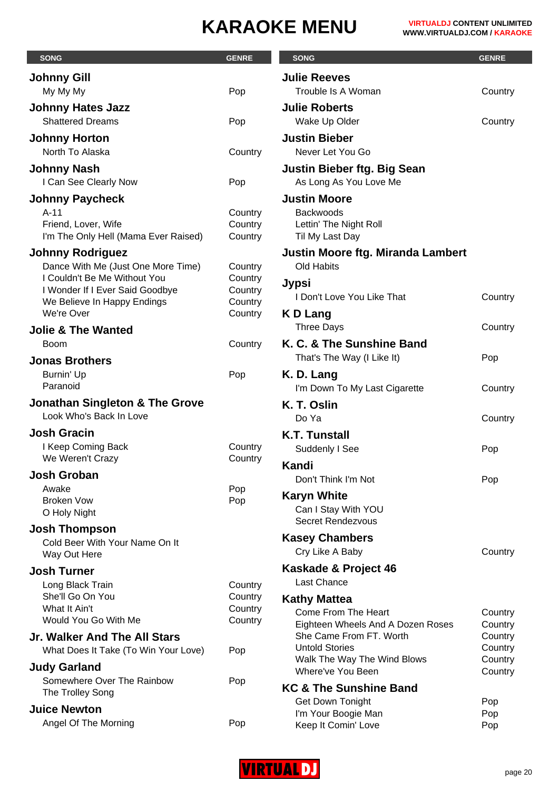| <b>SONG</b>                                                     | <b>GENRE</b>       | <b>SONG</b>                                                  | <b>GENRE</b>       |
|-----------------------------------------------------------------|--------------------|--------------------------------------------------------------|--------------------|
| <b>Johnny Gill</b>                                              |                    | <b>Julie Reeves</b>                                          |                    |
| My My My                                                        | Pop                | Trouble Is A Woman                                           | Country            |
| <b>Johnny Hates Jazz</b>                                        |                    | <b>Julie Roberts</b>                                         |                    |
| <b>Shattered Dreams</b>                                         | Pop                | Wake Up Older                                                | Country            |
| <b>Johnny Horton</b>                                            |                    | <b>Justin Bieber</b>                                         |                    |
| North To Alaska                                                 | Country            | Never Let You Go                                             |                    |
| <b>Johnny Nash</b>                                              |                    | <b>Justin Bieber ftg. Big Sean</b>                           |                    |
| I Can See Clearly Now                                           | Pop                | As Long As You Love Me                                       |                    |
| <b>Johnny Paycheck</b>                                          |                    | <b>Justin Moore</b>                                          |                    |
| $A-11$                                                          | Country            | <b>Backwoods</b>                                             |                    |
| Friend, Lover, Wife                                             | Country            | Lettin' The Night Roll                                       |                    |
| I'm The Only Hell (Mama Ever Raised)                            | Country            | Til My Last Day                                              |                    |
| <b>Johnny Rodriguez</b>                                         |                    | <b>Justin Moore ftg. Miranda Lambert</b>                     |                    |
| Dance With Me (Just One More Time)                              | Country            | Old Habits                                                   |                    |
| I Couldn't Be Me Without You<br>I Wonder If I Ever Said Goodbye | Country<br>Country | Jypsi                                                        |                    |
| We Believe In Happy Endings                                     | Country            | I Don't Love You Like That                                   | Country            |
| We're Over                                                      | Country            | K D Lang                                                     |                    |
| <b>Jolie &amp; The Wanted</b>                                   |                    | <b>Three Days</b>                                            | Country            |
| <b>Boom</b>                                                     | Country            | K. C. & The Sunshine Band                                    |                    |
| <b>Jonas Brothers</b>                                           |                    | That's The Way (I Like It)                                   | Pop                |
| Burnin' Up                                                      | Pop                | K. D. Lang                                                   |                    |
| Paranoid                                                        |                    | I'm Down To My Last Cigarette                                | Country            |
| <b>Jonathan Singleton &amp; The Grove</b>                       |                    | K. T. Oslin                                                  |                    |
| Look Who's Back In Love                                         |                    | Do Ya                                                        | Country            |
| <b>Josh Gracin</b>                                              |                    | <b>K.T. Tunstall</b>                                         |                    |
| I Keep Coming Back                                              | Country            | Suddenly I See                                               | Pop                |
| We Weren't Crazy                                                | Country            | Kandi                                                        |                    |
| <b>Josh Groban</b>                                              |                    | Don't Think I'm Not                                          | Pop                |
| Awake<br><b>Broken Vow</b>                                      | Pop<br>Pop         | <b>Karyn White</b>                                           |                    |
| O Holy Night                                                    |                    | Can I Stay With YOU                                          |                    |
| <b>Josh Thompson</b>                                            |                    | <b>Secret Rendezvous</b>                                     |                    |
| Cold Beer With Your Name On It                                  |                    | <b>Kasey Chambers</b>                                        |                    |
| Way Out Here                                                    |                    | Cry Like A Baby                                              | Country            |
| <b>Josh Turner</b>                                              |                    | Kaskade & Project 46                                         |                    |
| Long Black Train                                                | Country            | <b>Last Chance</b>                                           |                    |
| She'll Go On You                                                | Country            | <b>Kathy Mattea</b>                                          |                    |
| What It Ain't<br>Would You Go With Me                           | Country<br>Country | Come From The Heart                                          | Country            |
| Jr. Walker And The All Stars                                    |                    | Eighteen Wheels And A Dozen Roses<br>She Came From FT. Worth | Country<br>Country |
| What Does It Take (To Win Your Love)                            | Pop                | <b>Untold Stories</b>                                        | Country            |
|                                                                 |                    | Walk The Way The Wind Blows                                  | Country            |
| <b>Judy Garland</b><br>Somewhere Over The Rainbow               | Pop                | Where've You Been                                            | Country            |
| The Trolley Song                                                |                    | KC & The Sunshine Band                                       |                    |
| <b>Juice Newton</b>                                             |                    | Get Down Tonight                                             | Pop                |
| Angel Of The Morning                                            | Pop                | I'm Your Boogie Man<br>Keep It Comin' Love                   | Pop<br>Pop         |

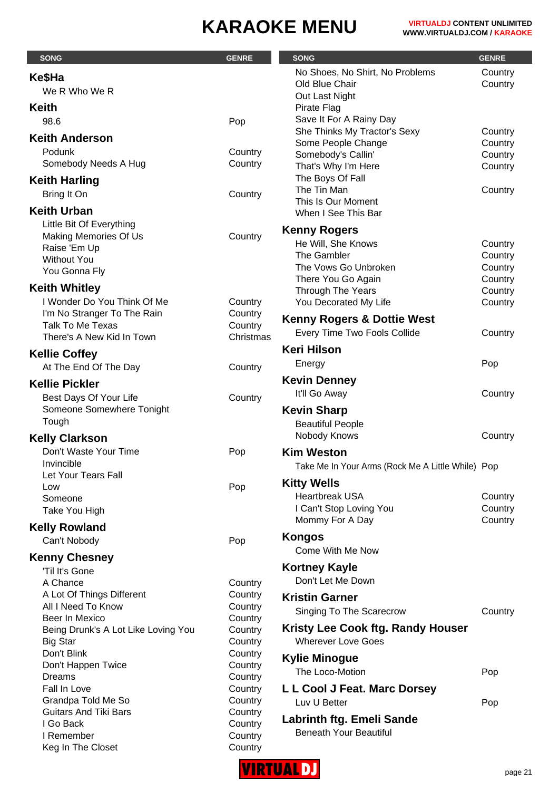| <b>SONG</b>                                              | <b>GENRE</b>       | <b>SONG</b>                                             | <b>GENRE</b>       |
|----------------------------------------------------------|--------------------|---------------------------------------------------------|--------------------|
| Ke\$Ha                                                   |                    | No Shoes, No Shirt, No Problems                         | Country            |
| We R Who We R                                            |                    | Old Blue Chair                                          | Country            |
|                                                          |                    | Out Last Night                                          |                    |
| <b>Keith</b>                                             |                    | Pirate Flag                                             |                    |
| 98.6                                                     | Pop                | Save It For A Rainy Day<br>She Thinks My Tractor's Sexy | Country            |
| <b>Keith Anderson</b>                                    |                    | Some People Change                                      | Country            |
| Podunk                                                   | Country            | Somebody's Callin'                                      | Country            |
| Somebody Needs A Hug                                     | Country            | That's Why I'm Here                                     | Country            |
| <b>Keith Harling</b>                                     |                    | The Boys Of Fall                                        |                    |
| Bring It On                                              | Country            | The Tin Man                                             | Country            |
| <b>Keith Urban</b>                                       |                    | This Is Our Moment                                      |                    |
|                                                          |                    | When I See This Bar                                     |                    |
| Little Bit Of Everything<br><b>Making Memories Of Us</b> | Country            | <b>Kenny Rogers</b>                                     |                    |
| Raise 'Em Up                                             |                    | He Will, She Knows                                      | Country            |
| <b>Without You</b>                                       |                    | The Gambler                                             | Country            |
| You Gonna Fly                                            |                    | The Vows Go Unbroken                                    | Country            |
| <b>Keith Whitley</b>                                     |                    | There You Go Again                                      | Country            |
| I Wonder Do You Think Of Me                              | Country            | Through The Years<br>You Decorated My Life              | Country<br>Country |
| I'm No Stranger To The Rain                              | Country            |                                                         |                    |
| <b>Talk To Me Texas</b>                                  | Country            | <b>Kenny Rogers &amp; Dottie West</b>                   |                    |
| There's A New Kid In Town                                | Christmas          | Every Time Two Fools Collide                            | Country            |
| <b>Kellie Coffey</b>                                     |                    | <b>Keri Hilson</b>                                      |                    |
| At The End Of The Day                                    | Country            | Energy                                                  | Pop                |
| <b>Kellie Pickler</b>                                    |                    | <b>Kevin Denney</b>                                     |                    |
|                                                          |                    | It'll Go Away                                           | Country            |
| Best Days Of Your Life<br>Someone Somewhere Tonight      | Country            | <b>Kevin Sharp</b>                                      |                    |
| Tough                                                    |                    | <b>Beautiful People</b>                                 |                    |
|                                                          |                    | Nobody Knows                                            | Country            |
| <b>Kelly Clarkson</b>                                    |                    |                                                         |                    |
| Don't Waste Your Time<br>Invincible                      | Pop                | <b>Kim Weston</b>                                       |                    |
| Let Your Tears Fall                                      |                    | Take Me In Your Arms (Rock Me A Little While) Pop       |                    |
| Low                                                      | Pop                | <b>Kitty Wells</b>                                      |                    |
| Someone                                                  |                    | <b>Heartbreak USA</b>                                   | Country            |
| Take You High                                            |                    | I Can't Stop Loving You                                 | Country            |
| <b>Kelly Rowland</b>                                     |                    | Mommy For A Day                                         | Country            |
| Can't Nobody                                             | Pop                | <b>Kongos</b>                                           |                    |
|                                                          |                    | Come With Me Now                                        |                    |
| <b>Kenny Chesney</b><br>'Til It's Gone                   |                    | <b>Kortney Kayle</b>                                    |                    |
| A Chance                                                 | Country            | Don't Let Me Down                                       |                    |
| A Lot Of Things Different                                | Country            | <b>Kristin Garner</b>                                   |                    |
| All I Need To Know                                       | Country            |                                                         |                    |
| Beer In Mexico                                           | Country            | Singing To The Scarecrow                                | Country            |
| Being Drunk's A Lot Like Loving You                      | Country            | Kristy Lee Cook ftg. Randy Houser                       |                    |
| <b>Big Star</b>                                          | Country            | <b>Wherever Love Goes</b>                               |                    |
| Don't Blink                                              | Country            | <b>Kylie Minogue</b>                                    |                    |
| Don't Happen Twice<br>Dreams                             | Country<br>Country | The Loco-Motion                                         | Pop                |
| Fall In Love                                             | Country            | L L Cool J Feat. Marc Dorsey                            |                    |
| Grandpa Told Me So                                       | Country            | Luv U Better                                            | Pop                |
| <b>Guitars And Tiki Bars</b>                             | Country            |                                                         |                    |
| I Go Back                                                | Country            | Labrinth ftg. Emeli Sande                               |                    |
| I Remember                                               | Country            | <b>Beneath Your Beautiful</b>                           |                    |
| Keg In The Closet                                        | Country            |                                                         |                    |

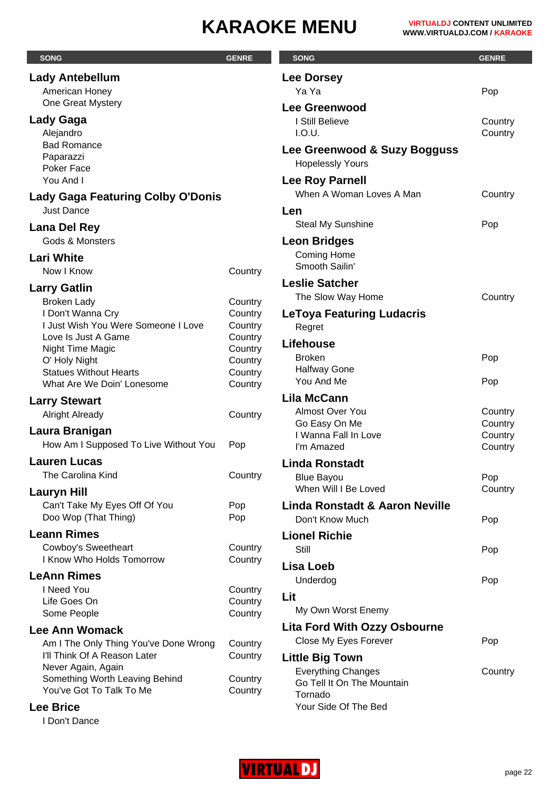| <b>SONG</b>                                                           | <b>GENRE</b>       | <b>SONG</b>                                                  | <b>GENRE</b>   |
|-----------------------------------------------------------------------|--------------------|--------------------------------------------------------------|----------------|
| <b>Lady Antebellum</b>                                                |                    | <b>Lee Dorsey</b>                                            |                |
| American Honey                                                        |                    | Ya Ya                                                        | Pop            |
| One Great Mystery                                                     |                    | <b>Lee Greenwood</b>                                         |                |
| Lady Gaga                                                             |                    | I Still Believe                                              | Country        |
| Alejandro                                                             |                    | I.O.U.                                                       | Country        |
| <b>Bad Romance</b><br>Paparazzi                                       |                    | Lee Greenwood & Suzy Bogguss                                 |                |
| Poker Face                                                            |                    | <b>Hopelessly Yours</b>                                      |                |
| You And I                                                             |                    | <b>Lee Roy Parnell</b>                                       |                |
| <b>Lady Gaga Featuring Colby O'Donis</b>                              |                    | When A Woman Loves A Man                                     | Country        |
| <b>Just Dance</b>                                                     |                    | Len                                                          |                |
| Lana Del Rey                                                          |                    | <b>Steal My Sunshine</b>                                     | Pop            |
| Gods & Monsters                                                       |                    | <b>Leon Bridges</b>                                          |                |
| <b>Lari White</b>                                                     |                    | <b>Coming Home</b>                                           |                |
| Now I Know                                                            | Country            | Smooth Sailin'                                               |                |
| <b>Larry Gatlin</b>                                                   |                    | <b>Leslie Satcher</b>                                        |                |
| <b>Broken Lady</b>                                                    | Country            | The Slow Way Home                                            | Country        |
| I Don't Wanna Cry<br>I Just Wish You Were Someone I Love              | Country<br>Country | <b>LeToya Featuring Ludacris</b>                             |                |
| Love Is Just A Game                                                   | Country            | Regret                                                       |                |
| Night Time Magic                                                      | Country            | Lifehouse                                                    |                |
| O' Holy Night                                                         | Country            | <b>Broken</b><br><b>Halfway Gone</b>                         | Pop            |
| <b>Statues Without Hearts</b><br>What Are We Doin' Lonesome           | Country<br>Country | You And Me                                                   | Pop            |
|                                                                       |                    | <b>Lila McCann</b>                                           |                |
| <b>Larry Stewart</b><br><b>Alright Already</b>                        | Country            | Almost Over You                                              | Country        |
|                                                                       |                    | Go Easy On Me                                                | Country        |
| Laura Branigan<br>How Am I Supposed To Live Without You               | Pop                | I Wanna Fall In Love                                         | Country        |
| <b>Lauren Lucas</b>                                                   |                    | I'm Amazed                                                   | Country        |
| The Carolina Kind                                                     | Country            | <b>Linda Ronstadt</b>                                        |                |
|                                                                       |                    | <b>Blue Bayou</b><br>When Will I Be Loved                    | Pop<br>Country |
| <b>Lauryn Hill</b><br>Can't Take My Eyes Off Of You                   | Pop                | <b>Linda Ronstadt &amp; Aaron Neville</b>                    |                |
| Doo Wop (That Thing)                                                  | Pop                | Don't Know Much                                              | Pop            |
| <b>Leann Rimes</b>                                                    |                    | <b>Lionel Richie</b>                                         |                |
| Cowboy's Sweetheart                                                   | Country            | Still                                                        | Pop            |
| I Know Who Holds Tomorrow                                             | Country            | Lisa Loeb                                                    |                |
| <b>LeAnn Rimes</b>                                                    |                    | Underdog                                                     | Pop            |
| I Need You                                                            | Country            | Lit                                                          |                |
| Life Goes On                                                          | Country            | My Own Worst Enemy                                           |                |
| Some People                                                           | Country            |                                                              |                |
| <b>Lee Ann Womack</b>                                                 |                    | <b>Lita Ford With Ozzy Osbourne</b><br>Close My Eyes Forever | Pop            |
| Am I The Only Thing You've Done Wrong<br>I'll Think Of A Reason Later | Country<br>Country |                                                              |                |
| Never Again, Again                                                    |                    | <b>Little Big Town</b><br><b>Everything Changes</b>          | Country        |
| Something Worth Leaving Behind                                        | Country            | Go Tell It On The Mountain                                   |                |
| You've Got To Talk To Me                                              | Country            | Tornado                                                      |                |
| <b>Lee Brice</b>                                                      |                    | Your Side Of The Bed                                         |                |
| I Don't Dance                                                         |                    |                                                              |                |

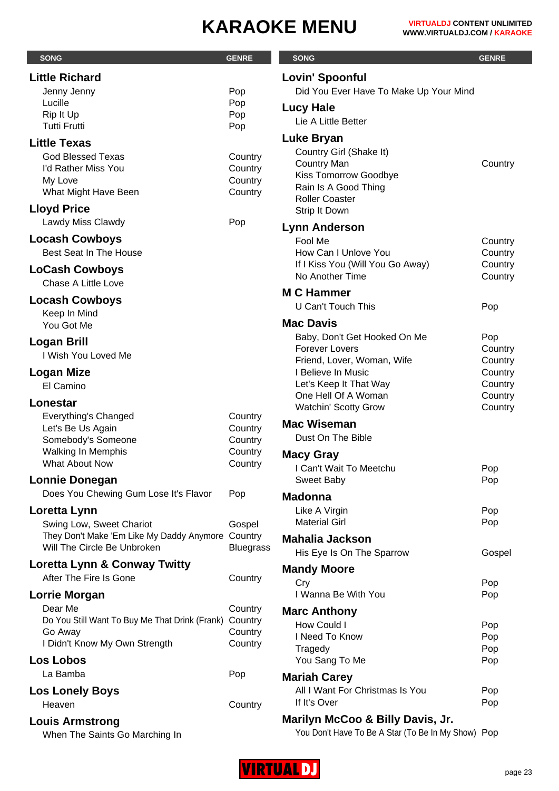| <b>SONG</b>                                              | <b>GENRE</b>       | <b>SONG</b>                                            | <b>GENRE</b>       |
|----------------------------------------------------------|--------------------|--------------------------------------------------------|--------------------|
| <b>Little Richard</b>                                    |                    | <b>Lovin' Spoonful</b>                                 |                    |
| Jenny Jenny                                              | Pop                | Did You Ever Have To Make Up Your Mind                 |                    |
| Lucille                                                  | Pop                | <b>Lucy Hale</b>                                       |                    |
| Rip It Up<br><b>Tutti Frutti</b>                         | Pop<br>Pop         | Lie A Little Better                                    |                    |
| <b>Little Texas</b>                                      |                    | Luke Bryan                                             |                    |
| <b>God Blessed Texas</b>                                 | Country            | Country Girl (Shake It)                                |                    |
| I'd Rather Miss You                                      | Country            | <b>Country Man</b>                                     | Country            |
| My Love                                                  | Country            | Kiss Tomorrow Goodbye<br>Rain Is A Good Thing          |                    |
| What Might Have Been                                     | Country            | <b>Roller Coaster</b>                                  |                    |
| <b>Lloyd Price</b>                                       |                    | Strip It Down                                          |                    |
| Lawdy Miss Clawdy                                        | Pop                | <b>Lynn Anderson</b>                                   |                    |
| <b>Locash Cowboys</b>                                    |                    | Fool Me                                                | Country            |
| Best Seat In The House                                   |                    | How Can I Unlove You                                   | Country            |
| <b>LoCash Cowboys</b>                                    |                    | If I Kiss You (Will You Go Away)<br>No Another Time    | Country<br>Country |
| Chase A Little Love                                      |                    |                                                        |                    |
| <b>Locash Cowboys</b>                                    |                    | <b>M C Hammer</b><br>U Can't Touch This                |                    |
| Keep In Mind                                             |                    |                                                        | Pop                |
| You Got Me                                               |                    | <b>Mac Davis</b>                                       |                    |
| Logan Brill                                              |                    | Baby, Don't Get Hooked On Me<br><b>Forever Lovers</b>  | Pop<br>Country     |
| I Wish You Loved Me                                      |                    | Friend, Lover, Woman, Wife                             | Country            |
| Logan Mize                                               |                    | I Believe In Music                                     | Country            |
| El Camino                                                |                    | Let's Keep It That Way                                 | Country            |
| Lonestar                                                 |                    | One Hell Of A Woman<br><b>Watchin' Scotty Grow</b>     | Country<br>Country |
| <b>Everything's Changed</b>                              | Country            |                                                        |                    |
| Let's Be Us Again                                        | Country            | <b>Mac Wiseman</b><br>Dust On The Bible                |                    |
| Somebody's Someone<br><b>Walking In Memphis</b>          | Country<br>Country |                                                        |                    |
| What About Now                                           | Country            | <b>Macy Gray</b>                                       |                    |
| <b>Lonnie Donegan</b>                                    |                    | I Can't Wait To Meetchu<br>Sweet Baby                  | Pop<br>Pop         |
| Does You Chewing Gum Lose It's Flavor                    | Pop                | <b>Madonna</b>                                         |                    |
| Loretta Lynn                                             |                    | Like A Virgin                                          | Pop                |
| Swing Low, Sweet Chariot                                 | Gospel             | <b>Material Girl</b>                                   | Pop                |
| They Don't Make 'Em Like My Daddy Anymore Country        |                    | <b>Mahalia Jackson</b>                                 |                    |
| Will The Circle Be Unbroken                              | <b>Bluegrass</b>   | His Eye Is On The Sparrow                              | Gospel             |
| Loretta Lynn & Conway Twitty                             |                    | <b>Mandy Moore</b>                                     |                    |
| After The Fire Is Gone                                   | Country            | Cry                                                    | Pop                |
| <b>Lorrie Morgan</b>                                     |                    | I Wanna Be With You                                    | Pop                |
| Dear Me                                                  | Country            | <b>Marc Anthony</b>                                    |                    |
| Do You Still Want To Buy Me That Drink (Frank)           | Country            | How Could I                                            | Pop                |
| Go Away<br>I Didn't Know My Own Strength                 | Country<br>Country | I Need To Know                                         | Pop                |
| <b>Los Lobos</b>                                         |                    | Tragedy<br>You Sang To Me                              | Pop<br>Pop         |
| La Bamba                                                 | Pop                |                                                        |                    |
| <b>Los Lonely Boys</b>                                   |                    | <b>Mariah Carey</b><br>All I Want For Christmas Is You | Pop                |
| Heaven                                                   | Country            | If It's Over                                           | Pop                |
|                                                          |                    | Marilyn McCoo & Billy Davis, Jr.                       |                    |
| <b>Louis Armstrong</b><br>When The Saints Go Marching In |                    | You Don't Have To Be A Star (To Be In My Show) Pop     |                    |

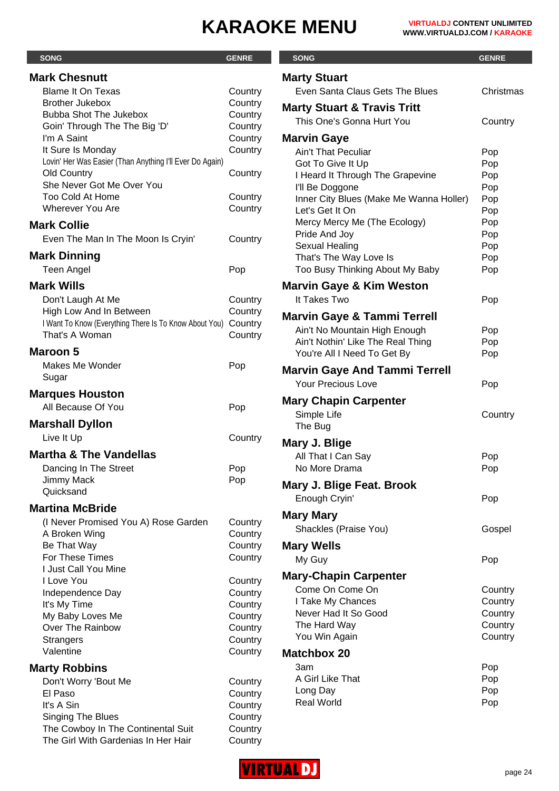| <b>SONG</b>                                              | <b>GENRE</b>       | <b>SONG</b>                                   | <b>GENRE</b>  |
|----------------------------------------------------------|--------------------|-----------------------------------------------|---------------|
| <b>Mark Chesnutt</b>                                     |                    | <b>Marty Stuart</b>                           |               |
| <b>Blame It On Texas</b>                                 | Country            | Even Santa Claus Gets The Blues               | <b>Christ</b> |
| <b>Brother Jukebox</b>                                   | Country            |                                               |               |
| <b>Bubba Shot The Jukebox</b>                            | Country            | <b>Marty Stuart &amp; Travis Tritt</b>        |               |
| Goin' Through The The Big 'D'                            | Country            | This One's Gonna Hurt You                     | Coun          |
| I'm A Saint                                              | Country            | <b>Marvin Gaye</b>                            |               |
| It Sure Is Monday                                        | Country            | Ain't That Peculiar                           | Pop           |
| Lovin' Her Was Easier (Than Anything I'll Ever Do Again) |                    | Got To Give It Up                             | Pop           |
| <b>Old Country</b>                                       | Country            | I Heard It Through The Grapevine              | Pop           |
| She Never Got Me Over You<br><b>Too Cold At Home</b>     |                    | I'll Be Doggone                               | Pop           |
| <b>Wherever You Are</b>                                  | Country<br>Country | Inner City Blues (Make Me Wanna Holler)       | Pop           |
|                                                          |                    | Let's Get It On                               | Pop           |
| <b>Mark Collie</b>                                       |                    | Mercy Mercy Me (The Ecology)<br>Pride And Joy | Pop<br>Pop    |
| Even The Man In The Moon Is Cryin'                       | Country            | Sexual Healing                                | Pop           |
| <b>Mark Dinning</b>                                      |                    | That's The Way Love Is                        | Pop           |
| Teen Angel                                               | Pop                | Too Busy Thinking About My Baby               | Pop           |
| <b>Mark Wills</b>                                        |                    |                                               |               |
|                                                          |                    | <b>Marvin Gaye &amp; Kim Weston</b>           |               |
| Don't Laugh At Me<br>High Low And In Between             | Country<br>Country | It Takes Two                                  | Pop           |
| I Want To Know (Everything There Is To Know About You)   | Country            | <b>Marvin Gaye &amp; Tammi Terrell</b>        |               |
| That's A Woman                                           | Country            | Ain't No Mountain High Enough                 | Pop           |
|                                                          |                    | Ain't Nothin' Like The Real Thing             | Pop           |
| <b>Maroon 5</b>                                          |                    | You're All I Need To Get By                   | Pop           |
| Makes Me Wonder                                          | Pop                | <b>Marvin Gaye And Tammi Terrell</b>          |               |
| Sugar                                                    |                    | Your Precious Love                            | Pop           |
| <b>Marques Houston</b>                                   |                    |                                               |               |
| All Because Of You                                       | Pop                | <b>Mary Chapin Carpenter</b>                  |               |
| <b>Marshall Dyllon</b>                                   |                    | Simple Life<br>The Bug                        | Coun          |
| Live It Up                                               | Country            |                                               |               |
|                                                          |                    | Mary J. Blige                                 |               |
| <b>Martha &amp; The Vandellas</b>                        |                    | All That I Can Say                            | Pop           |
| Dancing In The Street                                    | Pop                | No More Drama                                 | Pop           |
| Jimmy Mack                                               | Pop                | Mary J. Blige Feat. Brook                     |               |
| Quicksand                                                |                    | Enough Cryin'                                 | Pop           |
| <b>Martina McBride</b>                                   |                    | <b>Mary Mary</b>                              |               |
| (I Never Promised You A) Rose Garden                     | Country            |                                               |               |
| A Broken Wing                                            | Country            | Shackles (Praise You)                         | Gosp          |
| Be That Way                                              | Country            | <b>Mary Wells</b>                             |               |
| For These Times                                          | Country            | My Guy                                        | Pop           |
| I Just Call You Mine                                     |                    | <b>Mary-Chapin Carpenter</b>                  |               |
| I Love You                                               | Country            | Come On Come On                               | Coun          |
| Independence Day<br>It's My Time                         | Country<br>Country | I Take My Chances                             | Coun          |
| My Baby Loves Me                                         | Country            | Never Had It So Good                          | Coun          |
| Over The Rainbow                                         | Country            | The Hard Way                                  | Coun          |
| <b>Strangers</b>                                         | Country            | You Win Again                                 | Coun          |
| Valentine                                                | Country            | <b>Matchbox 20</b>                            |               |
| <b>Marty Robbins</b>                                     |                    | 3am                                           | Pop           |
|                                                          |                    | A Girl Like That                              | Pop           |
| Don't Worry 'Bout Me<br>El Paso                          | Country<br>Country | Long Day                                      | Pop           |
| It's A Sin                                               | Country            | <b>Real World</b>                             | Pop           |
| Singing The Blues                                        | Country            |                                               |               |
| The Cowboy In The Continental Suit                       | Country            |                                               |               |
| The Girl With Gardenias In Her Hair                      | Country            |                                               |               |

| <b>SONG</b>                             | <b>GENRE</b> |
|-----------------------------------------|--------------|
| <b>Marty Stuart</b>                     |              |
| Even Santa Claus Gets The Blues         | Christmas    |
| <b>Marty Stuart &amp; Travis Tritt</b>  |              |
| This One's Gonna Hurt You               | Country      |
| Marvin Gaye                             |              |
| <b>Ain't That Peculiar</b>              | Pop          |
| Got To Give It Up                       | Pop          |
| I Heard It Through The Grapevine        | Pop          |
| I'll Be Doggone                         | Pop          |
| Inner City Blues (Make Me Wanna Holler) | Pop          |
| Let's Get It On                         | Pop          |
| Mercy Mercy Me (The Ecology)            | Pop          |
| Pride And Joy                           | Pop          |
| Sexual Healing                          | Pop          |
| That's The Way Love Is                  | Pop          |
| Too Busy Thinking About My Baby         | Pop          |
| <b>Marvin Gaye &amp; Kim Weston</b>     |              |
| It Takes Two                            | Pop          |
| Marvin Gaye & Tammi Terrell             |              |
| Ain't No Mountain High Enough           | Pop          |
| Ain't Nothin' Like The Real Thing       | Pop          |
| You're All I Need To Get By             | Pop          |
| <b>Marvin Gaye And Tammi Terrell</b>    |              |
| <b>Your Precious Love</b>               | Pop          |
| <b>Mary Chapin Carpenter</b>            |              |
| Simple Life                             | Country      |
| The Bug                                 |              |
| Mary J. Blige                           |              |
| All That I Can Say                      | Pop          |
| No More Drama                           | Pop          |
|                                         |              |
| Mary J. Blige Feat. Brook               |              |
| Enough Cryin'                           | Pop          |
| Mary Mary                               |              |
| Shackles (Praise You)                   | Gospel       |
| <b>Mary Wells</b>                       |              |
| My Guy                                  | Pop          |
| <b>Mary-Chapin Carpenter</b>            |              |
| Come On Come On                         | Country      |
| I Take My Chances                       | Country      |
| Never Had It So Good                    | Country      |
| The Hard Way                            | Country      |
| You Win Again                           | Country      |
| <b>Matchbox 20</b>                      |              |
| Заm                                     | Pop          |
| A Girl Like That                        | Pop          |
| Long Day                                | Pop          |
| <b>Real World</b>                       | Pop          |
|                                         |              |
|                                         |              |

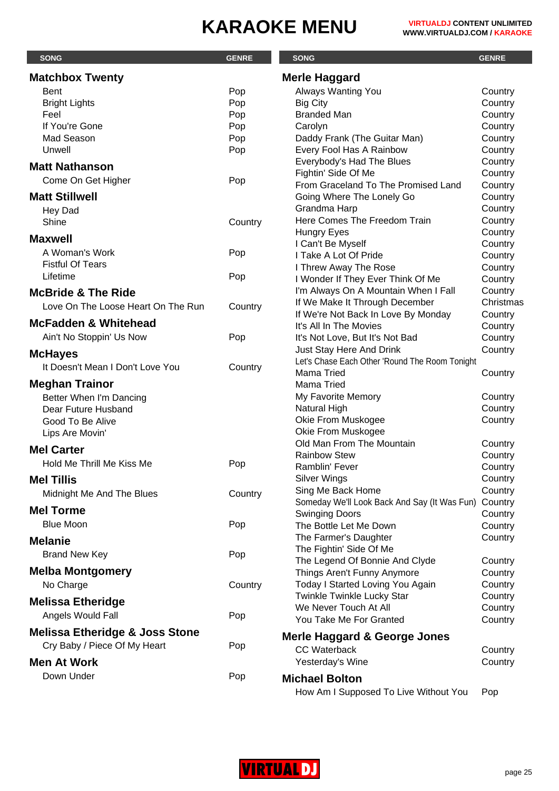| <b>SONG</b>                               | <b>GENRE</b> | <b>SONG</b>                                    | <b>GENRE</b>       |
|-------------------------------------------|--------------|------------------------------------------------|--------------------|
| <b>Matchbox Twenty</b>                    |              | <b>Merle Haggard</b>                           |                    |
| <b>Bent</b>                               | Pop          | Always Wanting You                             | Country            |
| <b>Bright Lights</b>                      | Pop          | <b>Big City</b>                                | Country            |
| Feel                                      | Pop          | <b>Branded Man</b>                             | Country            |
| If You're Gone                            | Pop          | Carolyn                                        | Country            |
| Mad Season                                | Pop          | Daddy Frank (The Guitar Man)                   | Country            |
| Unwell                                    | Pop          | Every Fool Has A Rainbow                       | Country            |
|                                           |              | Everybody's Had The Blues                      | Country            |
| <b>Matt Nathanson</b>                     |              | Fightin' Side Of Me                            | Country            |
| Come On Get Higher                        | Pop          | From Graceland To The Promised Land            | Country            |
| <b>Matt Stillwell</b>                     |              | Going Where The Lonely Go                      | Country            |
| Hey Dad                                   |              | Grandma Harp                                   | Country            |
| Shine                                     | Country      | Here Comes The Freedom Train                   | Country            |
|                                           |              | Hungry Eyes                                    | Country            |
| <b>Maxwell</b>                            |              | I Can't Be Myself                              | Country            |
| A Woman's Work                            | Pop          | I Take A Lot Of Pride                          | Country            |
| <b>Fistful Of Tears</b>                   |              | I Threw Away The Rose                          | Country            |
| Lifetime                                  | Pop          | I Wonder If They Ever Think Of Me              | Country            |
| <b>McBride &amp; The Ride</b>             |              | I'm Always On A Mountain When I Fall           | Country            |
| Love On The Loose Heart On The Run        | Country      | If We Make It Through December                 | Christmas          |
|                                           |              | If We're Not Back In Love By Monday            | Country            |
| <b>McFadden &amp; Whitehead</b>           |              | It's All In The Movies                         | Country            |
| Ain't No Stoppin' Us Now                  | Pop          | It's Not Love, But It's Not Bad                | Country            |
| <b>McHayes</b>                            |              | Just Stay Here And Drink                       | Country            |
| It Doesn't Mean I Don't Love You          | Country      | Let's Chase Each Other 'Round The Room Tonight |                    |
|                                           |              | <b>Mama Tried</b>                              | Country            |
| <b>Meghan Trainor</b>                     |              | Mama Tried                                     |                    |
| Better When I'm Dancing                   |              | My Favorite Memory                             | Country            |
| Dear Future Husband                       |              | Natural High                                   | Country            |
| Good To Be Alive                          |              | Okie From Muskogee                             | Country            |
| Lips Are Movin'                           |              | Okie From Muskogee                             |                    |
| <b>Mel Carter</b>                         |              | Old Man From The Mountain                      | Country            |
| Hold Me Thrill Me Kiss Me                 | Pop          | <b>Rainbow Stew</b><br>Ramblin' Fever          | Country            |
|                                           |              |                                                | Country            |
| <b>Mel Tillis</b>                         |              | <b>Silver Wings</b><br>Sing Me Back Home       | Country<br>Country |
| Midnight Me And The Blues                 | Country      | Someday We'll Look Back And Say (It Was Fun)   | Country            |
| <b>Mel Torme</b>                          |              | <b>Swinging Doors</b>                          | Country            |
| <b>Blue Moon</b>                          | Pop          | The Bottle Let Me Down                         | Country            |
|                                           |              | The Farmer's Daughter                          | Country            |
| <b>Melanie</b>                            |              | The Fightin' Side Of Me                        |                    |
| <b>Brand New Key</b>                      | Pop          | The Legend Of Bonnie And Clyde                 | Country            |
| <b>Melba Montgomery</b>                   |              | Things Aren't Funny Anymore                    | Country            |
| No Charge                                 | Country      | Today I Started Loving You Again               | Country            |
|                                           |              | Twinkle Twinkle Lucky Star                     | Country            |
| <b>Melissa Etheridge</b>                  |              | We Never Touch At All                          | Country            |
| Angels Would Fall                         | Pop          | You Take Me For Granted                        | Country            |
| <b>Melissa Etheridge &amp; Joss Stone</b> |              |                                                |                    |
| Cry Baby / Piece Of My Heart              | Pop          | Merle Haggard & George Jones                   |                    |
|                                           |              | <b>CC Waterback</b>                            | Country            |
| <b>Men At Work</b>                        |              | Yesterday's Wine                               | Country            |
| Down Under                                | Pop          | <b>Michael Bolton</b>                          |                    |
|                                           |              | How Am I Supposed To Live Without You          | Pop                |

**VIRTUAL DJ**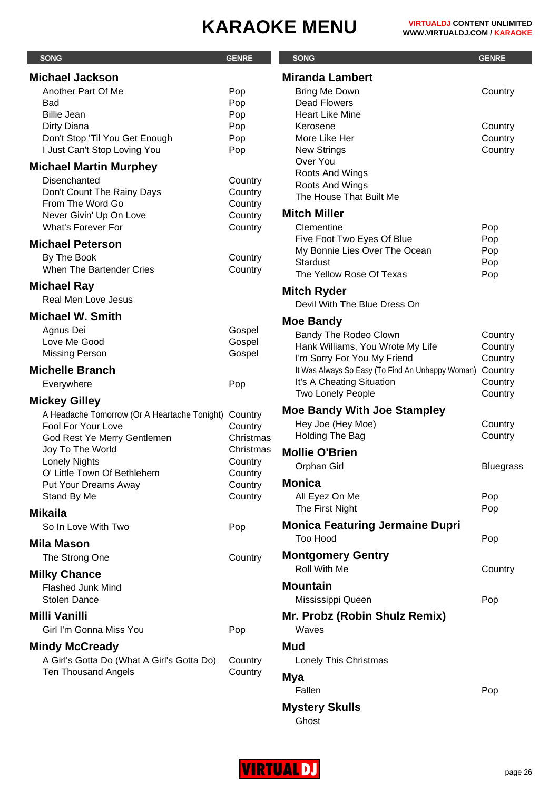| <b>SONG</b>                                                                                                                      | <b>GENRE</b>                                          | <b>SONG</b>                                                                                                              | <b>GENRE</b>                             |
|----------------------------------------------------------------------------------------------------------------------------------|-------------------------------------------------------|--------------------------------------------------------------------------------------------------------------------------|------------------------------------------|
| <b>Michael Jackson</b>                                                                                                           |                                                       | <b>Miranda Lambert</b>                                                                                                   |                                          |
| Another Part Of Me<br>Bad<br><b>Billie Jean</b><br>Dirty Diana<br>Don't Stop 'Til You Get Enough<br>I Just Can't Stop Loving You | Pop<br>Pop<br>Pop<br>Pop<br>Pop<br>Pop                | <b>Bring Me Down</b><br><b>Dead Flowers</b><br><b>Heart Like Mine</b><br>Kerosene<br>More Like Her<br><b>New Strings</b> | Country<br>Country<br>Country<br>Country |
| <b>Michael Martin Murphey</b>                                                                                                    |                                                       | Over You                                                                                                                 |                                          |
| Disenchanted<br>Don't Count The Rainy Days<br>From The Word Go<br>Never Givin' Up On Love<br><b>What's Forever For</b>           | Country<br>Country<br>Country<br>Country<br>Country   | Roots And Wings<br>Roots And Wings<br>The House That Built Me<br><b>Mitch Miller</b><br>Clementine                       | Pop                                      |
| <b>Michael Peterson</b><br>By The Book<br>When The Bartender Cries                                                               | Country<br>Country                                    | Five Foot Two Eyes Of Blue<br>My Bonnie Lies Over The Ocean<br><b>Stardust</b><br>The Yellow Rose Of Texas               | Pop<br>Pop<br>Pop<br>Pop                 |
| <b>Michael Ray</b><br><b>Real Men Love Jesus</b>                                                                                 |                                                       | <b>Mitch Ryder</b><br>Devil With The Blue Dress On                                                                       |                                          |
| <b>Michael W. Smith</b>                                                                                                          |                                                       | <b>Moe Bandy</b>                                                                                                         |                                          |
| Agnus Dei<br>Love Me Good<br><b>Missing Person</b>                                                                               | Gospel<br>Gospel<br>Gospel                            | Bandy The Rodeo Clown<br>Hank Williams, You Wrote My Life<br>I'm Sorry For You My Friend                                 | Country<br>Country<br>Country            |
| <b>Michelle Branch</b>                                                                                                           |                                                       | It Was Always So Easy (To Find An Unhappy Woman)                                                                         | Country                                  |
| Everywhere                                                                                                                       | Pop                                                   | It's A Cheating Situation<br><b>Two Lonely People</b>                                                                    | Country<br>Country                       |
| <b>Mickey Gilley</b><br>A Headache Tomorrow (Or A Heartache Tonight)<br>Fool For Your Love<br>God Rest Ye Merry Gentlemen        | Country<br>Country<br>Christmas                       | <b>Moe Bandy With Joe Stampley</b><br>Hey Joe (Hey Moe)<br>Holding The Bag                                               | Country<br>Country                       |
| Joy To The World<br><b>Lonely Nights</b><br>O' Little Town Of Bethlehem<br>Put Your Dreams Away<br>Stand By Me                   | Christmas<br>Country<br>Country<br>Country<br>Country | <b>Mollie O'Brien</b><br>Orphan Girl<br><b>Monica</b><br>All Eyez On Me                                                  | <b>Bluegrass</b><br>Pop                  |
| <b>Mikaila</b>                                                                                                                   |                                                       | The First Night                                                                                                          | Pop                                      |
| So In Love With Two                                                                                                              | Pop                                                   | <b>Monica Featuring Jermaine Dupri</b>                                                                                   |                                          |
| <b>Mila Mason</b><br>The Strong One                                                                                              | Country                                               | <b>Too Hood</b><br><b>Montgomery Gentry</b>                                                                              | Pop                                      |
|                                                                                                                                  |                                                       | Roll With Me                                                                                                             | Country                                  |
| <b>Milky Chance</b><br><b>Flashed Junk Mind</b><br><b>Stolen Dance</b>                                                           |                                                       | <b>Mountain</b><br>Mississippi Queen                                                                                     | Pop                                      |
| <b>Milli Vanilli</b><br>Girl I'm Gonna Miss You                                                                                  | Pop                                                   | Mr. Probz (Robin Shulz Remix)<br>Waves                                                                                   |                                          |
| <b>Mindy McCready</b>                                                                                                            |                                                       | Mud                                                                                                                      |                                          |
| A Girl's Gotta Do (What A Girl's Gotta Do)<br><b>Ten Thousand Angels</b>                                                         | Country<br>Country                                    | Lonely This Christmas<br>Mya<br>Fallen                                                                                   | Pop                                      |

**Mystery Skulls**

Ghost

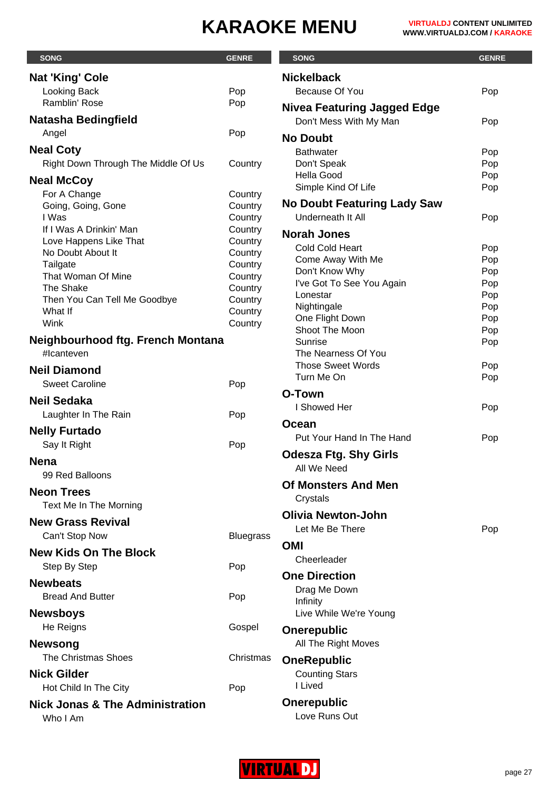| <b>SONG</b>                                       | <b>GENRE</b>       | <b>SONG</b>                           | <b>GENRE</b> |
|---------------------------------------------------|--------------------|---------------------------------------|--------------|
| <b>Nat 'King' Cole</b>                            |                    | <b>Nickelback</b>                     |              |
| <b>Looking Back</b>                               | Pop                | Because Of You                        | Pop          |
| Ramblin' Rose                                     | Pop                | <b>Nivea Featuring Jagged Edge</b>    |              |
| <b>Natasha Bedingfield</b>                        |                    | Don't Mess With My Man                | Pop          |
| Angel                                             | Pop                | <b>No Doubt</b>                       |              |
| <b>Neal Coty</b>                                  |                    | <b>Bathwater</b>                      | Pop          |
| Right Down Through The Middle Of Us               | Country            | Don't Speak                           | Pop          |
| <b>Neal McCoy</b>                                 |                    | <b>Hella Good</b>                     | Pop          |
| For A Change                                      | Country            | Simple Kind Of Life                   | Pop          |
| Going, Going, Gone                                | Country            | <b>No Doubt Featuring Lady Saw</b>    |              |
| I Was                                             | Country            | Underneath It All                     | Pop          |
| If I Was A Drinkin' Man<br>Love Happens Like That | Country<br>Country | <b>Norah Jones</b>                    |              |
| No Doubt About It                                 | Country            | Cold Cold Heart                       | Pop          |
| Tailgate                                          | Country            | Come Away With Me                     | Pop          |
| That Woman Of Mine                                | Country            | Don't Know Why                        | Pop          |
| The Shake                                         | Country            | I've Got To See You Again<br>Lonestar | Pop<br>Pop   |
| Then You Can Tell Me Goodbye                      | Country            | Nightingale                           | Pop          |
| What If<br>Wink                                   | Country<br>Country | One Flight Down                       | Pop          |
|                                                   |                    | Shoot The Moon                        | Pop          |
| Neighbourhood ftg. French Montana<br>#Icanteven   |                    | Sunrise<br>The Nearness Of You        | Pop          |
|                                                   |                    | <b>Those Sweet Words</b>              | Pop          |
| <b>Neil Diamond</b>                               |                    | Turn Me On                            | Pop          |
| <b>Sweet Caroline</b>                             | Pop                | O-Town                                |              |
| <b>Neil Sedaka</b>                                |                    | I Showed Her                          | Pop          |
| Laughter In The Rain                              | Pop                | <b>Ocean</b>                          |              |
| <b>Nelly Furtado</b>                              |                    | Put Your Hand In The Hand             | Pop          |
| Say It Right                                      | Pop                |                                       |              |
| <b>Nena</b>                                       |                    | <b>Odesza Ftg. Shy Girls</b>          |              |
| 99 Red Balloons                                   |                    | All We Need                           |              |
| <b>Neon Trees</b>                                 |                    | <b>Of Monsters And Men</b>            |              |
| Text Me In The Morning                            |                    | Crystals                              |              |
| <b>New Grass Revival</b>                          |                    | <b>Olivia Newton-John</b>             |              |
| Can't Stop Now                                    | <b>Bluegrass</b>   | Let Me Be There                       | Pop          |
| <b>New Kids On The Block</b>                      |                    | OMI                                   |              |
| Step By Step                                      | Pop                | Cheerleader                           |              |
|                                                   |                    | <b>One Direction</b>                  |              |
| <b>Newbeats</b>                                   |                    | Drag Me Down                          |              |
| <b>Bread And Butter</b>                           | Pop                | Infinity                              |              |
| <b>Newsboys</b>                                   |                    | Live While We're Young                |              |
| He Reigns                                         | Gospel             | Onerepublic                           |              |
| <b>Newsong</b>                                    |                    | All The Right Moves                   |              |
| The Christmas Shoes                               | Christmas          | <b>OneRepublic</b>                    |              |
| <b>Nick Gilder</b>                                |                    | <b>Counting Stars</b>                 |              |
| Hot Child In The City                             | Pop                | I Lived                               |              |
| <b>Nick Jonas &amp; The Administration</b>        |                    | <b>Onerepublic</b>                    |              |
| Who I Am                                          |                    | Love Runs Out                         |              |

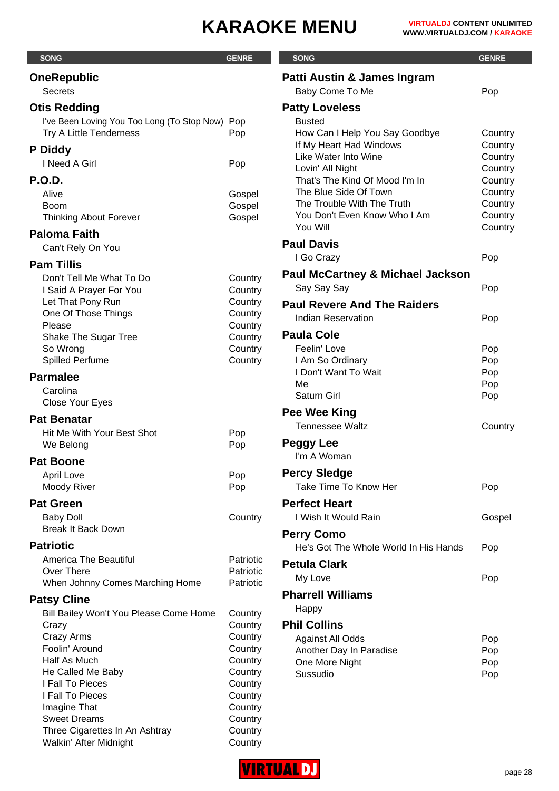| <b>SONG</b>                                     | <b>GENRE</b>           | <b>SONG</b>                                        | <b>GENRE</b>       |
|-------------------------------------------------|------------------------|----------------------------------------------------|--------------------|
| <b>OneRepublic</b>                              |                        | Patti Austin & James Ingram                        |                    |
| <b>Secrets</b>                                  |                        | Baby Come To Me                                    | Pop                |
| <b>Otis Redding</b>                             |                        | <b>Patty Loveless</b>                              |                    |
| I've Been Loving You Too Long (To Stop Now) Pop |                        | <b>Busted</b>                                      |                    |
| Try A Little Tenderness                         | Pop                    | How Can I Help You Say Goodbye                     | Country            |
| P Diddy                                         |                        | If My Heart Had Windows                            | Country            |
| I Need A Girl                                   | Pop                    | Like Water Into Wine                               | Country            |
| <b>P.O.D.</b>                                   |                        | Lovin' All Night<br>That's The Kind Of Mood I'm In | Country            |
| Alive                                           | Gospel                 | The Blue Side Of Town                              | Country<br>Country |
| Boom                                            | Gospel                 | The Trouble With The Truth                         | Country            |
| <b>Thinking About Forever</b>                   | Gospel                 | You Don't Even Know Who I Am                       | Country            |
| <b>Paloma Faith</b>                             |                        | You Will                                           | Country            |
| Can't Rely On You                               |                        | <b>Paul Davis</b>                                  |                    |
| <b>Pam Tillis</b>                               |                        | I Go Crazy                                         | Pop                |
| Don't Tell Me What To Do                        |                        | <b>Paul McCartney &amp; Michael Jackson</b>        |                    |
| I Said A Prayer For You                         | Country<br>Country     | Say Say Say                                        | Pop                |
| Let That Pony Run                               | Country                | <b>Paul Revere And The Raiders</b>                 |                    |
| One Of Those Things                             | Country                | <b>Indian Reservation</b>                          | Pop                |
| Please                                          | Country                |                                                    |                    |
| Shake The Sugar Tree                            | Country                | <b>Paula Cole</b>                                  |                    |
| So Wrong<br>Spilled Perfume                     | Country<br>Country     | Feelin' Love<br>I Am So Ordinary                   | Pop<br>Pop         |
|                                                 |                        | I Don't Want To Wait                               | Pop                |
| <b>Parmalee</b>                                 |                        | Me                                                 | Pop                |
| Carolina<br>Close Your Eyes                     |                        | Saturn Girl                                        | Pop                |
|                                                 |                        | Pee Wee King                                       |                    |
| <b>Pat Benatar</b>                              |                        | <b>Tennessee Waltz</b>                             | Country            |
| Hit Me With Your Best Shot<br>We Belong         | Pop<br>Pop             | <b>Peggy Lee</b>                                   |                    |
|                                                 |                        | I'm A Woman                                        |                    |
| <b>Pat Boone</b>                                |                        |                                                    |                    |
| <b>April Love</b><br>Moody River                | Pop<br>Pop             | <b>Percy Sledge</b><br>Take Time To Know Her       | Pop                |
|                                                 |                        |                                                    |                    |
| <b>Pat Green</b>                                |                        | <b>Perfect Heart</b>                               |                    |
| <b>Baby Doll</b><br><b>Break It Back Down</b>   | Country                | I Wish It Would Rain                               | Gospel             |
|                                                 |                        | <b>Perry Como</b>                                  |                    |
| <b>Patriotic</b>                                |                        | He's Got The Whole World In His Hands              | Pop                |
| <b>America The Beautiful</b><br>Over There      | Patriotic<br>Patriotic | <b>Petula Clark</b>                                |                    |
| When Johnny Comes Marching Home                 | Patriotic              | My Love                                            | Pop                |
|                                                 |                        | <b>Pharrell Williams</b>                           |                    |
| <b>Patsy Cline</b>                              |                        | Happy                                              |                    |
| Bill Bailey Won't You Please Come Home<br>Crazy | Country<br>Country     | <b>Phil Collins</b>                                |                    |
| Crazy Arms                                      | Country                | <b>Against All Odds</b>                            | Pop                |
| Foolin' Around                                  | Country                | Another Day In Paradise                            | Pop                |
| Half As Much                                    | Country                | One More Night                                     | Pop                |
| He Called Me Baby                               | Country                | Sussudio                                           | Pop                |
| I Fall To Pieces                                | Country                |                                                    |                    |
| I Fall To Pieces<br>Imagine That                | Country<br>Country     |                                                    |                    |
| <b>Sweet Dreams</b>                             | Country                |                                                    |                    |
| Three Cigarettes In An Ashtray                  | Country                |                                                    |                    |
| Walkin' After Midnight                          | Country                |                                                    |                    |

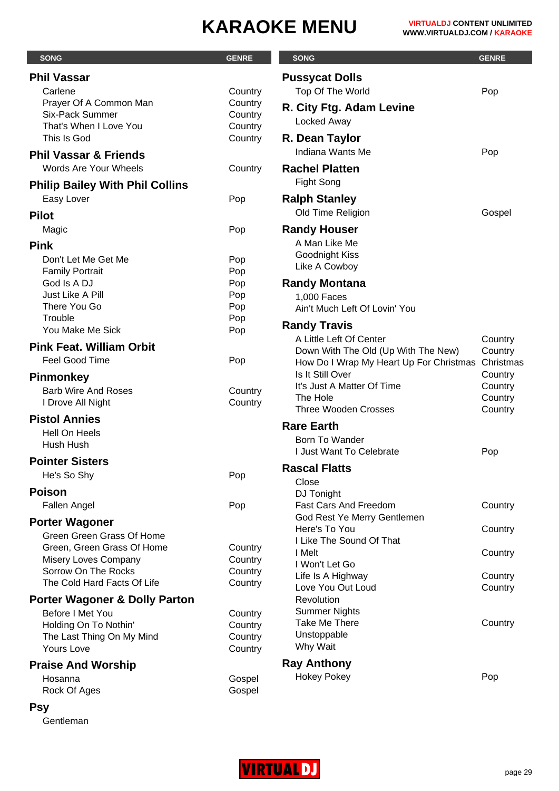| <b>SONG</b>                                 | <b>GENRE</b>       | <b>SONG</b>                                    | <b>GENRE</b>       |
|---------------------------------------------|--------------------|------------------------------------------------|--------------------|
| <b>Phil Vassar</b>                          |                    | <b>Pussycat Dolls</b>                          |                    |
| Carlene                                     | Country            | Top Of The World                               | Pop                |
| Prayer Of A Common Man                      | Country            |                                                |                    |
| <b>Six-Pack Summer</b>                      | Country            | R. City Ftg. Adam Levine                       |                    |
| That's When I Love You                      | Country            | Locked Away                                    |                    |
| This Is God                                 | Country            | R. Dean Taylor                                 |                    |
| <b>Phil Vassar &amp; Friends</b>            |                    | Indiana Wants Me                               | Pop                |
| Words Are Your Wheels                       | Country            | <b>Rachel Platten</b>                          |                    |
| <b>Philip Bailey With Phil Collins</b>      |                    | Fight Song                                     |                    |
| Easy Lover                                  | Pop                | <b>Ralph Stanley</b>                           |                    |
| <b>Pilot</b>                                |                    | Old Time Religion                              | Gospel             |
| Magic                                       | Pop                | <b>Randy Houser</b>                            |                    |
| <b>Pink</b>                                 |                    | A Man Like Me                                  |                    |
| Don't Let Me Get Me                         | Pop                | Goodnight Kiss                                 |                    |
| <b>Family Portrait</b>                      | Pop                | Like A Cowboy                                  |                    |
| God Is A DJ                                 | Pop                | <b>Randy Montana</b>                           |                    |
| Just Like A Pill                            | Pop                | 1,000 Faces                                    |                    |
| There You Go                                | Pop                | Ain't Much Left Of Lovin' You                  |                    |
| Trouble                                     | Pop                |                                                |                    |
| You Make Me Sick                            | Pop                | <b>Randy Travis</b><br>A Little Left Of Center |                    |
| <b>Pink Feat. William Orbit</b>             |                    | Down With The Old (Up With The New)            | Country<br>Country |
| Feel Good Time                              | Pop                | How Do I Wrap My Heart Up For Christmas        | Christmas          |
|                                             |                    | Is It Still Over                               | Country            |
| <b>Pinmonkey</b>                            |                    | It's Just A Matter Of Time                     | Country            |
| <b>Barb Wire And Roses</b>                  | Country            | The Hole                                       | Country            |
| I Drove All Night                           | Country            | <b>Three Wooden Crosses</b>                    | Country            |
| <b>Pistol Annies</b>                        |                    | <b>Rare Earth</b>                              |                    |
| Hell On Heels                               |                    | Born To Wander                                 |                    |
| Hush Hush                                   |                    | <b>I Just Want To Celebrate</b>                | Pop                |
| <b>Pointer Sisters</b>                      |                    | <b>Rascal Flatts</b>                           |                    |
| He's So Shy                                 | Pop                | Close                                          |                    |
| <b>Poison</b>                               |                    | DJ Tonight                                     |                    |
| Fallen Angel                                | Pop                | Fast Cars And Freedom                          | Country            |
|                                             |                    | God Rest Ye Merry Gentlemen                    |                    |
| <b>Porter Wagoner</b>                       |                    | Here's To You                                  | Country            |
| Green Green Grass Of Home                   |                    | I Like The Sound Of That                       |                    |
| Green, Green Grass Of Home                  | Country            | I Melt                                         | Country            |
| Misery Loves Company<br>Sorrow On The Rocks | Country<br>Country | I Won't Let Go                                 |                    |
| The Cold Hard Facts Of Life                 | Country            | Life Is A Highway                              | Country            |
|                                             |                    | Love You Out Loud                              | Country            |
| <b>Porter Wagoner &amp; Dolly Parton</b>    |                    | Revolution                                     |                    |
| Before I Met You                            | Country            | <b>Summer Nights</b><br>Take Me There          |                    |
| Holding On To Nothin'                       | Country            |                                                | Country            |
| The Last Thing On My Mind                   | Country            | Unstoppable<br>Why Wait                        |                    |
| <b>Yours Love</b>                           | Country            |                                                |                    |
| <b>Praise And Worship</b>                   |                    | <b>Ray Anthony</b>                             |                    |
| Hosanna                                     | Gospel             | <b>Hokey Pokey</b>                             | Pop                |
| Rock Of Ages                                | Gospel             |                                                |                    |

#### **Psy**

Gentleman

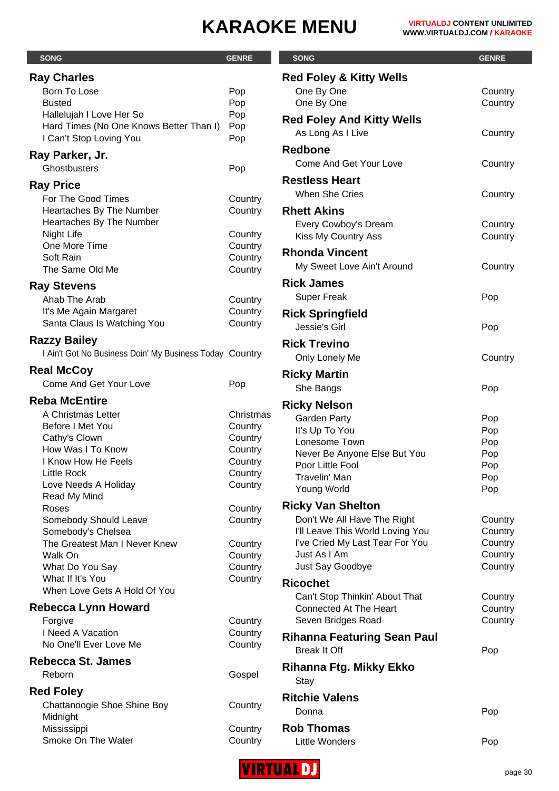Country Country

**Country** 

**Country** 

Country

Country Country

Country

Country

Country Country Country **Country** Country

Country Country **Country** 

| <b>SONG</b>                                             | <b>GENRE</b>       | <b>SONG</b>                        | <b>GENRE</b> |
|---------------------------------------------------------|--------------------|------------------------------------|--------------|
| <b>Ray Charles</b>                                      |                    | <b>Red Foley &amp; Kitty Wells</b> |              |
| Born To Lose                                            | Pop                | One By One                         | Coun         |
| <b>Busted</b>                                           | Pop                | One By One                         | Coun         |
| Hallelujah I Love Her So                                | Pop                | <b>Red Foley And Kitty Wells</b>   |              |
| Hard Times (No One Knows Better Than I)                 | Pop                | As Long As I Live                  | Coun         |
| I Can't Stop Loving You                                 | Pop                | <b>Redbone</b>                     |              |
| Ray Parker, Jr.                                         |                    | <b>Come And Get Your Love</b>      | Coun         |
| Ghostbusters                                            | Pop                |                                    |              |
| <b>Ray Price</b>                                        |                    | <b>Restless Heart</b>              |              |
| For The Good Times                                      | Country            | <b>When She Cries</b>              | Coun         |
| Heartaches By The Number                                | Country            | <b>Rhett Akins</b>                 |              |
| Heartaches By The Number                                |                    | Every Cowboy's Dream               | Coun         |
| <b>Night Life</b><br>One More Time                      | Country            | Kiss My Country Ass                | Coun         |
| Soft Rain                                               | Country<br>Country | <b>Rhonda Vincent</b>              |              |
| The Same Old Me                                         | Country            | My Sweet Love Ain't Around         | Coun         |
|                                                         |                    | <b>Rick James</b>                  |              |
| <b>Ray Stevens</b><br>Ahab The Arab                     |                    | <b>Super Freak</b>                 | Pop          |
| It's Me Again Margaret                                  | Country<br>Country |                                    |              |
| Santa Claus Is Watching You                             | Country            | <b>Rick Springfield</b>            |              |
|                                                         |                    | Jessie's Girl                      | Pop          |
| <b>Razzy Bailey</b>                                     |                    | <b>Rick Trevino</b>                |              |
| I Ain't Got No Business Doin' My Business Today Country |                    | Only Lonely Me                     | Coun         |
| <b>Real McCoy</b>                                       |                    | <b>Ricky Martin</b>                |              |
| <b>Come And Get Your Love</b>                           | Pop                | She Bangs                          | Pop          |
| <b>Reba McEntire</b>                                    |                    | <b>Ricky Nelson</b>                |              |
| A Christmas Letter                                      | Christmas          | <b>Garden Party</b>                | Pop          |
| Before I Met You                                        | Country            | It's Up To You                     | Pop          |
| Cathy's Clown                                           | Country            | Lonesome Town                      | Pop          |
| How Was I To Know                                       | Country            | Never Be Anyone Else But You       | Pop          |
| I Know How He Feels<br><b>Little Rock</b>               | Country            | Poor Little Fool                   | Pop          |
| Love Needs A Holiday                                    | Country<br>Country | Travelin' Man                      | Pop          |
| Read My Mind                                            |                    | Young World                        | Pop          |
| Roses                                                   | Country            | <b>Ricky Van Shelton</b>           |              |
| Somebody Should Leave                                   | Country            | Don't We All Have The Right        | Coun         |
| Somebody's Chelsea                                      |                    | I'll Leave This World Loving You   | Coun         |
| The Greatest Man I Never Knew                           | Country            | I've Cried My Last Tear For You    | Coun         |
| Walk On                                                 | Country            | Just As I Am                       | Coun         |
| What Do You Say<br>What If It's You                     | Country<br>Country | Just Say Goodbye                   | Coun         |
| When Love Gets A Hold Of You                            |                    | <b>Ricochet</b>                    |              |
|                                                         |                    | Can't Stop Thinkin' About That     | Coun         |
| Rebecca Lynn Howard                                     |                    | <b>Connected At The Heart</b>      | Coun         |
| Forgive<br>I Need A Vacation                            | Country            | Seven Bridges Road                 | Coun         |
| No One'll Ever Love Me                                  | Country<br>Country | <b>Rihanna Featuring Sean Paul</b> |              |
|                                                         |                    | <b>Break It Off</b>                | Pop          |
| <b>Rebecca St. James</b>                                |                    | <b>Rihanna Ftg. Mikky Ekko</b>     |              |
| Reborn                                                  | Gospel             | Stay                               |              |
| <b>Red Foley</b>                                        |                    | <b>Ritchie Valens</b>              |              |
| Chattanoogie Shoe Shine Boy                             | Country            | Donna                              | Pop          |
| Midnight                                                |                    |                                    |              |
| Mississippi                                             | Country            | <b>Rob Thomas</b>                  |              |
| Smoke On The Water                                      | Country            | Little Wonders                     | Pop          |

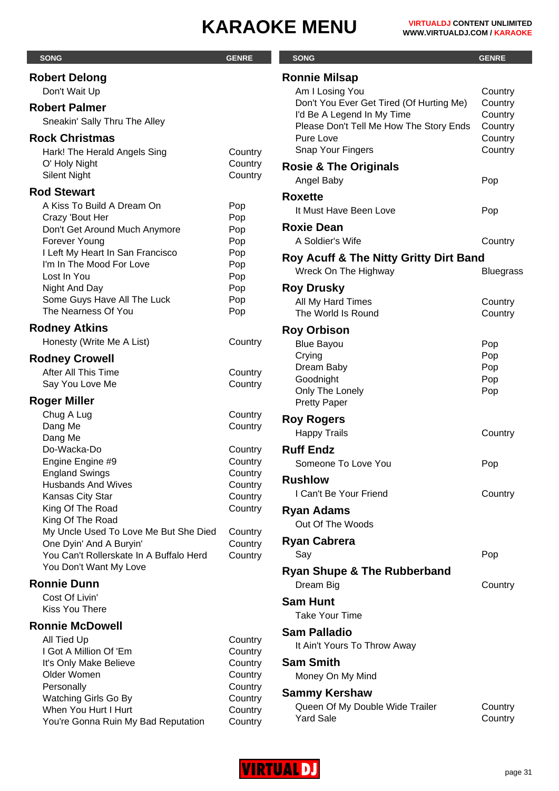| <b>SONG</b>                                                      | <b>GENRE</b>       | <b>SONG</b>                                       | <b>GENRE</b>       |
|------------------------------------------------------------------|--------------------|---------------------------------------------------|--------------------|
| <b>Robert Delong</b>                                             |                    | <b>Ronnie Milsap</b>                              |                    |
| Don't Wait Up                                                    |                    | Am I Losing You                                   | Country            |
| <b>Robert Palmer</b>                                             |                    | Don't You Ever Get Tired (Of Hurting Me)          | Country            |
| Sneakin' Sally Thru The Alley                                    |                    | I'd Be A Legend In My Time                        | Country            |
|                                                                  |                    | Please Don't Tell Me How The Story Ends           | Country            |
| <b>Rock Christmas</b>                                            |                    | Pure Love<br>Snap Your Fingers                    | Country<br>Country |
| Hark! The Herald Angels Sing<br>O' Holy Night                    | Country<br>Country |                                                   |                    |
| <b>Silent Night</b>                                              | Country            | <b>Rosie &amp; The Originals</b>                  |                    |
| <b>Rod Stewart</b>                                               |                    | Angel Baby                                        | Pop                |
| A Kiss To Build A Dream On                                       | Pop                | <b>Roxette</b>                                    |                    |
| Crazy 'Bout Her                                                  | Pop                | It Must Have Been Love                            | Pop                |
| Don't Get Around Much Anymore                                    | Pop                | <b>Roxie Dean</b>                                 |                    |
| Forever Young                                                    | Pop                | A Soldier's Wife                                  | Country            |
| I Left My Heart In San Francisco<br>I'm In The Mood For Love     | Pop                | <b>Roy Acuff &amp; The Nitty Gritty Dirt Band</b> |                    |
| Lost In You                                                      | Pop<br>Pop         | Wreck On The Highway                              | <b>Bluegrass</b>   |
| Night And Day                                                    | Pop                | <b>Roy Drusky</b>                                 |                    |
| Some Guys Have All The Luck                                      | Pop                | All My Hard Times                                 | Country            |
| The Nearness Of You                                              | Pop                | The World Is Round                                | Country            |
| <b>Rodney Atkins</b>                                             |                    | <b>Roy Orbison</b>                                |                    |
| Honesty (Write Me A List)                                        | Country            | <b>Blue Bayou</b>                                 | Pop                |
| <b>Rodney Crowell</b>                                            |                    | Crying                                            | Pop                |
| After All This Time                                              | Country            | Dream Baby                                        | Pop                |
| Say You Love Me                                                  | Country            | Goodnight<br>Only The Lonely                      | Pop                |
| <b>Roger Miller</b>                                              |                    | <b>Pretty Paper</b>                               | Pop                |
| Chug A Lug                                                       | Country            | <b>Roy Rogers</b>                                 |                    |
| Dang Me                                                          | Country            | <b>Happy Trails</b>                               | Country            |
| Dang Me                                                          |                    |                                                   |                    |
| Do-Wacka-Do                                                      | Country<br>Country | <b>Ruff Endz</b>                                  |                    |
| Engine Engine #9<br><b>England Swings</b>                        | Country            | Someone To Love You                               | Pop                |
| <b>Husbands And Wives</b>                                        | Country            | <b>Rushlow</b>                                    |                    |
| Kansas City Star                                                 | Country            | I Can't Be Your Friend                            | Country            |
| King Of The Road                                                 | Country            | <b>Ryan Adams</b>                                 |                    |
| King Of The Road                                                 |                    | Out Of The Woods                                  |                    |
| My Uncle Used To Love Me But She Died<br>One Dyin' And A Buryin' | Country<br>Country | <b>Ryan Cabrera</b>                               |                    |
| You Can't Rollerskate In A Buffalo Herd                          | Country            | Say                                               | Pop                |
| You Don't Want My Love                                           |                    | <b>Ryan Shupe &amp; The Rubberband</b>            |                    |
| <b>Ronnie Dunn</b>                                               |                    | Dream Big                                         | Country            |
| Cost Of Livin'                                                   |                    | <b>Sam Hunt</b>                                   |                    |
| Kiss You There                                                   |                    | <b>Take Your Time</b>                             |                    |
| <b>Ronnie McDowell</b>                                           |                    |                                                   |                    |
| All Tied Up                                                      | Country            | <b>Sam Palladio</b>                               |                    |
| I Got A Million Of 'Em                                           | Country            | It Ain't Yours To Throw Away                      |                    |
| It's Only Make Believe                                           | Country            | <b>Sam Smith</b>                                  |                    |
| Older Women<br>Personally                                        | Country<br>Country | Money On My Mind                                  |                    |
| Watching Girls Go By                                             | Country            | <b>Sammy Kershaw</b>                              |                    |
| When You Hurt I Hurt                                             | Country            | Queen Of My Double Wide Trailer                   | Country            |
| You're Gonna Ruin My Bad Reputation                              | Country            | <b>Yard Sale</b>                                  | Country            |

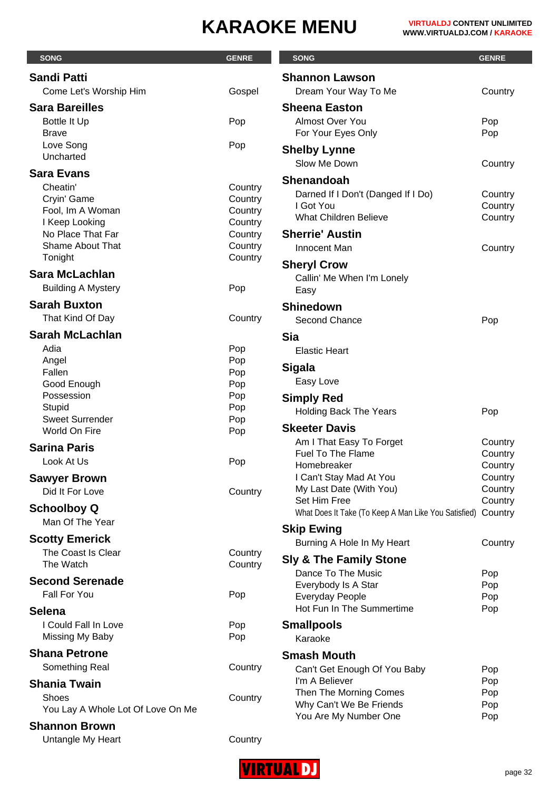| <b>SONG</b>                                 | <b>GENRE</b>       | <b>SONG</b>                                          | <b>GENRE</b>       |
|---------------------------------------------|--------------------|------------------------------------------------------|--------------------|
| <b>Sandi Patti</b>                          |                    | <b>Shannon Lawson</b>                                |                    |
| Come Let's Worship Him                      | Gospel             | Dream Your Way To Me                                 | Country            |
| <b>Sara Bareilles</b>                       |                    | <b>Sheena Easton</b>                                 |                    |
| <b>Bottle It Up</b>                         | Pop                | Almost Over You                                      | Pop                |
| <b>Brave</b>                                |                    | For Your Eyes Only                                   | Pop                |
| Love Song                                   | Pop                | <b>Shelby Lynne</b>                                  |                    |
| Uncharted                                   |                    | Slow Me Down                                         | Country            |
| <b>Sara Evans</b>                           |                    | <b>Shenandoah</b>                                    |                    |
| Cheatin'                                    | Country            | Darned If I Don't (Danged If I Do)                   | Country            |
| Cryin' Game                                 | Country            | I Got You                                            | Country            |
| Fool, Im A Woman<br>I Keep Looking          | Country<br>Country | <b>What Children Believe</b>                         | Country            |
| No Place That Far                           | Country            | <b>Sherrie' Austin</b>                               |                    |
| <b>Shame About That</b>                     | Country            | Innocent Man                                         | Country            |
| Tonight                                     | Country            | <b>Sheryl Crow</b>                                   |                    |
| <b>Sara McLachlan</b>                       |                    | Callin' Me When I'm Lonely                           |                    |
| <b>Building A Mystery</b>                   | Pop                | Easy                                                 |                    |
| <b>Sarah Buxton</b>                         |                    | <b>Shinedown</b>                                     |                    |
| That Kind Of Day                            | Country            | Second Chance                                        | Pop                |
| <b>Sarah McLachlan</b>                      |                    | <b>Sia</b>                                           |                    |
| Adia                                        | Pop                | <b>Elastic Heart</b>                                 |                    |
| Angel                                       | Pop                |                                                      |                    |
| Fallen                                      | Pop                | <b>Sigala</b>                                        |                    |
| Good Enough                                 | Pop                | Easy Love                                            |                    |
| Possession<br>Stupid                        | Pop<br>Pop         | <b>Simply Red</b>                                    |                    |
| <b>Sweet Surrender</b>                      | Pop                | <b>Holding Back The Years</b>                        | Pop                |
| World On Fire                               | Pop                | <b>Skeeter Davis</b>                                 |                    |
| <b>Sarina Paris</b>                         |                    | Am I That Easy To Forget                             | Country            |
| Look At Us                                  | Pop                | <b>Fuel To The Flame</b><br>Homebreaker              | Country<br>Country |
| <b>Sawyer Brown</b>                         |                    | I Can't Stay Mad At You                              | Country            |
| Did It For Love                             | Country            | My Last Date (With You)                              | Country            |
| <b>Schoolboy Q</b>                          |                    | Set Him Free                                         | Country            |
| Man Of The Year                             |                    | What Does It Take (To Keep A Man Like You Satisfied) | Country            |
|                                             |                    | <b>Skip Ewing</b>                                    |                    |
| <b>Scotty Emerick</b><br>The Coast Is Clear | Country            | Burning A Hole In My Heart                           | Country            |
| The Watch                                   | Country            | <b>Sly &amp; The Family Stone</b>                    |                    |
| <b>Second Serenade</b>                      |                    | Dance To The Music                                   | Pop                |
| Fall For You                                | Pop                | Everybody Is A Star                                  | Pop                |
|                                             |                    | <b>Everyday People</b><br>Hot Fun In The Summertime  | Pop<br>Pop         |
| <b>Selena</b><br>I Could Fall In Love       |                    |                                                      |                    |
| Missing My Baby                             | Pop<br>Pop         | <b>Smallpools</b><br>Karaoke                         |                    |
| <b>Shana Petrone</b>                        |                    |                                                      |                    |
| Something Real                              |                    | <b>Smash Mouth</b>                                   |                    |
|                                             | Country            | Can't Get Enough Of You Baby<br>I'm A Believer       | Pop<br>Pop         |
| <b>Shania Twain</b>                         |                    | Then The Morning Comes                               | Pop                |
| Shoes<br>You Lay A Whole Lot Of Love On Me  | Country            | Why Can't We Be Friends                              | Pop                |
|                                             |                    | You Are My Number One                                | Pop                |
| <b>Shannon Brown</b>                        |                    |                                                      |                    |
| Untangle My Heart                           | Country            |                                                      |                    |

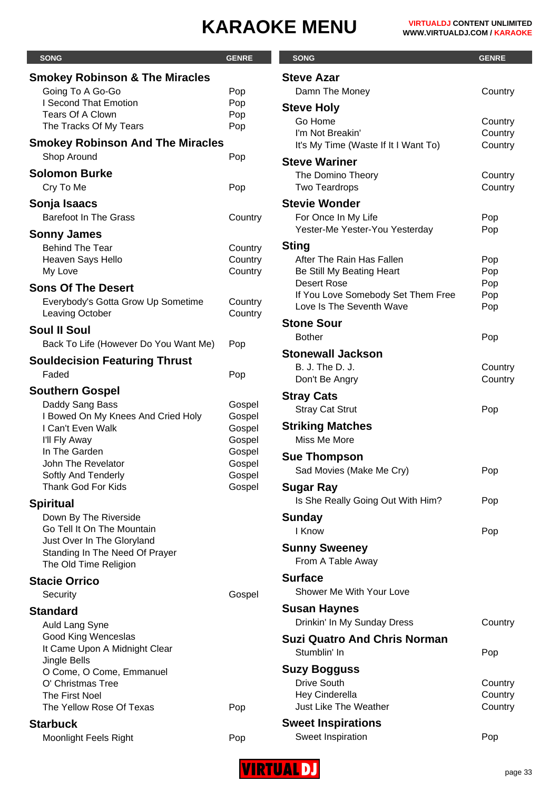| <b>SONG</b>                                         | <b>GENRE</b>       | <b>SONG</b>                                 | <b>GENRE</b> |
|-----------------------------------------------------|--------------------|---------------------------------------------|--------------|
| <b>Smokey Robinson &amp; The Miracles</b>           |                    | <b>Steve Azar</b>                           |              |
| Going To A Go-Go                                    | Pop                | Damn The Money                              | Coun         |
| I Second That Emotion                               | Pop                | <b>Steve Holy</b>                           |              |
| <b>Tears Of A Clown</b>                             | Pop                | Go Home                                     | Coun         |
| The Tracks Of My Tears                              | Pop                | I'm Not Breakin'                            | Coun         |
| <b>Smokey Robinson And The Miracles</b>             |                    | It's My Time (Waste If It I Want To)        | Coun         |
| Shop Around                                         | Pop                | <b>Steve Wariner</b>                        |              |
| <b>Solomon Burke</b>                                |                    | The Domino Theory                           | Coun         |
| Cry To Me                                           | Pop                | <b>Two Teardrops</b>                        | Coun         |
| Sonja Isaacs                                        |                    | <b>Stevie Wonder</b>                        |              |
| <b>Barefoot In The Grass</b>                        | Country            | For Once In My Life                         | Pop          |
|                                                     |                    | Yester-Me Yester-You Yesterday              | Pop          |
| <b>Sonny James</b>                                  |                    | <b>Sting</b>                                |              |
| <b>Behind The Tear</b><br>Heaven Says Hello         | Country<br>Country | After The Rain Has Fallen                   | Pop          |
| My Love                                             | Country            | Be Still My Beating Heart                   | Pop          |
|                                                     |                    | <b>Desert Rose</b>                          | Pop          |
| <b>Sons Of The Desert</b>                           |                    | If You Love Somebody Set Them Free          | Pop          |
| Everybody's Gotta Grow Up Sometime                  | Country            | Love Is The Seventh Wave                    | Pop          |
| Leaving October                                     | Country            | <b>Stone Sour</b>                           |              |
| <b>Soul II Soul</b>                                 |                    | <b>Bother</b>                               | Pop          |
| Back To Life (However Do You Want Me)               | Pop                | <b>Stonewall Jackson</b>                    |              |
| <b>Souldecision Featuring Thrust</b>                |                    | B. J. The D. J.                             | Coun         |
| Faded                                               | Pop                | Don't Be Angry                              | Coun         |
| <b>Southern Gospel</b>                              |                    |                                             |              |
| Daddy Sang Bass                                     | Gospel             | <b>Stray Cats</b><br><b>Stray Cat Strut</b> |              |
| I Bowed On My Knees And Cried Holy                  | Gospel             |                                             | Pop          |
| I Can't Even Walk                                   | Gospel             | <b>Striking Matches</b>                     |              |
| I'll Fly Away                                       | Gospel             | Miss Me More                                |              |
| In The Garden                                       | Gospel             | <b>Sue Thompson</b>                         |              |
| John The Revelator<br>Softly And Tenderly           | Gospel<br>Gospel   | Sad Movies (Make Me Cry)                    | Pop          |
| Thank God For Kids                                  | Gospel             | <b>Sugar Ray</b>                            |              |
|                                                     |                    | Is She Really Going Out With Him?           | Pop          |
| <b>Spiritual</b>                                    |                    |                                             |              |
| Down By The Riverside<br>Go Tell It On The Mountain |                    | <b>Sunday</b>                               |              |
| Just Over In The Gloryland                          |                    | I Know                                      | Pop          |
| Standing In The Need Of Prayer                      |                    | <b>Sunny Sweeney</b>                        |              |
| The Old Time Religion                               |                    | From A Table Away                           |              |
| <b>Stacie Orrico</b>                                |                    | <b>Surface</b>                              |              |
| Security                                            | Gospel             | Shower Me With Your Love                    |              |
| <b>Standard</b>                                     |                    | <b>Susan Haynes</b>                         |              |
| Auld Lang Syne                                      |                    | Drinkin' In My Sunday Dress                 | Coun         |
| Good King Wenceslas                                 |                    | <b>Suzi Quatro And Chris Norman</b>         |              |
| It Came Upon A Midnight Clear                       |                    | Stumblin' In                                |              |
| Jingle Bells                                        |                    |                                             | Pop          |
| O Come, O Come, Emmanuel                            |                    | <b>Suzy Bogguss</b>                         |              |
| O' Christmas Tree                                   |                    | <b>Drive South</b>                          | Coun         |
| The First Noel                                      |                    | Hey Cinderella                              | Coun         |
| The Yellow Rose Of Texas                            | Pop                | Just Like The Weather                       | Coun         |
| <b>Starbuck</b>                                     |                    | <b>Sweet Inspirations</b>                   |              |
| Moonlight Feels Right                               | Pop                | Sweet Inspiration                           | Pop          |

| <b>SONG</b>                                     | <b>GENRE</b> |
|-------------------------------------------------|--------------|
| <b>Steve Azar</b>                               |              |
| Damn The Money                                  | Country      |
| <b>Steve Holy</b>                               |              |
| Go Home                                         | Country      |
| I'm Not Breakin'                                | Country      |
| It's My Time (Waste If It I Want To)            | Country      |
| <b>Steve Wariner</b>                            |              |
| The Domino Theory                               | Country      |
| <b>Two Teardrops</b>                            | Country      |
| <b>Stevie Wonder</b>                            |              |
| For Once In My Life                             | Pop          |
| Yester-Me Yester-You Yesterday                  | Pop          |
| Sting                                           |              |
| After The Rain Has Fallen                       | Pop          |
| Be Still My Beating Heart<br><b>Desert Rose</b> | Pop<br>Pop   |
| If You Love Somebody Set Them Free              | Pop          |
| Love Is The Seventh Wave                        | Pop          |
| <b>Stone Sour</b>                               |              |
| <b>Bother</b>                                   | Pop          |
| Stonewall Jackson                               |              |
| <b>B. J. The D. J.</b>                          | Country      |
| Don't Be Angry                                  | Country      |
| Stray Cats                                      |              |
| <b>Stray Cat Strut</b>                          | Pop          |
| <b>Striking Matches</b>                         |              |
| Miss Me More                                    |              |
| <b>Sue Thompson</b>                             |              |
| Sad Movies (Make Me Cry)                        | Pop          |
|                                                 |              |
| Sugar Ray                                       |              |
| Is She Really Going Out With Him?               | Pop          |
| Sunday                                          |              |
| I Know                                          | Pop          |
| <b>Sunny Sweeney</b>                            |              |
| From A Table Away                               |              |
| <b>Surface</b>                                  |              |
| Shower Me With Your Love                        |              |
| Susan Haynes                                    |              |
| Drinkin' In My Sunday Dress                     | Country      |
| Suzi Quatro And Chris Norman                    |              |
| Stumblin' In                                    | Pop          |
| <b>Suzy Bogguss</b>                             |              |
| <b>Drive South</b>                              | Country      |
| Hey Cinderella                                  | Country      |
| <b>Just Like The Weather</b>                    | Country      |
| <b>Sweet Inspirations</b>                       |              |
| Sweet Inspiration                               | Pop          |

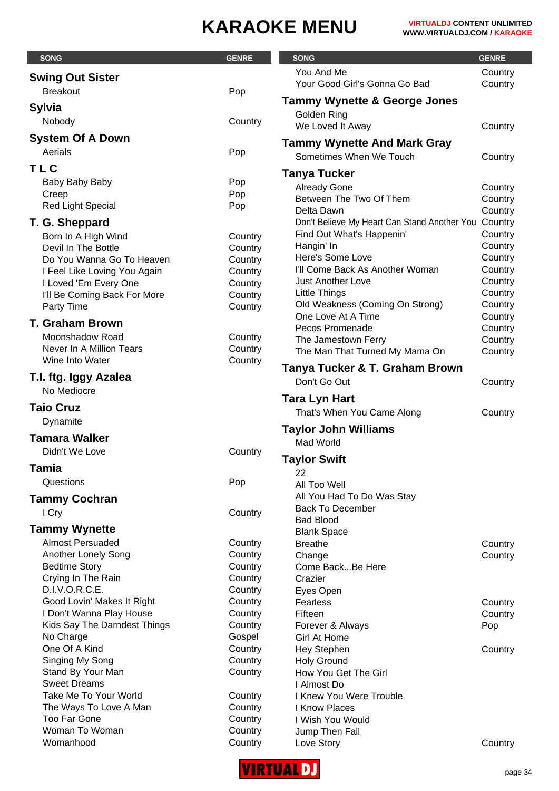| <b>SONG</b>                                               | <b>GENRE</b>       | <b>SONG</b>                                          | <b>GENRE</b>       |
|-----------------------------------------------------------|--------------------|------------------------------------------------------|--------------------|
|                                                           |                    | You And Me                                           | Country            |
| <b>Swing Out Sister</b>                                   |                    | Your Good Girl's Gonna Go Bad                        | Country            |
| <b>Breakout</b><br>Pop                                    |                    | <b>Tammy Wynette &amp; George Jones</b>              |                    |
| <b>Sylvia</b>                                             |                    | Golden Ring                                          |                    |
| Nobody                                                    | Country            | We Loved It Away                                     | Country            |
| <b>System Of A Down</b>                                   |                    |                                                      |                    |
| Aerials<br>Pop                                            |                    | <b>Tammy Wynette And Mark Gray</b>                   |                    |
| <b>TLC</b>                                                |                    | Sometimes When We Touch                              | Country            |
|                                                           |                    | Tanya Tucker                                         |                    |
| Pop<br>Baby Baby Baby<br>Pop<br>Creep                     |                    | <b>Already Gone</b>                                  | Country            |
| <b>Red Light Special</b><br>Pop                           |                    | Between The Two Of Them                              | Country            |
|                                                           |                    | Delta Dawn                                           | Country            |
| T. G. Sheppard                                            |                    | Don't Believe My Heart Can Stand Another You Country |                    |
| Born In A High Wind                                       | Country            | Find Out What's Happenin'<br>Hangin' In              | Country<br>Country |
| Devil In The Bottle                                       | Country            | Here's Some Love                                     | Country            |
| Do You Wanna Go To Heaven<br>I Feel Like Loving You Again | Country<br>Country | I'll Come Back As Another Woman                      | Country            |
| I Loved 'Em Every One                                     | Country            | <b>Just Another Love</b>                             | Country            |
| I'll Be Coming Back For More                              | Country            | <b>Little Things</b>                                 | Country            |
| Party Time                                                | Country            | Old Weakness (Coming On Strong)                      | Country            |
|                                                           |                    | One Love At A Time                                   | Country            |
| <b>T. Graham Brown</b>                                    |                    | Pecos Promenade                                      | Country            |
| Moonshadow Road                                           | Country            | The Jamestown Ferry                                  | Country            |
| Never In A Million Tears<br>Wine Into Water               | Country            | The Man That Turned My Mama On                       | Country            |
|                                                           | Country            | Tanya Tucker & T. Graham Brown                       |                    |
| T.I. ftg. Iggy Azalea                                     |                    | Don't Go Out                                         | Country            |
| No Mediocre                                               |                    | Tara Lyn Hart                                        |                    |
| <b>Taio Cruz</b>                                          |                    | That's When You Came Along                           | Country            |
| Dynamite                                                  |                    |                                                      |                    |
| <b>Tamara Walker</b>                                      |                    | <b>Taylor John Williams</b>                          |                    |
| Didn't We Love                                            | Country            | Mad World                                            |                    |
|                                                           |                    | <b>Taylor Swift</b>                                  |                    |
| <b>Tamia</b>                                              |                    | 22                                                   |                    |
| Questions<br>Pop                                          |                    | All Too Well                                         |                    |
| <b>Tammy Cochran</b>                                      |                    | All You Had To Do Was Stay                           |                    |
| I Cry                                                     | Country            | <b>Back To December</b>                              |                    |
|                                                           |                    | <b>Bad Blood</b>                                     |                    |
| <b>Tammy Wynette</b>                                      |                    | <b>Blank Space</b>                                   |                    |
| <b>Almost Persuaded</b><br>Another Lonely Song            | Country<br>Country | <b>Breathe</b>                                       | Country            |
| <b>Bedtime Story</b>                                      | Country            | Change<br>Come BackBe Here                           | Country            |
| Crying In The Rain                                        | Country            | Crazier                                              |                    |
| D.I.V.O.R.C.E.                                            | Country            | Eyes Open                                            |                    |
| Good Lovin' Makes It Right                                | Country            | Fearless                                             | Country            |
| I Don't Wanna Play House                                  | Country            | Fifteen                                              | Country            |
| Kids Say The Darndest Things                              | Country            | Forever & Always                                     | Pop                |
| No Charge                                                 | Gospel             | <b>Girl At Home</b>                                  |                    |
| One Of A Kind                                             | Country            | <b>Hey Stephen</b>                                   | Country            |
| Singing My Song                                           | Country            | <b>Holy Ground</b>                                   |                    |
| Stand By Your Man                                         | Country            | How You Get The Girl                                 |                    |
| <b>Sweet Dreams</b>                                       |                    | I Almost Do                                          |                    |
| Take Me To Your World                                     | Country            | I Knew You Were Trouble                              |                    |
| The Ways To Love A Man<br><b>Too Far Gone</b>             | Country<br>Country | I Know Places<br>I Wish You Would                    |                    |
| Woman To Woman                                            | Country            | Jump Then Fall                                       |                    |
| Womanhood                                                 | Country            | Love Story                                           | Country            |

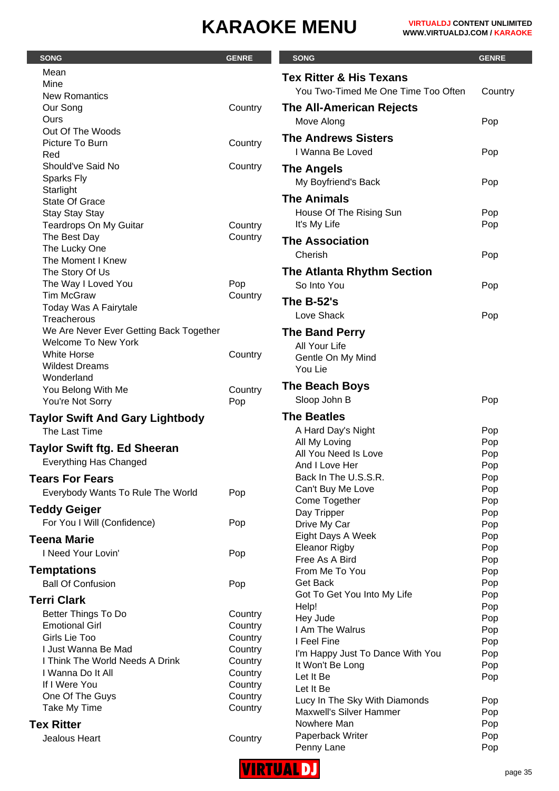| <b>SONG</b>                             | <b>GENRE</b> | <b>SONG</b>                                     | <b>GENRE</b> |
|-----------------------------------------|--------------|-------------------------------------------------|--------------|
| Mean                                    |              | <b>Tex Ritter &amp; His Texans</b>              |              |
| Mine                                    |              | You Two-Timed Me One Time Too Often             |              |
| <b>New Romantics</b>                    |              |                                                 | Country      |
| Our Song                                | Country      | The All-American Rejects                        |              |
| Ours                                    |              | Move Along                                      | Pop          |
| Out Of The Woods<br>Picture To Burn     | Country      | <b>The Andrews Sisters</b>                      |              |
| Red                                     |              | I Wanna Be Loved                                | Pop          |
| Should've Said No                       | Country      | <b>The Angels</b>                               |              |
| <b>Sparks Fly</b>                       |              | My Boyfriend's Back                             | Pop          |
| Starlight                               |              |                                                 |              |
| <b>State Of Grace</b>                   |              | <b>The Animals</b>                              |              |
| <b>Stay Stay Stay</b>                   |              | House Of The Rising Sun                         | Pop          |
| <b>Teardrops On My Guitar</b>           | Country      | It's My Life                                    | Pop          |
| The Best Day                            | Country      | <b>The Association</b>                          |              |
| The Lucky One<br>The Moment I Knew      |              | Cherish                                         | Pop          |
| The Story Of Us                         |              | <b>The Atlanta Rhythm Section</b>               |              |
| The Way I Loved You                     | Pop          | So Into You                                     | Pop          |
| <b>Tim McGraw</b>                       | Country      |                                                 |              |
| Today Was A Fairytale                   |              | <b>The B-52's</b>                               |              |
| Treacherous                             |              | Love Shack                                      | Pop          |
| We Are Never Ever Getting Back Together |              | <b>The Band Perry</b>                           |              |
| <b>Welcome To New York</b>              |              | All Your Life                                   |              |
| <b>White Horse</b>                      | Country      | Gentle On My Mind                               |              |
| <b>Wildest Dreams</b>                   |              | You Lie                                         |              |
| Wonderland<br>You Belong With Me        | Country      | The Beach Boys                                  |              |
| You're Not Sorry                        | Pop          | Sloop John B                                    | Pop          |
| <b>Taylor Swift And Gary Lightbody</b>  |              | <b>The Beatles</b>                              |              |
| The Last Time                           |              | A Hard Day's Night                              | Pop          |
|                                         |              | All My Loving                                   | Pop          |
| <b>Taylor Swift ftg. Ed Sheeran</b>     |              | All You Need Is Love                            | Pop          |
| <b>Everything Has Changed</b>           |              | And I Love Her                                  | Pop          |
| <b>Tears For Fears</b>                  |              | Back In The U.S.S.R.                            | Pop          |
| Everybody Wants To Rule The World       | Pop          | Can't Buy Me Love                               | Pop          |
| <b>Teddy Geiger</b>                     |              | Come Together                                   | Pop          |
| For You I Will (Confidence)             | Pop          | Day Tripper                                     | Pop          |
|                                         |              | Drive My Car<br>Eight Days A Week               | Pop<br>Pop   |
| <b>Teena Marie</b>                      |              | <b>Eleanor Rigby</b>                            | Pop          |
| I Need Your Lovin'                      | Pop          | Free As A Bird                                  | Pop          |
| <b>Temptations</b>                      |              | From Me To You                                  | Pop          |
| <b>Ball Of Confusion</b>                | Pop          | Get Back                                        | Pop          |
| <b>Terri Clark</b>                      |              | Got To Get You Into My Life                     | Pop          |
| Better Things To Do                     | Country      | Help!                                           | Pop          |
| <b>Emotional Girl</b>                   | Country      | Hey Jude                                        | Pop          |
| Girls Lie Too                           | Country      | I Am The Walrus                                 | Pop          |
| I Just Wanna Be Mad                     | Country      | I Feel Fine<br>I'm Happy Just To Dance With You | Pop<br>Pop   |
| I Think The World Needs A Drink         | Country      | It Won't Be Long                                | Pop          |
| I Wanna Do It All                       | Country      | Let It Be                                       | Pop          |
| If I Were You                           | Country      | Let It Be                                       |              |
| One Of The Guys                         | Country      | Lucy In The Sky With Diamonds                   | Pop          |
| Take My Time                            | Country      | <b>Maxwell's Silver Hammer</b>                  | Pop          |
| <b>Tex Ritter</b>                       |              | Nowhere Man                                     | Pop          |
| Jealous Heart                           | Country      | Paperback Writer                                | Pop          |
|                                         |              | Penny Lane                                      | Pop          |

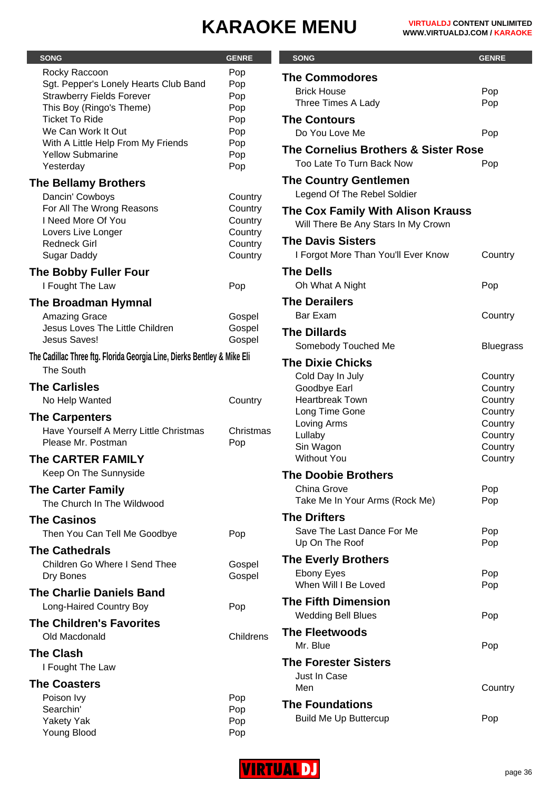| <b>SONG</b>                                                               | <b>GENRE</b>       | <b>SONG</b>                          | <b>GENRE</b>       |
|---------------------------------------------------------------------------|--------------------|--------------------------------------|--------------------|
|                                                                           |                    |                                      |                    |
| Rocky Raccoon                                                             | Pop                | <b>The Commodores</b>                |                    |
| Sgt. Pepper's Lonely Hearts Club Band<br><b>Strawberry Fields Forever</b> | Pop<br>Pop         | <b>Brick House</b>                   | Pop                |
| This Boy (Ringo's Theme)                                                  | Pop                | Three Times A Lady                   | Pop                |
| <b>Ticket To Ride</b>                                                     | Pop                | <b>The Contours</b>                  |                    |
| We Can Work It Out                                                        | Pop                | Do You Love Me                       | Pop                |
| With A Little Help From My Friends                                        | Pop                |                                      |                    |
| <b>Yellow Submarine</b>                                                   | Pop                | The Cornelius Brothers & Sister Rose |                    |
| Yesterday                                                                 | Pop                | Too Late To Turn Back Now            | Pop                |
| <b>The Bellamy Brothers</b>                                               |                    | <b>The Country Gentlemen</b>         |                    |
|                                                                           |                    | Legend Of The Rebel Soldier          |                    |
| Dancin' Cowboys<br>For All The Wrong Reasons                              | Country            |                                      |                    |
| I Need More Of You                                                        | Country<br>Country | The Cox Family With Alison Krauss    |                    |
| Lovers Live Longer                                                        | Country            | Will There Be Any Stars In My Crown  |                    |
| <b>Redneck Girl</b>                                                       | Country            | <b>The Davis Sisters</b>             |                    |
| <b>Sugar Daddy</b>                                                        | Country            | I Forgot More Than You'll Ever Know  | Country            |
|                                                                           |                    |                                      |                    |
| <b>The Bobby Fuller Four</b>                                              |                    | <b>The Dells</b>                     |                    |
| I Fought The Law                                                          | Pop                | Oh What A Night                      | Pop                |
| <b>The Broadman Hymnal</b>                                                |                    | <b>The Derailers</b>                 |                    |
| Amazing Grace                                                             | Gospel             | <b>Bar Exam</b>                      | Country            |
| Jesus Loves The Little Children                                           | Gospel             | <b>The Dillards</b>                  |                    |
| Jesus Saves!                                                              | Gospel             | Somebody Touched Me                  | <b>Bluegrass</b>   |
| The Cadillac Three ftg. Florida Georgia Line, Dierks Bentley & Mike Eli   |                    |                                      |                    |
| The South                                                                 |                    | <b>The Dixie Chicks</b>              |                    |
|                                                                           |                    | Cold Day In July                     | Country            |
| <b>The Carlisles</b>                                                      |                    | Goodbye Earl                         | Country            |
| No Help Wanted                                                            | Country            | <b>Heartbreak Town</b>               | Country            |
| <b>The Carpenters</b>                                                     |                    | Long Time Gone                       | Country            |
| Have Yourself A Merry Little Christmas                                    | Christmas          | Loving Arms                          | Country            |
| Please Mr. Postman                                                        | Pop                | Lullaby                              | Country            |
|                                                                           |                    | Sin Wagon<br><b>Without You</b>      | Country<br>Country |
| The CARTER FAMILY                                                         |                    |                                      |                    |
| Keep On The Sunnyside                                                     |                    | <b>The Doobie Brothers</b>           |                    |
| <b>The Carter Family</b>                                                  |                    | China Grove                          | Pop                |
| The Church In The Wildwood                                                |                    | Take Me In Your Arms (Rock Me)       | Pop                |
| <b>The Casinos</b>                                                        |                    | <b>The Drifters</b>                  |                    |
|                                                                           |                    | Save The Last Dance For Me           | Pop                |
| Then You Can Tell Me Goodbye                                              | Pop                | Up On The Roof                       | Pop                |
| <b>The Cathedrals</b>                                                     |                    |                                      |                    |
| Children Go Where I Send Thee                                             | Gospel             | <b>The Everly Brothers</b>           |                    |
| Dry Bones                                                                 | Gospel             | <b>Ebony Eyes</b>                    | Pop                |
| <b>The Charlie Daniels Band</b>                                           |                    | When Will I Be Loved                 | Pop                |
| Long-Haired Country Boy                                                   | Pop                | <b>The Fifth Dimension</b>           |                    |
|                                                                           |                    | <b>Wedding Bell Blues</b>            | Pop                |
| <b>The Children's Favorites</b>                                           |                    | <b>The Fleetwoods</b>                |                    |
| Old Macdonald                                                             | Childrens          |                                      |                    |
| <b>The Clash</b>                                                          |                    | Mr. Blue                             | Pop                |
| I Fought The Law                                                          |                    | <b>The Forester Sisters</b>          |                    |
|                                                                           |                    | Just In Case                         |                    |
| <b>The Coasters</b>                                                       |                    | Men                                  | Country            |
| Poison Ivy                                                                | Pop                | <b>The Foundations</b>               |                    |
| Searchin'                                                                 | Pop                |                                      |                    |
| <b>Yakety Yak</b>                                                         | Pop                | <b>Build Me Up Buttercup</b>         | Pop                |
| Young Blood                                                               | Pop                |                                      |                    |

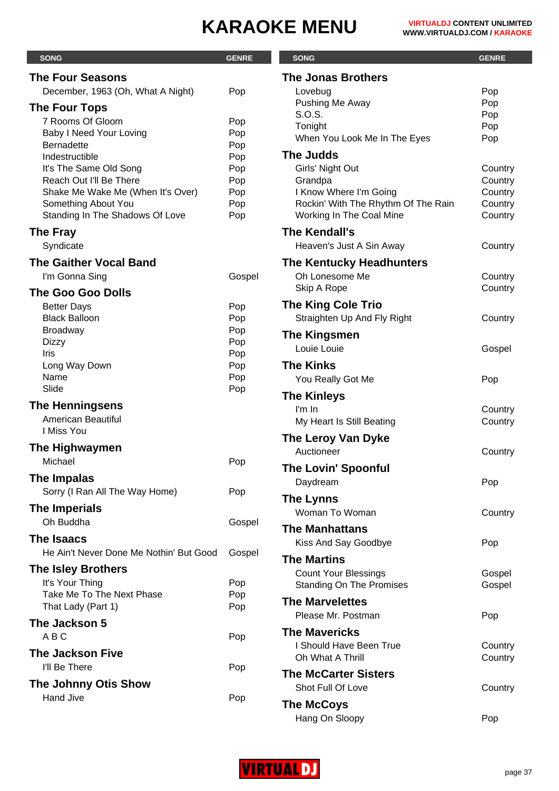| <b>SONG</b>                                              | <b>GENRE</b> | <b>SONG</b>                                                   | <b>GENRE</b>       |
|----------------------------------------------------------|--------------|---------------------------------------------------------------|--------------------|
| <b>The Four Seasons</b>                                  |              | <b>The Jonas Brothers</b>                                     |                    |
| December, 1963 (Oh, What A Night)                        | Pop          | Lovebug                                                       | Pop                |
| <b>The Four Tops</b>                                     |              | Pushing Me Away                                               | Pop                |
| 7 Rooms Of Gloom                                         | Pop          | S.O.S.                                                        | Pop                |
| Baby I Need Your Loving                                  | Pop          | Tonight                                                       | Pop                |
| <b>Bernadette</b>                                        | Pop          | When You Look Me In The Eyes                                  | Pop                |
| Indestructible                                           | Pop          | <b>The Judds</b>                                              |                    |
| It's The Same Old Song                                   | Pop          | Girls' Night Out                                              | Country            |
| Reach Out I'll Be There                                  | Pop          | Grandpa                                                       | Country            |
| Shake Me Wake Me (When It's Over)<br>Something About You | Pop<br>Pop   | I Know Where I'm Going<br>Rockin' With The Rhythm Of The Rain | Country<br>Country |
| Standing In The Shadows Of Love                          | Pop          | Working In The Coal Mine                                      | Country            |
| <b>The Fray</b>                                          |              | The Kendall's                                                 |                    |
| Syndicate                                                |              | Heaven's Just A Sin Away                                      | Country            |
| <b>The Gaither Vocal Band</b>                            |              | <b>The Kentucky Headhunters</b>                               |                    |
| I'm Gonna Sing                                           | Gospel       | Oh Lonesome Me                                                | Country            |
| <b>The Goo Goo Dolls</b>                                 |              | Skip A Rope                                                   | Country            |
| <b>Better Days</b>                                       | Pop          | <b>The King Cole Trio</b>                                     |                    |
| <b>Black Balloon</b>                                     | Pop          | Straighten Up And Fly Right                                   | Country            |
| <b>Broadway</b>                                          | Pop          | <b>The Kingsmen</b>                                           |                    |
| <b>Dizzy</b>                                             | Pop          | Louie Louie                                                   | Gospel             |
| Iris                                                     | Pop          |                                                               |                    |
| Long Way Down<br>Name                                    | Pop<br>Pop   | <b>The Kinks</b>                                              |                    |
| Slide                                                    | Pop          | You Really Got Me                                             | Pop                |
| <b>The Henningsens</b>                                   |              | <b>The Kinleys</b>                                            |                    |
| American Beautiful                                       |              | $\mathsf{I}'\mathsf{m}$ $\mathsf{In}$                         | Country            |
| I Miss You                                               |              | My Heart Is Still Beating                                     | Country            |
| The Highwaymen                                           |              | The Leroy Van Dyke                                            |                    |
| Michael                                                  | Pop          | Auctioneer                                                    | Country            |
|                                                          |              | <b>The Lovin' Spoonful</b>                                    |                    |
| The Impalas                                              |              | Daydream                                                      | Pop                |
| Sorry (I Ran All The Way Home)                           | Pop          | <b>The Lynns</b>                                              |                    |
| The Imperials                                            |              | Woman To Woman                                                | Country            |
| Oh Buddha                                                | Gospel       | <b>The Manhattans</b>                                         |                    |
| <b>The Isaacs</b>                                        |              | Kiss And Say Goodbye                                          | Pop                |
| He Ain't Never Done Me Nothin' But Good                  | Gospel       | <b>The Martins</b>                                            |                    |
| <b>The Isley Brothers</b>                                |              | <b>Count Your Blessings</b>                                   | Gospel             |
| It's Your Thing                                          | Pop          | <b>Standing On The Promises</b>                               | Gospel             |
| Take Me To The Next Phase                                | Pop          | <b>The Marvelettes</b>                                        |                    |
| That Lady (Part 1)                                       | Pop          | Please Mr. Postman                                            | Pop                |
| The Jackson 5                                            |              | <b>The Mavericks</b>                                          |                    |
| ABC                                                      | Pop          | I Should Have Been True                                       | Country            |
| <b>The Jackson Five</b>                                  |              | Oh What A Thrill                                              | Country            |
| I'll Be There                                            | Pop          |                                                               |                    |
|                                                          |              | <b>The McCarter Sisters</b>                                   |                    |
| <b>The Johnny Otis Show</b><br><b>Hand Jive</b>          |              | Shot Full Of Love                                             | Country            |



Hang On Sloopy **Pop**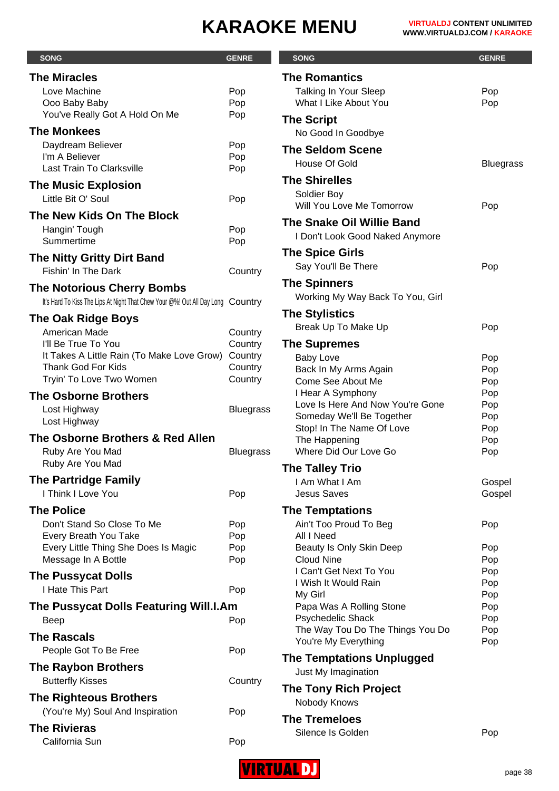| <b>SONG</b>                                                                     | <b>GENRE</b>     | <b>SONG</b>                                           | <b>GENRE</b>     |
|---------------------------------------------------------------------------------|------------------|-------------------------------------------------------|------------------|
| <b>The Miracles</b>                                                             |                  | <b>The Romantics</b>                                  |                  |
| Love Machine                                                                    | Pop              | Talking In Your Sleep                                 | Pop              |
| Ooo Baby Baby                                                                   | Pop              | What I Like About You                                 | Pop              |
| You've Really Got A Hold On Me                                                  | Pop              | <b>The Script</b>                                     |                  |
| <b>The Monkees</b>                                                              |                  | No Good In Goodbye                                    |                  |
| Daydream Believer                                                               | Pop              | <b>The Seldom Scene</b>                               |                  |
| I'm A Believer                                                                  | Pop              | House Of Gold                                         | <b>Bluegrass</b> |
| Last Train To Clarksville                                                       | Pop              | <b>The Shirelles</b>                                  |                  |
| <b>The Music Explosion</b>                                                      |                  | Soldier Boy                                           |                  |
| Little Bit O' Soul                                                              | Pop              | Will You Love Me Tomorrow                             | Pop              |
| The New Kids On The Block                                                       |                  | <b>The Snake Oil Willie Band</b>                      |                  |
| Hangin' Tough                                                                   | Pop              | I Don't Look Good Naked Anymore                       |                  |
| Summertime                                                                      | Pop              |                                                       |                  |
| <b>The Nitty Gritty Dirt Band</b>                                               |                  | <b>The Spice Girls</b>                                |                  |
| Fishin' In The Dark                                                             | Country          | Say You'll Be There                                   | Pop              |
| <b>The Notorious Cherry Bombs</b>                                               |                  | <b>The Spinners</b>                                   |                  |
| It's Hard To Kiss The Lips At Night That Chew Your @%! Out All Day Long Country |                  | Working My Way Back To You, Girl                      |                  |
| <b>The Oak Ridge Boys</b>                                                       |                  | <b>The Stylistics</b>                                 |                  |
| American Made                                                                   | Country          | Break Up To Make Up                                   | Pop              |
| I'll Be True To You                                                             | Country          | <b>The Supremes</b>                                   |                  |
| It Takes A Little Rain (To Make Love Grow)                                      | Country          | <b>Baby Love</b>                                      | Pop              |
| <b>Thank God For Kids</b>                                                       | Country          | Back In My Arms Again                                 | Pop              |
| Tryin' To Love Two Women                                                        | Country          | Come See About Me                                     | Pop              |
| <b>The Osborne Brothers</b>                                                     |                  | I Hear A Symphony<br>Love Is Here And Now You're Gone | Pop<br>Pop       |
| Lost Highway                                                                    | <b>Bluegrass</b> | Someday We'll Be Together                             | Pop              |
| Lost Highway                                                                    |                  | Stop! In The Name Of Love                             | Pop              |
| The Osborne Brothers & Red Allen                                                |                  | The Happening                                         | Pop              |
| Ruby Are You Mad                                                                | <b>Bluegrass</b> | Where Did Our Love Go                                 | Pop              |
| Ruby Are You Mad                                                                |                  | <b>The Talley Trio</b>                                |                  |
| <b>The Partridge Family</b>                                                     |                  | I Am What I Am                                        | Gospel           |
| I Think I Love You                                                              | Pop              | <b>Jesus Saves</b>                                    | Gospel           |
| <b>The Police</b>                                                               |                  | <b>The Temptations</b>                                |                  |
| Don't Stand So Close To Me                                                      | Pop              | Ain't Too Proud To Beg                                | Pop              |
| Every Breath You Take<br>Every Little Thing She Does Is Magic                   | Pop<br>Pop       | All I Need<br>Beauty Is Only Skin Deep                | Pop              |
| Message In A Bottle                                                             | Pop              | <b>Cloud Nine</b>                                     | Pop              |
| <b>The Pussycat Dolls</b>                                                       |                  | I Can't Get Next To You                               | Pop              |
| I Hate This Part                                                                | Pop              | I Wish It Would Rain                                  | Pop              |
|                                                                                 |                  | My Girl                                               | Pop              |
| The Pussycat Dolls Featuring Will.I.Am                                          |                  | Papa Was A Rolling Stone<br>Psychedelic Shack         | Pop<br>Pop       |
| <b>Beep</b>                                                                     | Pop              | The Way Tou Do The Things You Do                      | Pop              |
| <b>The Rascals</b>                                                              |                  | You're My Everything                                  | Pop              |
| People Got To Be Free                                                           | Pop              | <b>The Temptations Unplugged</b>                      |                  |
| <b>The Raybon Brothers</b>                                                      |                  | Just My Imagination                                   |                  |
| <b>Butterfly Kisses</b>                                                         | Country          | <b>The Tony Rich Project</b>                          |                  |
| <b>The Righteous Brothers</b>                                                   |                  | Nobody Knows                                          |                  |
| (You're My) Soul And Inspiration                                                | Pop              |                                                       |                  |
| <b>The Rivieras</b>                                                             |                  | <b>The Tremeloes</b><br>Silence Is Golden             |                  |
| California Sun                                                                  | Pop              |                                                       | Pop              |

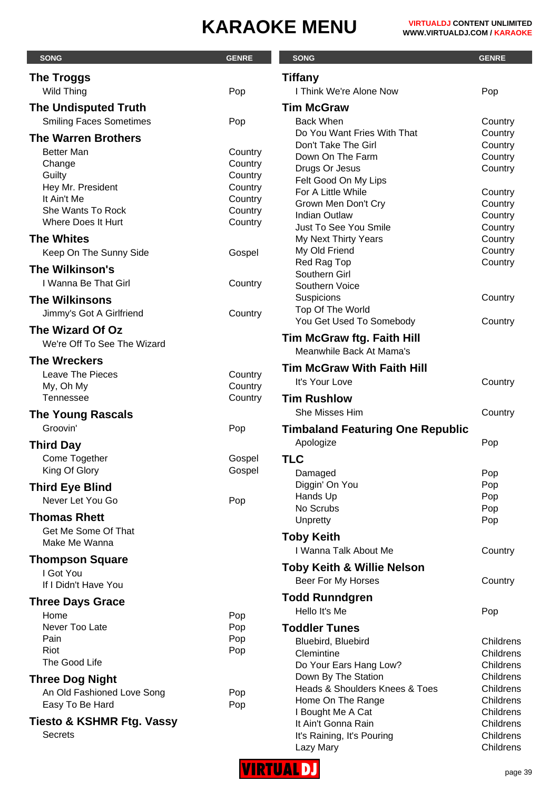| <b>SONG</b>                                     | <b>GENRE</b>       | <b>SONG</b>                                           | <b>GENRE</b>           |
|-------------------------------------------------|--------------------|-------------------------------------------------------|------------------------|
| <b>The Troggs</b>                               |                    | <b>Tiffany</b>                                        |                        |
| Wild Thing                                      | Pop                | <b>I Think We're Alone Now</b>                        | Pop                    |
| <b>The Undisputed Truth</b>                     |                    | <b>Tim McGraw</b>                                     |                        |
| <b>Smiling Faces Sometimes</b>                  | Pop                | <b>Back When</b>                                      | Country                |
| <b>The Warren Brothers</b>                      |                    | Do You Want Fries With That                           | Country                |
| <b>Better Man</b>                               |                    | Don't Take The Girl                                   | Country                |
| Change                                          | Country<br>Country | Down On The Farm                                      | Country                |
| Guilty                                          | Country            | Drugs Or Jesus                                        | Country                |
| Hey Mr. President                               | Country            | Felt Good On My Lips<br>For A Little While            | Country                |
| It Ain't Me                                     | Country            | Grown Men Don't Cry                                   | Country                |
| She Wants To Rock                               | Country            | <b>Indian Outlaw</b>                                  | Country                |
| Where Does It Hurt                              | Country            | Just To See You Smile                                 | Country                |
| <b>The Whites</b>                               |                    | My Next Thirty Years                                  | Country                |
| Keep On The Sunny Side                          | Gospel             | My Old Friend                                         | Country                |
| The Wilkinson's                                 |                    | Red Rag Top                                           | Country                |
| I Wanna Be That Girl                            | Country            | Southern Girl<br>Southern Voice                       |                        |
| <b>The Wilkinsons</b>                           |                    | Suspicions                                            | Country                |
|                                                 |                    | Top Of The World                                      |                        |
| Jimmy's Got A Girlfriend                        | Country            | You Get Used To Somebody                              | Country                |
| The Wizard Of Oz<br>We're Off To See The Wizard |                    | <b>Tim McGraw ftg. Faith Hill</b>                     |                        |
|                                                 |                    | Meanwhile Back At Mama's                              |                        |
| <b>The Wreckers</b>                             |                    | <b>Tim McGraw With Faith Hill</b>                     |                        |
| <b>Leave The Pieces</b><br>My, Oh My            | Country<br>Country | It's Your Love                                        | Country                |
| <b>Tennessee</b>                                | Country            | <b>Tim Rushlow</b>                                    |                        |
|                                                 |                    | She Misses Him                                        | Country                |
| <b>The Young Rascals</b><br>Groovin'            |                    |                                                       |                        |
|                                                 | Pop                | <b>Timbaland Featuring One Republic</b>               |                        |
| <b>Third Day</b>                                |                    | Apologize                                             | Pop                    |
| Come Together                                   | Gospel             | <b>TLC</b>                                            |                        |
| King Of Glory                                   | Gospel             | Damaged                                               | Pop                    |
| <b>Third Eye Blind</b>                          |                    | Diggin' On You                                        | Pop                    |
| Never Let You Go                                | Pop                | Hands Up<br>No Scrubs                                 | Pop<br>Pop             |
| <b>Thomas Rhett</b>                             |                    | Unpretty                                              | Pop                    |
| Get Me Some Of That                             |                    |                                                       |                        |
| Make Me Wanna                                   |                    | <b>Toby Keith</b>                                     |                        |
| <b>Thompson Square</b>                          |                    | I Wanna Talk About Me                                 | Country                |
| I Got You                                       |                    | <b>Toby Keith &amp; Willie Nelson</b>                 |                        |
| If I Didn't Have You                            |                    | Beer For My Horses                                    | Country                |
| <b>Three Days Grace</b>                         |                    | <b>Todd Runndgren</b>                                 |                        |
| Home                                            | Pop                | Hello It's Me                                         | Pop                    |
| Never Too Late                                  | Pop                | <b>Toddler Tunes</b>                                  |                        |
| Pain                                            | Pop                | Bluebird, Bluebird                                    | Childrens              |
| Riot<br>The Good Life                           | Pop                | Clemintine                                            | Childrens              |
|                                                 |                    | Do Your Ears Hang Low?                                | Childrens<br>Childrens |
| <b>Three Dog Night</b>                          |                    | Down By The Station<br>Heads & Shoulders Knees & Toes | Childrens              |
| An Old Fashioned Love Song                      | Pop                | Home On The Range                                     | Childrens              |
| Easy To Be Hard                                 | Pop                | I Bought Me A Cat                                     | Childrens              |
| <b>Tiesto &amp; KSHMR Ftg. Vassy</b>            |                    | It Ain't Gonna Rain                                   | Childrens              |
| <b>Secrets</b>                                  |                    | It's Raining, It's Pouring                            | Childrens              |
|                                                 |                    | Lazy Mary                                             | Childrens              |

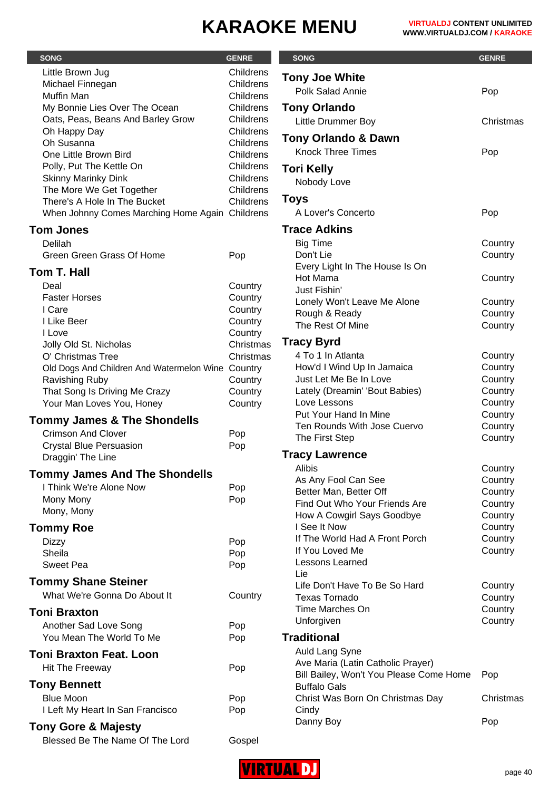Christmas

Country Country

Country

Country **Country** Country

Country Country Country Country Country **Country Country** Country

Country **Country Country** Country Country **Country** Country Country

**Country** Country Country Country

**Christmas** 

|                                                   |                        |                                                             | <b>GENRE</b> |
|---------------------------------------------------|------------------------|-------------------------------------------------------------|--------------|
| <b>SONG</b>                                       | <b>GENRE</b>           | <b>SONG</b>                                                 |              |
| Little Brown Jug                                  | Childrens              | <b>Tony Joe White</b>                                       |              |
| Michael Finnegan                                  | Childrens              | Polk Salad Annie                                            | Pop          |
| Muffin Man<br>My Bonnie Lies Over The Ocean       | Childrens<br>Childrens | <b>Tony Orlando</b>                                         |              |
| Oats, Peas, Beans And Barley Grow                 | Childrens              |                                                             |              |
| Oh Happy Day                                      | Childrens              | <b>Little Drummer Boy</b>                                   | Christ       |
| Oh Susanna                                        | Childrens              | <b>Tony Orlando &amp; Dawn</b>                              |              |
| One Little Brown Bird                             | Childrens              | <b>Knock Three Times</b>                                    | Pop          |
| Polly, Put The Kettle On                          | Childrens              | <b>Tori Kelly</b>                                           |              |
| <b>Skinny Marinky Dink</b>                        | Childrens              | Nobody Love                                                 |              |
| The More We Get Together                          | Childrens              |                                                             |              |
| There's A Hole In The Bucket                      | Childrens              | <b>Toys</b>                                                 |              |
| When Johnny Comes Marching Home Again Childrens   |                        | A Lover's Concerto                                          | Pop          |
| <b>Tom Jones</b>                                  |                        | <b>Trace Adkins</b>                                         |              |
| Delilah                                           |                        | <b>Big Time</b>                                             | Coun         |
| Green Green Grass Of Home                         | Pop                    | Don't Lie                                                   | Coun         |
| Tom T. Hall                                       |                        | Every Light In The House Is On                              |              |
| Deal                                              | Country                | Hot Mama                                                    | Coun         |
| <b>Faster Horses</b>                              | Country                | Just Fishin'                                                |              |
| I Care                                            | Country                | Lonely Won't Leave Me Alone                                 | Coun         |
| I Like Beer                                       | Country                | Rough & Ready                                               | Coun         |
| I Love                                            | Country                | The Rest Of Mine                                            | Coun         |
| Jolly Old St. Nicholas                            | Christmas              | <b>Tracy Byrd</b>                                           |              |
| O' Christmas Tree                                 | Christmas              | 4 To 1 In Atlanta                                           | Coun         |
| Old Dogs And Children And Watermelon Wine Country |                        | How'd I Wind Up In Jamaica                                  | Coun         |
| <b>Ravishing Ruby</b>                             | Country                | Just Let Me Be In Love                                      | Coun         |
| That Song Is Driving Me Crazy                     | Country                | Lately (Dreamin' 'Bout Babies)                              | Coun         |
| Your Man Loves You, Honey                         | Country                | Love Lessons                                                | Coun         |
| <b>Tommy James &amp; The Shondells</b>            |                        | Put Your Hand In Mine                                       | Coun         |
| <b>Crimson And Clover</b>                         | Pop                    | Ten Rounds With Jose Cuervo<br>The First Step               | Coun<br>Coun |
| <b>Crystal Blue Persuasion</b>                    | Pop                    |                                                             |              |
| Draggin' The Line                                 |                        | <b>Tracy Lawrence</b>                                       |              |
| <b>Tommy James And The Shondells</b>              |                        | <b>Alibis</b>                                               | Coun         |
| I Think We're Alone Now                           | Pop                    | As Any Fool Can See                                         | Coun         |
| Mony Mony                                         | Pop                    | Better Man, Better Off                                      | Coun         |
| Mony, Mony                                        |                        | Find Out Who Your Friends Are<br>How A Cowgirl Says Goodbye | Coun<br>Coun |
| <b>Tommy Roe</b>                                  |                        | I See It Now                                                | Coun         |
|                                                   |                        | If The World Had A Front Porch                              | Coun         |
| <b>Dizzy</b><br>Sheila                            | Pop<br>Pop             | If You Loved Me                                             | Coun         |
| <b>Sweet Pea</b>                                  | Pop                    | Lessons Learned                                             |              |
|                                                   |                        | Lie                                                         |              |
| <b>Tommy Shane Steiner</b>                        |                        | Life Don't Have To Be So Hard                               | Coun         |
| What We're Gonna Do About It                      | Country                | <b>Texas Tornado</b>                                        | Coun         |
| <b>Toni Braxton</b>                               |                        | Time Marches On                                             | Coun         |
| Another Sad Love Song                             | Pop                    | Unforgiven                                                  | Coun         |
| You Mean The World To Me                          | Pop                    | <b>Traditional</b>                                          |              |
| <b>Toni Braxton Feat. Loon</b>                    |                        | Auld Lang Syne                                              |              |
| Hit The Freeway                                   | Pop                    | Ave Maria (Latin Catholic Prayer)                           |              |
|                                                   |                        | Bill Bailey, Won't You Please Come Home                     | Pop          |
| <b>Tony Bennett</b>                               |                        | <b>Buffalo Gals</b>                                         |              |
| <b>Blue Moon</b>                                  | Pop                    | Christ Was Born On Christmas Day                            | Christ       |
| I Left My Heart In San Francisco                  | Pop                    | Cindy                                                       |              |
| <b>Tony Gore &amp; Majesty</b>                    |                        | Danny Boy                                                   | Pop          |
| Blessed Be The Name Of The Lord                   | Gospel                 |                                                             |              |

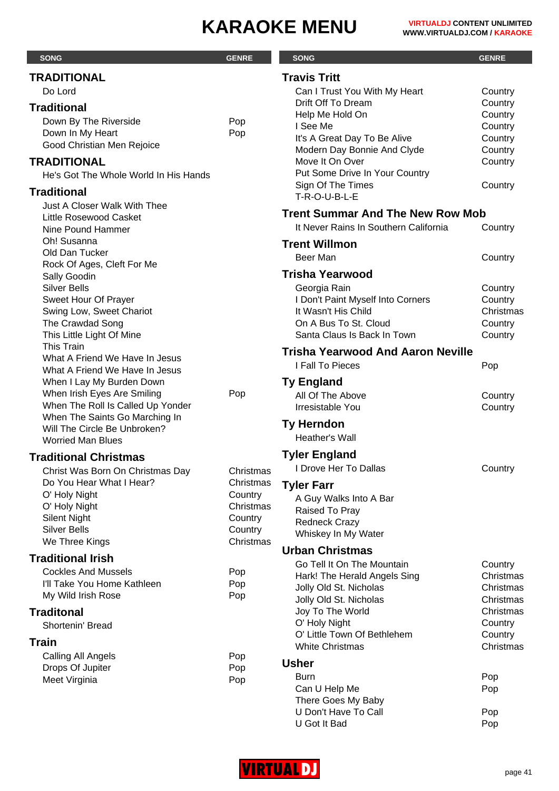| <b>TRADITIONAL</b><br><b>Travis Tritt</b><br>Do Lord<br>Can I Trust You With My Heart<br>Country<br>Drift Off To Dream<br>Country<br><b>Traditional</b><br>Help Me Hold On<br>Country<br>Down By The Riverside<br>Pop<br>I See Me<br>Country<br>Down In My Heart<br>Pop<br>It's A Great Day To Be Alive<br>Country<br>Good Christian Men Rejoice<br>Modern Day Bonnie And Clyde<br>Country<br><b>TRADITIONAL</b><br>Move It On Over<br>Country<br>Put Some Drive In Your Country<br>He's Got The Whole World In His Hands<br>Sign Of The Times<br>Country<br><b>Traditional</b><br>T-R-O-U-B-L-E<br><b>Just A Closer Walk With Thee</b><br><b>Trent Summar And The New Row Mob</b><br>Little Rosewood Casket<br>It Never Rains In Southern California<br>Country<br>Nine Pound Hammer<br>Oh! Susanna<br><b>Trent Willmon</b><br>Old Dan Tucker<br>Beer Man<br>Country<br>Rock Of Ages, Cleft For Me<br><b>Trisha Yearwood</b><br>Sally Goodin<br><b>Silver Bells</b><br>Georgia Rain<br>Country<br>Sweet Hour Of Prayer<br>I Don't Paint Myself Into Corners<br>Country<br>It Wasn't His Child<br>Christmas<br>Swing Low, Sweet Chariot<br>The Crawdad Song<br>On A Bus To St. Cloud<br>Country<br>This Little Light Of Mine<br>Santa Claus Is Back In Town<br>Country<br><b>This Train</b><br><b>Trisha Yearwood And Aaron Neville</b><br>What A Friend We Have In Jesus<br>I Fall To Pieces<br>Pop<br>What A Friend We Have In Jesus<br>When I Lay My Burden Down<br><b>Ty England</b><br>When Irish Eyes Are Smiling<br>Pop<br>All Of The Above<br>Country<br>When The Roll Is Called Up Yonder<br>Irresistable You<br>Country<br>When The Saints Go Marching In<br><b>Ty Herndon</b><br>Will The Circle Be Unbroken?<br>Heather's Wall<br><b>Worried Man Blues</b><br><b>Tyler England</b><br>Country<br>I Drove Her To Dallas<br>Christ Was Born On Christmas Day<br>Christmas<br>Do You Hear What I Hear?<br>Christmas<br><b>Tyler Farr</b><br>O' Holy Night<br>Country<br>A Guy Walks Into A Bar<br>O' Holy Night<br>Christmas<br>Raised To Pray<br><b>Silent Night</b><br>Country<br><b>Redneck Crazy</b><br><b>Silver Bells</b><br>Country<br>Whiskey In My Water<br>We Three Kings<br>Christmas<br><b>Urban Christmas</b><br><b>Traditional Irish</b><br>Go Tell It On The Mountain<br>Country<br><b>Cockles And Mussels</b><br>Pop<br>Hark! The Herald Angels Sing<br>Christmas<br>I'll Take You Home Kathleen<br>Pop<br>Jolly Old St. Nicholas<br>Christmas<br>My Wild Irish Rose<br>Pop<br>Jolly Old St. Nicholas<br>Christmas<br>Joy To The World<br>Christmas<br>O' Holy Night<br>Country<br>Shortenin' Bread<br>O' Little Town Of Bethlehem<br>Country<br><b>Train</b><br><b>White Christmas</b><br>Christmas<br>Calling All Angels<br>Pop<br><b>Usher</b><br>Drops Of Jupiter<br>Pop<br><b>Burn</b><br>Pop<br>Meet Virginia<br>Pop<br>Can U Help Me<br>Pop<br>There Goes My Baby | <b>SONG</b>                  | <b>GENRE</b> | <b>SONG</b> | <b>GENRE</b> |
|---------------------------------------------------------------------------------------------------------------------------------------------------------------------------------------------------------------------------------------------------------------------------------------------------------------------------------------------------------------------------------------------------------------------------------------------------------------------------------------------------------------------------------------------------------------------------------------------------------------------------------------------------------------------------------------------------------------------------------------------------------------------------------------------------------------------------------------------------------------------------------------------------------------------------------------------------------------------------------------------------------------------------------------------------------------------------------------------------------------------------------------------------------------------------------------------------------------------------------------------------------------------------------------------------------------------------------------------------------------------------------------------------------------------------------------------------------------------------------------------------------------------------------------------------------------------------------------------------------------------------------------------------------------------------------------------------------------------------------------------------------------------------------------------------------------------------------------------------------------------------------------------------------------------------------------------------------------------------------------------------------------------------------------------------------------------------------------------------------------------------------------------------------------------------------------------------------------------------------------------------------------------------------------------------------------------------------------------------------------------------------------------------------------------------------------------------------------------------------------------------------------------------------------------------------------------------------------------------------------------------------------------------------------------------------------------------------------------------------------------------------------------------------------------------------------------------------------------------------------------------------------------------|------------------------------|--------------|-------------|--------------|
|                                                                                                                                                                                                                                                                                                                                                                                                                                                                                                                                                                                                                                                                                                                                                                                                                                                                                                                                                                                                                                                                                                                                                                                                                                                                                                                                                                                                                                                                                                                                                                                                                                                                                                                                                                                                                                                                                                                                                                                                                                                                                                                                                                                                                                                                                                                                                                                                                                                                                                                                                                                                                                                                                                                                                                                                                                                                                                   |                              |              |             |              |
|                                                                                                                                                                                                                                                                                                                                                                                                                                                                                                                                                                                                                                                                                                                                                                                                                                                                                                                                                                                                                                                                                                                                                                                                                                                                                                                                                                                                                                                                                                                                                                                                                                                                                                                                                                                                                                                                                                                                                                                                                                                                                                                                                                                                                                                                                                                                                                                                                                                                                                                                                                                                                                                                                                                                                                                                                                                                                                   |                              |              |             |              |
|                                                                                                                                                                                                                                                                                                                                                                                                                                                                                                                                                                                                                                                                                                                                                                                                                                                                                                                                                                                                                                                                                                                                                                                                                                                                                                                                                                                                                                                                                                                                                                                                                                                                                                                                                                                                                                                                                                                                                                                                                                                                                                                                                                                                                                                                                                                                                                                                                                                                                                                                                                                                                                                                                                                                                                                                                                                                                                   |                              |              |             |              |
|                                                                                                                                                                                                                                                                                                                                                                                                                                                                                                                                                                                                                                                                                                                                                                                                                                                                                                                                                                                                                                                                                                                                                                                                                                                                                                                                                                                                                                                                                                                                                                                                                                                                                                                                                                                                                                                                                                                                                                                                                                                                                                                                                                                                                                                                                                                                                                                                                                                                                                                                                                                                                                                                                                                                                                                                                                                                                                   |                              |              |             |              |
|                                                                                                                                                                                                                                                                                                                                                                                                                                                                                                                                                                                                                                                                                                                                                                                                                                                                                                                                                                                                                                                                                                                                                                                                                                                                                                                                                                                                                                                                                                                                                                                                                                                                                                                                                                                                                                                                                                                                                                                                                                                                                                                                                                                                                                                                                                                                                                                                                                                                                                                                                                                                                                                                                                                                                                                                                                                                                                   |                              |              |             |              |
|                                                                                                                                                                                                                                                                                                                                                                                                                                                                                                                                                                                                                                                                                                                                                                                                                                                                                                                                                                                                                                                                                                                                                                                                                                                                                                                                                                                                                                                                                                                                                                                                                                                                                                                                                                                                                                                                                                                                                                                                                                                                                                                                                                                                                                                                                                                                                                                                                                                                                                                                                                                                                                                                                                                                                                                                                                                                                                   |                              |              |             |              |
|                                                                                                                                                                                                                                                                                                                                                                                                                                                                                                                                                                                                                                                                                                                                                                                                                                                                                                                                                                                                                                                                                                                                                                                                                                                                                                                                                                                                                                                                                                                                                                                                                                                                                                                                                                                                                                                                                                                                                                                                                                                                                                                                                                                                                                                                                                                                                                                                                                                                                                                                                                                                                                                                                                                                                                                                                                                                                                   |                              |              |             |              |
|                                                                                                                                                                                                                                                                                                                                                                                                                                                                                                                                                                                                                                                                                                                                                                                                                                                                                                                                                                                                                                                                                                                                                                                                                                                                                                                                                                                                                                                                                                                                                                                                                                                                                                                                                                                                                                                                                                                                                                                                                                                                                                                                                                                                                                                                                                                                                                                                                                                                                                                                                                                                                                                                                                                                                                                                                                                                                                   |                              |              |             |              |
|                                                                                                                                                                                                                                                                                                                                                                                                                                                                                                                                                                                                                                                                                                                                                                                                                                                                                                                                                                                                                                                                                                                                                                                                                                                                                                                                                                                                                                                                                                                                                                                                                                                                                                                                                                                                                                                                                                                                                                                                                                                                                                                                                                                                                                                                                                                                                                                                                                                                                                                                                                                                                                                                                                                                                                                                                                                                                                   |                              |              |             |              |
|                                                                                                                                                                                                                                                                                                                                                                                                                                                                                                                                                                                                                                                                                                                                                                                                                                                                                                                                                                                                                                                                                                                                                                                                                                                                                                                                                                                                                                                                                                                                                                                                                                                                                                                                                                                                                                                                                                                                                                                                                                                                                                                                                                                                                                                                                                                                                                                                                                                                                                                                                                                                                                                                                                                                                                                                                                                                                                   |                              |              |             |              |
|                                                                                                                                                                                                                                                                                                                                                                                                                                                                                                                                                                                                                                                                                                                                                                                                                                                                                                                                                                                                                                                                                                                                                                                                                                                                                                                                                                                                                                                                                                                                                                                                                                                                                                                                                                                                                                                                                                                                                                                                                                                                                                                                                                                                                                                                                                                                                                                                                                                                                                                                                                                                                                                                                                                                                                                                                                                                                                   |                              |              |             |              |
|                                                                                                                                                                                                                                                                                                                                                                                                                                                                                                                                                                                                                                                                                                                                                                                                                                                                                                                                                                                                                                                                                                                                                                                                                                                                                                                                                                                                                                                                                                                                                                                                                                                                                                                                                                                                                                                                                                                                                                                                                                                                                                                                                                                                                                                                                                                                                                                                                                                                                                                                                                                                                                                                                                                                                                                                                                                                                                   |                              |              |             |              |
|                                                                                                                                                                                                                                                                                                                                                                                                                                                                                                                                                                                                                                                                                                                                                                                                                                                                                                                                                                                                                                                                                                                                                                                                                                                                                                                                                                                                                                                                                                                                                                                                                                                                                                                                                                                                                                                                                                                                                                                                                                                                                                                                                                                                                                                                                                                                                                                                                                                                                                                                                                                                                                                                                                                                                                                                                                                                                                   |                              |              |             |              |
|                                                                                                                                                                                                                                                                                                                                                                                                                                                                                                                                                                                                                                                                                                                                                                                                                                                                                                                                                                                                                                                                                                                                                                                                                                                                                                                                                                                                                                                                                                                                                                                                                                                                                                                                                                                                                                                                                                                                                                                                                                                                                                                                                                                                                                                                                                                                                                                                                                                                                                                                                                                                                                                                                                                                                                                                                                                                                                   |                              |              |             |              |
|                                                                                                                                                                                                                                                                                                                                                                                                                                                                                                                                                                                                                                                                                                                                                                                                                                                                                                                                                                                                                                                                                                                                                                                                                                                                                                                                                                                                                                                                                                                                                                                                                                                                                                                                                                                                                                                                                                                                                                                                                                                                                                                                                                                                                                                                                                                                                                                                                                                                                                                                                                                                                                                                                                                                                                                                                                                                                                   |                              |              |             |              |
|                                                                                                                                                                                                                                                                                                                                                                                                                                                                                                                                                                                                                                                                                                                                                                                                                                                                                                                                                                                                                                                                                                                                                                                                                                                                                                                                                                                                                                                                                                                                                                                                                                                                                                                                                                                                                                                                                                                                                                                                                                                                                                                                                                                                                                                                                                                                                                                                                                                                                                                                                                                                                                                                                                                                                                                                                                                                                                   |                              |              |             |              |
|                                                                                                                                                                                                                                                                                                                                                                                                                                                                                                                                                                                                                                                                                                                                                                                                                                                                                                                                                                                                                                                                                                                                                                                                                                                                                                                                                                                                                                                                                                                                                                                                                                                                                                                                                                                                                                                                                                                                                                                                                                                                                                                                                                                                                                                                                                                                                                                                                                                                                                                                                                                                                                                                                                                                                                                                                                                                                                   |                              |              |             |              |
|                                                                                                                                                                                                                                                                                                                                                                                                                                                                                                                                                                                                                                                                                                                                                                                                                                                                                                                                                                                                                                                                                                                                                                                                                                                                                                                                                                                                                                                                                                                                                                                                                                                                                                                                                                                                                                                                                                                                                                                                                                                                                                                                                                                                                                                                                                                                                                                                                                                                                                                                                                                                                                                                                                                                                                                                                                                                                                   |                              |              |             |              |
|                                                                                                                                                                                                                                                                                                                                                                                                                                                                                                                                                                                                                                                                                                                                                                                                                                                                                                                                                                                                                                                                                                                                                                                                                                                                                                                                                                                                                                                                                                                                                                                                                                                                                                                                                                                                                                                                                                                                                                                                                                                                                                                                                                                                                                                                                                                                                                                                                                                                                                                                                                                                                                                                                                                                                                                                                                                                                                   |                              |              |             |              |
|                                                                                                                                                                                                                                                                                                                                                                                                                                                                                                                                                                                                                                                                                                                                                                                                                                                                                                                                                                                                                                                                                                                                                                                                                                                                                                                                                                                                                                                                                                                                                                                                                                                                                                                                                                                                                                                                                                                                                                                                                                                                                                                                                                                                                                                                                                                                                                                                                                                                                                                                                                                                                                                                                                                                                                                                                                                                                                   |                              |              |             |              |
|                                                                                                                                                                                                                                                                                                                                                                                                                                                                                                                                                                                                                                                                                                                                                                                                                                                                                                                                                                                                                                                                                                                                                                                                                                                                                                                                                                                                                                                                                                                                                                                                                                                                                                                                                                                                                                                                                                                                                                                                                                                                                                                                                                                                                                                                                                                                                                                                                                                                                                                                                                                                                                                                                                                                                                                                                                                                                                   |                              |              |             |              |
|                                                                                                                                                                                                                                                                                                                                                                                                                                                                                                                                                                                                                                                                                                                                                                                                                                                                                                                                                                                                                                                                                                                                                                                                                                                                                                                                                                                                                                                                                                                                                                                                                                                                                                                                                                                                                                                                                                                                                                                                                                                                                                                                                                                                                                                                                                                                                                                                                                                                                                                                                                                                                                                                                                                                                                                                                                                                                                   |                              |              |             |              |
|                                                                                                                                                                                                                                                                                                                                                                                                                                                                                                                                                                                                                                                                                                                                                                                                                                                                                                                                                                                                                                                                                                                                                                                                                                                                                                                                                                                                                                                                                                                                                                                                                                                                                                                                                                                                                                                                                                                                                                                                                                                                                                                                                                                                                                                                                                                                                                                                                                                                                                                                                                                                                                                                                                                                                                                                                                                                                                   |                              |              |             |              |
|                                                                                                                                                                                                                                                                                                                                                                                                                                                                                                                                                                                                                                                                                                                                                                                                                                                                                                                                                                                                                                                                                                                                                                                                                                                                                                                                                                                                                                                                                                                                                                                                                                                                                                                                                                                                                                                                                                                                                                                                                                                                                                                                                                                                                                                                                                                                                                                                                                                                                                                                                                                                                                                                                                                                                                                                                                                                                                   |                              |              |             |              |
|                                                                                                                                                                                                                                                                                                                                                                                                                                                                                                                                                                                                                                                                                                                                                                                                                                                                                                                                                                                                                                                                                                                                                                                                                                                                                                                                                                                                                                                                                                                                                                                                                                                                                                                                                                                                                                                                                                                                                                                                                                                                                                                                                                                                                                                                                                                                                                                                                                                                                                                                                                                                                                                                                                                                                                                                                                                                                                   |                              |              |             |              |
|                                                                                                                                                                                                                                                                                                                                                                                                                                                                                                                                                                                                                                                                                                                                                                                                                                                                                                                                                                                                                                                                                                                                                                                                                                                                                                                                                                                                                                                                                                                                                                                                                                                                                                                                                                                                                                                                                                                                                                                                                                                                                                                                                                                                                                                                                                                                                                                                                                                                                                                                                                                                                                                                                                                                                                                                                                                                                                   |                              |              |             |              |
|                                                                                                                                                                                                                                                                                                                                                                                                                                                                                                                                                                                                                                                                                                                                                                                                                                                                                                                                                                                                                                                                                                                                                                                                                                                                                                                                                                                                                                                                                                                                                                                                                                                                                                                                                                                                                                                                                                                                                                                                                                                                                                                                                                                                                                                                                                                                                                                                                                                                                                                                                                                                                                                                                                                                                                                                                                                                                                   |                              |              |             |              |
|                                                                                                                                                                                                                                                                                                                                                                                                                                                                                                                                                                                                                                                                                                                                                                                                                                                                                                                                                                                                                                                                                                                                                                                                                                                                                                                                                                                                                                                                                                                                                                                                                                                                                                                                                                                                                                                                                                                                                                                                                                                                                                                                                                                                                                                                                                                                                                                                                                                                                                                                                                                                                                                                                                                                                                                                                                                                                                   |                              |              |             |              |
|                                                                                                                                                                                                                                                                                                                                                                                                                                                                                                                                                                                                                                                                                                                                                                                                                                                                                                                                                                                                                                                                                                                                                                                                                                                                                                                                                                                                                                                                                                                                                                                                                                                                                                                                                                                                                                                                                                                                                                                                                                                                                                                                                                                                                                                                                                                                                                                                                                                                                                                                                                                                                                                                                                                                                                                                                                                                                                   | <b>Traditional Christmas</b> |              |             |              |
|                                                                                                                                                                                                                                                                                                                                                                                                                                                                                                                                                                                                                                                                                                                                                                                                                                                                                                                                                                                                                                                                                                                                                                                                                                                                                                                                                                                                                                                                                                                                                                                                                                                                                                                                                                                                                                                                                                                                                                                                                                                                                                                                                                                                                                                                                                                                                                                                                                                                                                                                                                                                                                                                                                                                                                                                                                                                                                   |                              |              |             |              |
|                                                                                                                                                                                                                                                                                                                                                                                                                                                                                                                                                                                                                                                                                                                                                                                                                                                                                                                                                                                                                                                                                                                                                                                                                                                                                                                                                                                                                                                                                                                                                                                                                                                                                                                                                                                                                                                                                                                                                                                                                                                                                                                                                                                                                                                                                                                                                                                                                                                                                                                                                                                                                                                                                                                                                                                                                                                                                                   |                              |              |             |              |
|                                                                                                                                                                                                                                                                                                                                                                                                                                                                                                                                                                                                                                                                                                                                                                                                                                                                                                                                                                                                                                                                                                                                                                                                                                                                                                                                                                                                                                                                                                                                                                                                                                                                                                                                                                                                                                                                                                                                                                                                                                                                                                                                                                                                                                                                                                                                                                                                                                                                                                                                                                                                                                                                                                                                                                                                                                                                                                   |                              |              |             |              |
|                                                                                                                                                                                                                                                                                                                                                                                                                                                                                                                                                                                                                                                                                                                                                                                                                                                                                                                                                                                                                                                                                                                                                                                                                                                                                                                                                                                                                                                                                                                                                                                                                                                                                                                                                                                                                                                                                                                                                                                                                                                                                                                                                                                                                                                                                                                                                                                                                                                                                                                                                                                                                                                                                                                                                                                                                                                                                                   |                              |              |             |              |
|                                                                                                                                                                                                                                                                                                                                                                                                                                                                                                                                                                                                                                                                                                                                                                                                                                                                                                                                                                                                                                                                                                                                                                                                                                                                                                                                                                                                                                                                                                                                                                                                                                                                                                                                                                                                                                                                                                                                                                                                                                                                                                                                                                                                                                                                                                                                                                                                                                                                                                                                                                                                                                                                                                                                                                                                                                                                                                   |                              |              |             |              |
|                                                                                                                                                                                                                                                                                                                                                                                                                                                                                                                                                                                                                                                                                                                                                                                                                                                                                                                                                                                                                                                                                                                                                                                                                                                                                                                                                                                                                                                                                                                                                                                                                                                                                                                                                                                                                                                                                                                                                                                                                                                                                                                                                                                                                                                                                                                                                                                                                                                                                                                                                                                                                                                                                                                                                                                                                                                                                                   |                              |              |             |              |
|                                                                                                                                                                                                                                                                                                                                                                                                                                                                                                                                                                                                                                                                                                                                                                                                                                                                                                                                                                                                                                                                                                                                                                                                                                                                                                                                                                                                                                                                                                                                                                                                                                                                                                                                                                                                                                                                                                                                                                                                                                                                                                                                                                                                                                                                                                                                                                                                                                                                                                                                                                                                                                                                                                                                                                                                                                                                                                   |                              |              |             |              |
|                                                                                                                                                                                                                                                                                                                                                                                                                                                                                                                                                                                                                                                                                                                                                                                                                                                                                                                                                                                                                                                                                                                                                                                                                                                                                                                                                                                                                                                                                                                                                                                                                                                                                                                                                                                                                                                                                                                                                                                                                                                                                                                                                                                                                                                                                                                                                                                                                                                                                                                                                                                                                                                                                                                                                                                                                                                                                                   |                              |              |             |              |
|                                                                                                                                                                                                                                                                                                                                                                                                                                                                                                                                                                                                                                                                                                                                                                                                                                                                                                                                                                                                                                                                                                                                                                                                                                                                                                                                                                                                                                                                                                                                                                                                                                                                                                                                                                                                                                                                                                                                                                                                                                                                                                                                                                                                                                                                                                                                                                                                                                                                                                                                                                                                                                                                                                                                                                                                                                                                                                   |                              |              |             |              |
|                                                                                                                                                                                                                                                                                                                                                                                                                                                                                                                                                                                                                                                                                                                                                                                                                                                                                                                                                                                                                                                                                                                                                                                                                                                                                                                                                                                                                                                                                                                                                                                                                                                                                                                                                                                                                                                                                                                                                                                                                                                                                                                                                                                                                                                                                                                                                                                                                                                                                                                                                                                                                                                                                                                                                                                                                                                                                                   |                              |              |             |              |
|                                                                                                                                                                                                                                                                                                                                                                                                                                                                                                                                                                                                                                                                                                                                                                                                                                                                                                                                                                                                                                                                                                                                                                                                                                                                                                                                                                                                                                                                                                                                                                                                                                                                                                                                                                                                                                                                                                                                                                                                                                                                                                                                                                                                                                                                                                                                                                                                                                                                                                                                                                                                                                                                                                                                                                                                                                                                                                   | <b>Traditonal</b>            |              |             |              |
|                                                                                                                                                                                                                                                                                                                                                                                                                                                                                                                                                                                                                                                                                                                                                                                                                                                                                                                                                                                                                                                                                                                                                                                                                                                                                                                                                                                                                                                                                                                                                                                                                                                                                                                                                                                                                                                                                                                                                                                                                                                                                                                                                                                                                                                                                                                                                                                                                                                                                                                                                                                                                                                                                                                                                                                                                                                                                                   |                              |              |             |              |
|                                                                                                                                                                                                                                                                                                                                                                                                                                                                                                                                                                                                                                                                                                                                                                                                                                                                                                                                                                                                                                                                                                                                                                                                                                                                                                                                                                                                                                                                                                                                                                                                                                                                                                                                                                                                                                                                                                                                                                                                                                                                                                                                                                                                                                                                                                                                                                                                                                                                                                                                                                                                                                                                                                                                                                                                                                                                                                   |                              |              |             |              |
|                                                                                                                                                                                                                                                                                                                                                                                                                                                                                                                                                                                                                                                                                                                                                                                                                                                                                                                                                                                                                                                                                                                                                                                                                                                                                                                                                                                                                                                                                                                                                                                                                                                                                                                                                                                                                                                                                                                                                                                                                                                                                                                                                                                                                                                                                                                                                                                                                                                                                                                                                                                                                                                                                                                                                                                                                                                                                                   |                              |              |             |              |
|                                                                                                                                                                                                                                                                                                                                                                                                                                                                                                                                                                                                                                                                                                                                                                                                                                                                                                                                                                                                                                                                                                                                                                                                                                                                                                                                                                                                                                                                                                                                                                                                                                                                                                                                                                                                                                                                                                                                                                                                                                                                                                                                                                                                                                                                                                                                                                                                                                                                                                                                                                                                                                                                                                                                                                                                                                                                                                   |                              |              |             |              |
|                                                                                                                                                                                                                                                                                                                                                                                                                                                                                                                                                                                                                                                                                                                                                                                                                                                                                                                                                                                                                                                                                                                                                                                                                                                                                                                                                                                                                                                                                                                                                                                                                                                                                                                                                                                                                                                                                                                                                                                                                                                                                                                                                                                                                                                                                                                                                                                                                                                                                                                                                                                                                                                                                                                                                                                                                                                                                                   |                              |              |             |              |
|                                                                                                                                                                                                                                                                                                                                                                                                                                                                                                                                                                                                                                                                                                                                                                                                                                                                                                                                                                                                                                                                                                                                                                                                                                                                                                                                                                                                                                                                                                                                                                                                                                                                                                                                                                                                                                                                                                                                                                                                                                                                                                                                                                                                                                                                                                                                                                                                                                                                                                                                                                                                                                                                                                                                                                                                                                                                                                   |                              |              |             |              |
| U Don't Have To Call<br>Pop                                                                                                                                                                                                                                                                                                                                                                                                                                                                                                                                                                                                                                                                                                                                                                                                                                                                                                                                                                                                                                                                                                                                                                                                                                                                                                                                                                                                                                                                                                                                                                                                                                                                                                                                                                                                                                                                                                                                                                                                                                                                                                                                                                                                                                                                                                                                                                                                                                                                                                                                                                                                                                                                                                                                                                                                                                                                       |                              |              |             |              |



U Got It Bad Pop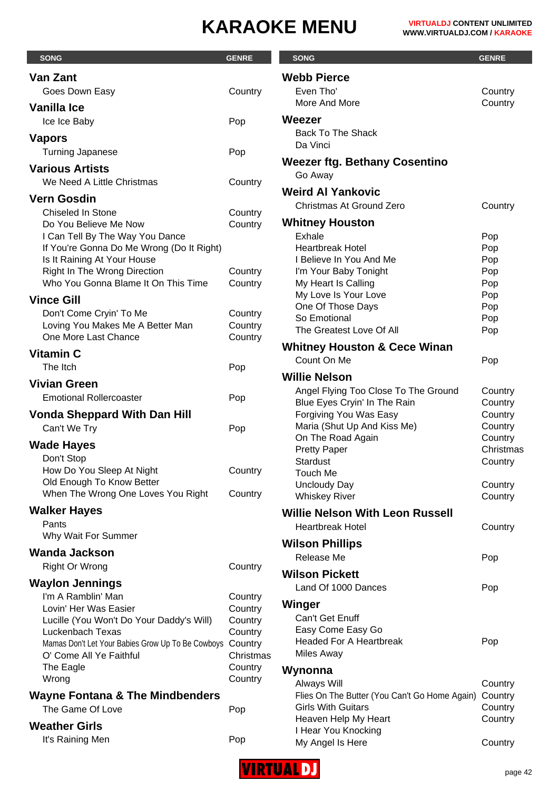| <b>SONG</b>                                                                   | <b>GENRE</b>       | <b>SONG</b>                                           | <b>GENRE</b>       |
|-------------------------------------------------------------------------------|--------------------|-------------------------------------------------------|--------------------|
| Van Zant                                                                      |                    | <b>Webb Pierce</b>                                    |                    |
| Goes Down Easy                                                                | Country            | Even Tho'                                             | Country            |
| <b>Vanilla Ice</b>                                                            |                    | More And More                                         | Country            |
| Ice Ice Baby                                                                  | Pop                | Weezer                                                |                    |
| <b>Vapors</b>                                                                 |                    | <b>Back To The Shack</b>                              |                    |
| <b>Turning Japanese</b>                                                       | Pop                | Da Vinci                                              |                    |
| <b>Various Artists</b>                                                        |                    | <b>Weezer ftg. Bethany Cosentino</b>                  |                    |
| We Need A Little Christmas                                                    | Country            | Go Away                                               |                    |
|                                                                               |                    | <b>Weird AI Yankovic</b>                              |                    |
| <b>Vern Gosdin</b><br>Chiseled In Stone                                       |                    | Christmas At Ground Zero                              | Country            |
| Do You Believe Me Now                                                         | Country<br>Country | <b>Whitney Houston</b>                                |                    |
| I Can Tell By The Way You Dance                                               |                    | <b>Exhale</b>                                         | Pop                |
| If You're Gonna Do Me Wrong (Do It Right)                                     |                    | <b>Heartbreak Hotel</b>                               | Pop                |
| Is It Raining At Your House                                                   |                    | I Believe In You And Me                               | Pop                |
| Right In The Wrong Direction<br>Who You Gonna Blame It On This Time           | Country<br>Country | I'm Your Baby Tonight<br>My Heart Is Calling          | Pop<br>Pop         |
|                                                                               |                    | My Love Is Your Love                                  | Pop                |
| <b>Vince Gill</b>                                                             |                    | One Of Those Days                                     | Pop                |
| Don't Come Cryin' To Me<br>Loving You Makes Me A Better Man                   | Country<br>Country | So Emotional                                          | Pop                |
| One More Last Chance                                                          | Country            | The Greatest Love Of All                              | Pop                |
| <b>Vitamin C</b>                                                              |                    | <b>Whitney Houston &amp; Cece Winan</b>               |                    |
| The Itch                                                                      | Pop                | Count On Me                                           | Pop                |
| <b>Vivian Green</b>                                                           |                    | <b>Willie Nelson</b>                                  |                    |
| <b>Emotional Rollercoaster</b>                                                | Pop                | Angel Flying Too Close To The Ground                  | Country            |
|                                                                               |                    | Blue Eyes Cryin' In The Rain                          | Country            |
| <b>Vonda Sheppard With Dan Hill</b>                                           |                    | Forgiving You Was Easy<br>Maria (Shut Up And Kiss Me) | Country<br>Country |
| Can't We Try                                                                  | Pop                | On The Road Again                                     | Country            |
| <b>Wade Hayes</b>                                                             |                    | <b>Pretty Paper</b>                                   | Christmas          |
| Don't Stop<br>How Do You Sleep At Night                                       | Country            | Stardust                                              | Country            |
| Old Enough To Know Better                                                     |                    | <b>Touch Me</b><br><b>Uncloudy Day</b>                | Country            |
| When The Wrong One Loves You Right                                            | Country            | <b>Whiskey River</b>                                  | Country            |
| <b>Walker Hayes</b>                                                           |                    | <b>Willie Nelson With Leon Russell</b>                |                    |
| Pants                                                                         |                    | <b>Heartbreak Hotel</b>                               | Country            |
| Why Wait For Summer                                                           |                    |                                                       |                    |
| <b>Wanda Jackson</b>                                                          |                    | <b>Wilson Phillips</b><br>Release Me                  | Pop                |
| Right Or Wrong                                                                | Country            |                                                       |                    |
| <b>Waylon Jennings</b>                                                        |                    | <b>Wilson Pickett</b><br>Land Of 1000 Dances          |                    |
| I'm A Ramblin' Man                                                            | Country            |                                                       | Pop                |
| Lovin' Her Was Easier                                                         | Country            | Winger                                                |                    |
| Lucille (You Won't Do Your Daddy's Will)                                      | Country            | Can't Get Enuff<br>Easy Come Easy Go                  |                    |
| Luckenbach Texas<br>Mamas Don't Let Your Babies Grow Up To Be Cowboys Country | Country            | <b>Headed For A Heartbreak</b>                        | Pop                |
| O' Come All Ye Faithful                                                       | Christmas          | <b>Miles Away</b>                                     |                    |
| The Eagle                                                                     | Country            | Wynonna                                               |                    |
| Wrong                                                                         | Country            | Always Will                                           | Country            |
| <b>Wayne Fontana &amp; The Mindbenders</b>                                    |                    | Flies On The Butter (You Can't Go Home Again)         | Country            |
| The Game Of Love                                                              | Pop                | <b>Girls With Guitars</b>                             | Country            |
| <b>Weather Girls</b>                                                          |                    | Heaven Help My Heart<br>I Hear You Knocking           | Country            |
| It's Raining Men                                                              | Pop                | My Angel Is Here                                      | Country            |